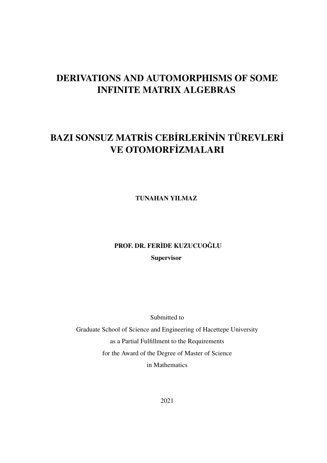# DERIVATIONS AND AUTOMORPHISMS OF SOME INFINITE MATRIX ALGEBRAS

# BAZI SONSUZ MATRİS CEBİRLERİNİN TÜREVLERİ VE OTOMORFİZMALARI

TUNAHAN YILMAZ

# PROF. DR. FERİDE KUZUCUOĞLU **Supervisor**

Submitted to

Graduate School of Science and Engineering of Hacettepe University as a Partial Fulfillment to the Requirements for the Award of the Degree of Master of Science in Mathematics

2021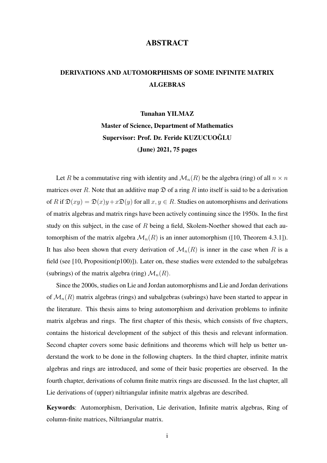## ABSTRACT

# DERIVATIONS AND AUTOMORPHISMS OF SOME INFINITE MATRIX **ALGEBRAS**

#### Tunahan YILMAZ

Master of Science, Department of Mathematics Supervisor: Prof. Dr. Feride KUZUCUOGLU ˘ (June) 2021, 75 pages

Let R be a commutative ring with identity and  $\mathcal{M}_n(R)$  be the algebra (ring) of all  $n \times n$ matrices over R. Note that an additive map  $\mathfrak D$  of a ring R into itself is said to be a derivation of R if  $\mathfrak{D}(xy) = \mathfrak{D}(x)y + x\mathfrak{D}(y)$  for all  $x, y \in R$ . Studies on automorphisms and derivations of matrix algebras and matrix rings have been actively continuing since the 1950s. In the first study on this subject, in the case of  $R$  being a field, Skolem-Noether showed that each automorphism of the matrix algebra  $\mathcal{M}_n(R)$  is an inner automorphism ([10, Theorem 4.3.1]). It has also been shown that every derivation of  $\mathcal{M}_n(R)$  is inner in the case when R is a field (see [10, Proposition(p100)]). Later on, these studies were extended to the subalgebras (subrings) of the matrix algebra (ring)  $\mathcal{M}_n(R)$ .

Since the 2000s, studies on Lie and Jordan automorphisms and Lie and Jordan derivations of  $\mathcal{M}_n(R)$  matrix algebras (rings) and subalgebras (subrings) have been started to appear in the literature. This thesis aims to bring automorphism and derivation problems to infinite matrix algebras and rings. The first chapter of this thesis, which consists of five chapters, contains the historical development of the subject of this thesis and relevant information. Second chapter covers some basic definitions and theorems which will help us better understand the work to be done in the following chapters. In the third chapter, infinite matrix algebras and rings are introduced, and some of their basic properties are observed. In the fourth chapter, derivations of column finite matrix rings are discussed. In the last chapter, all Lie derivations of (upper) niltriangular infinite matrix algebras are described.

Keywords: Automorphism, Derivation, Lie derivation, Infinite matrix algebras, Ring of column-finite matrices, Niltriangular matrix.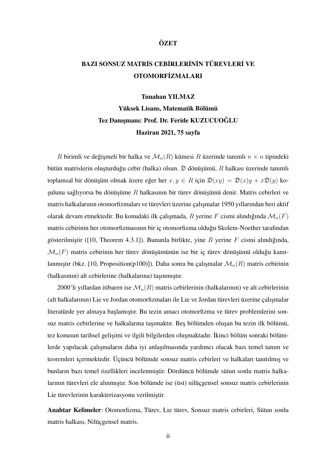#### **ÖZET**

# BAZI SONSUZ MATRİS CEBİRLERİNİN TÜREVLERİ VE **OTOMORFİZMALARI**

Tunahan YILMAZ Yüksek Lisans, Matematik Bölümü Tez Danışmanı: Prof. Dr. Feride KUZUCUOĞLU Haziran 2021, 75 sayfa

R birimli ve değişmeli bir halka ve  $\mathcal{M}_n(R)$  kümesi R üzerinde tanımlı  $n \times n$  tipindeki bütün matrislerin oluşturduğu cebir (halka) olsun.  $\mathfrak D$  dönüşümü, R halkası üzerinde tanımlı toplamsal bir dönüşüm olmak üzere eğer her  $x, y \in R$  için  $\mathfrak{D}(xy) = \mathfrak{D}(x)y + x\mathfrak{D}(y)$  koşulunu sağlıyorsa bu dönüşüme  $R$  halkasının bir türev dönüşümü denir. Matris cebirleri ve matris halkalarının otomorfizmaları ve türevleri üzerine çalışmalar 1950 yıllarından beri aktif olarak devam etmektedir. Bu konudaki ilk çalışmada, R yerine F cismi alındığında  $\mathcal{M}_n(F)$ matris cebirinin her otomorfizmasının bir iç otomorfizma oldugu Skolem-Noether tarafından ˘ gösterilmiştir ([10, Theorem 4.3.1]). Bununla birlikte, yine R yerine F cismi alındığında,  $\mathcal{M}_n(F)$  matris cebirinin her türev dönüşümünün ise bir iç türev dönüşümü olduğu kanıtlanmıştır (bkz. [10, Proposition(p100)]). Daha sonra bu çalışmalar  $\mathcal{M}_n(R)$  matris cebirinin (halkasının) alt cebirlerine (halkalarına) taşınmıştır.

2000'li yıllardan itibaren ise  $\mathcal{M}_n(R)$  matris cebirlerinin (halkalarının) ve alt cebirlerinin (alt halkalarının) Lie ve Jordan otomorfizmaları ile Lie ve Jordan türevleri üzerine çalı¸smalar literatürde yer almaya başlamıştır. Bu tezin amacı otomorfizma ve türev problemlerini sonsuz matris cebirlerine ve halkalarına taşımaktır. Beş bölümden oluşan bu tezin ilk bölümü, tez konusun tarihsel gelişimi ve ilgili bilgilerden oluşmaktadır. İkinci bölüm sonraki bölümlerde yapılacak çalışmaların daha iyi anlaşılmasında yardımcı olacak bazı temel tanım ve teoremleri içermektedir. Üçüncü bölümde sonsuz matris cebirleri ve halkaları tanıtılmış ve bunların bazı temel özellikleri incelenmiştir. Dördüncü bölümde sütun sonlu matris halkalarının türevleri ele alınmıştır. Son bölümde ise (üst) nilüçgensel sonsuz matris cebirlerinin Lie türevlerinin karakterizasyonu verilmiştir.

Anahtar Kelimeler: Otomorfizma, Türev, Lie türev, Sonsuz matris cebirleri, Sütun sonlu matris halkası, Nilüçgensel matris.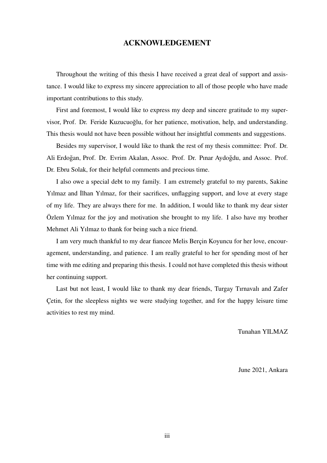## ACKNOWLEDGEMENT

Throughout the writing of this thesis I have received a great deal of support and assistance. I would like to express my sincere appreciation to all of those people who have made important contributions to this study.

First and foremost, I would like to express my deep and sincere gratitude to my supervisor, Prof. Dr. Feride Kuzucuoglu, for her patience, motivation, help, and understanding. This thesis would not have been possible without her insightful comments and suggestions.

Besides my supervisor, I would like to thank the rest of my thesis committee: Prof. Dr. Ali Erdoğan, Prof. Dr. Evrim Akalan, Assoc. Prof. Dr. Pınar Aydoğdu, and Assoc. Prof. Dr. Ebru Solak, for their helpful comments and precious time.

I also owe a special debt to my family. I am extremely grateful to my parents, Sakine Yilmaz and İlhan Yilmaz, for their sacrifices, unflagging support, and love at every stage of my life. They are always there for me. In addition, I would like to thank my dear sister Özlem Yılmaz for the joy and motivation she brought to my life. I also have my brother Mehmet Ali Yılmaz to thank for being such a nice friend.

I am very much thankful to my dear fiancee Melis Berçin Koyuncu for her love, encouragement, understanding, and patience. I am really grateful to her for spending most of her time with me editing and preparing this thesis. I could not have completed this thesis without her continuing support.

Last but not least, I would like to thank my dear friends, Turgay Tırnavalı and Zafer Çetin, for the sleepless nights we were studying together, and for the happy leisure time activities to rest my mind.

Tunahan YILMAZ

June 2021, Ankara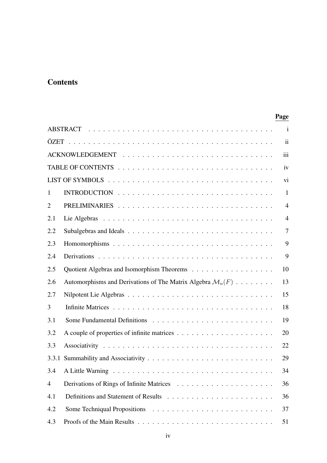# **Contents**

## Page

| $\mathbf{i}$   |                                                                        |                |  |  |
|----------------|------------------------------------------------------------------------|----------------|--|--|
| ii             |                                                                        |                |  |  |
| iii            |                                                                        |                |  |  |
| iv             |                                                                        |                |  |  |
| vi             |                                                                        |                |  |  |
| $\mathbf{1}$   |                                                                        | $\mathbf{1}$   |  |  |
| $\overline{2}$ |                                                                        | $\overline{4}$ |  |  |
| 2.1            |                                                                        | $\overline{4}$ |  |  |
| 2.2            |                                                                        | $\overline{7}$ |  |  |
| 2.3            |                                                                        | 9              |  |  |
| 2.4            |                                                                        | 9              |  |  |
| 2.5            |                                                                        | 10             |  |  |
| 2.6            | Automorphisms and Derivations of The Matrix Algebra $\mathcal{M}_n(F)$ | 13             |  |  |
| 2.7            |                                                                        | 15             |  |  |
| 3              |                                                                        | 18             |  |  |
| 3.1            |                                                                        | 19             |  |  |
| 3.2            |                                                                        | 20             |  |  |
| 3.3            |                                                                        | 22             |  |  |
| 3.3.1          |                                                                        | 29             |  |  |
|                |                                                                        | 34             |  |  |
| $\overline{4}$ |                                                                        | 36             |  |  |
| 4.1            |                                                                        | 36             |  |  |
| 4.2            |                                                                        | 37             |  |  |
| 4.3            |                                                                        | 51             |  |  |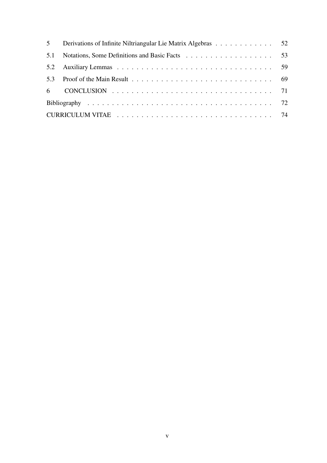| 5 <sup>5</sup> | Derivations of Infinite Niltriangular Lie Matrix Algebras 52 |  |
|----------------|--------------------------------------------------------------|--|
| 5.1            |                                                              |  |
|                |                                                              |  |
|                |                                                              |  |
|                |                                                              |  |
|                |                                                              |  |
|                |                                                              |  |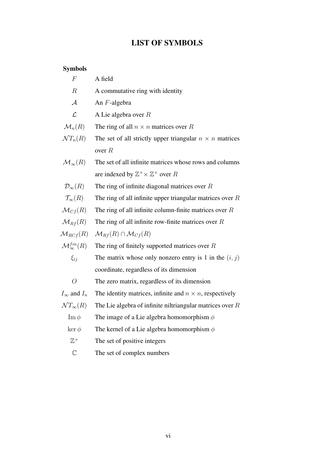# LIST OF SYMBOLS

# Symbols

| $\,F$                           | A field                                                         |
|---------------------------------|-----------------------------------------------------------------|
| $\boldsymbol{R}$                | A commutative ring with identity                                |
| $\mathcal{A}$                   | An F-algebra                                                    |
| $\mathcal{L}$                   | A Lie algebra over $R$                                          |
| $\mathcal{M}_n(R)$              | The ring of all $n \times n$ matrices over R                    |
| $\mathcal{N}T_n(R)$             | The set of all strictly upper triangular $n \times n$ matrices  |
|                                 | over $R$                                                        |
| $\mathcal{M}_{\infty}(R)$       | The set of all infinite matrices whose rows and columns         |
|                                 | are indexed by $\mathbb{Z}^+ \times \mathbb{Z}^+$ over R        |
| $\mathcal{D}_{\infty}(R)$       | The ring of infinite diagonal matrices over $R$                 |
| $\mathcal{T}_{\infty}(R)$       | The ring of all infinite upper triangular matrices over $R$     |
| $\mathcal{M}_{Cf}(R)$           | The ring of all infinite column-finite matrices over $R$        |
| $\mathcal{M}_{Rf}(R)$           | The ring of all infinite row-finite matrices over $R$           |
| $\mathcal{M}_{RCf}(R)$          | $\mathcal{M}_{Rf}(R) \cap \mathcal{M}_{Cf}(R)$                  |
| $\mathcal{M}^{fin}_{\infty}(R)$ | The ring of finitely supported matrices over $R$                |
| $\xi_{ii}$                      | The matrix whose only nonzero entry is 1 in the $(i, j)$        |
|                                 | coordinate, regardless of its dimension                         |
| $\overline{O}$                  | The zero matrix, regardless of its dimension                    |
| $I_{\infty}$ and $I_n$          | The identity matrices, infinite and $n \times n$ , respectively |
| $\mathcal{N}T_{\infty}(R)$      | The Lie algebra of infinite niltriangular matrices over $R$     |
| $\text{Im}\,\phi$               | The image of a Lie algebra homomorphism $\phi$                  |
| $\ker \phi$                     | The kernel of a Lie algebra homomorphism $\phi$                 |
| $\mathbb{Z}^+$                  | The set of positive integers                                    |
|                                 |                                                                 |

C The set of complex numbers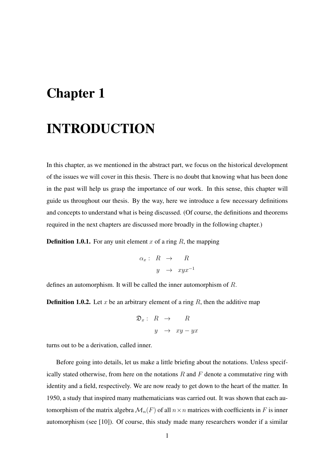# Chapter 1

# INTRODUCTION

In this chapter, as we mentioned in the abstract part, we focus on the historical development of the issues we will cover in this thesis. There is no doubt that knowing what has been done in the past will help us grasp the importance of our work. In this sense, this chapter will guide us throughout our thesis. By the way, here we introduce a few necessary definitions and concepts to understand what is being discussed. (Of course, the definitions and theorems required in the next chapters are discussed more broadly in the following chapter.)

**Definition 1.0.1.** For any unit element x of a ring R, the mapping

$$
\begin{array}{rcl} \alpha_x : & R & \to & R \\ & y & \to & xyx^{-1} \end{array}
$$

defines an automorphism. It will be called the inner automorphism of R.

**Definition 1.0.2.** Let x be an arbitrary element of a ring  $R$ , then the additive map

$$
\mathfrak{D}_x: R \to R
$$
  

$$
y \to xy - yx
$$

turns out to be a derivation, called inner.

Before going into details, let us make a little briefing about the notations. Unless specifically stated otherwise, from here on the notations  $R$  and  $F$  denote a commutative ring with identity and a field, respectively. We are now ready to get down to the heart of the matter. In 1950, a study that inspired many mathematicians was carried out. It was shown that each automorphism of the matrix algebra  $\mathcal{M}_n(F)$  of all  $n \times n$  matrices with coefficients in F is inner automorphism (see [10]). Of course, this study made many researchers wonder if a similar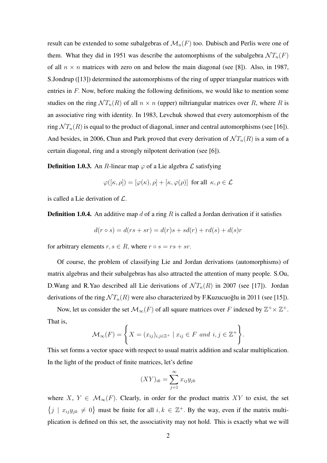result can be extended to some subalgebras of  $\mathcal{M}_n(F)$  too. Dubisch and Perlis were one of them. What they did in 1951 was describe the automorphisms of the subalgebra  $\mathcal{N}T_n(F)$ of all  $n \times n$  matrices with zero on and below the main diagonal (see [8]). Also, in 1987, S.Jondrup ([13]) determined the automorphisms of the ring of upper triangular matrices with entries in F. Now, before making the following definitions, we would like to mention some studies on the ring  $\mathcal{N} T_n(R)$  of all  $n \times n$  (upper) niltriangular matrices over R, where R is an associative ring with identity. In 1983, Levchuk showed that every automorphism of the ring  $\mathcal{N} T_n(R)$  is equal to the product of diagonal, inner and central automorphisms (see [16]). And besides, in 2006, Chun and Park proved that every derivation of  $\mathcal{N}T_n(R)$  is a sum of a certain diagonal, ring and a strongly nilpotent derivation (see [6]).

**Definition 1.0.3.** An R-linear map  $\varphi$  of a Lie algebra  $\mathcal{L}$  satisfying

$$
\varphi([\kappa, \rho]) = [\varphi(\kappa), \rho] + [\kappa, \varphi(\rho)] \text{ for all } \kappa, \rho \in \mathcal{L}
$$

is called a Lie derivation of L.

**Definition 1.0.4.** An additive map d of a ring R is called a Jordan derivation if it satisfies

$$
d(r \circ s) = d(rs + sr) = d(r)s + sd(r) + rd(s) + d(s)r
$$

for arbitrary elements  $r, s \in R$ , where  $r \circ s = rs + sr$ .

Of course, the problem of classifying Lie and Jordan derivations (automorphisms) of matrix algebras and their subalgebras has also attracted the attention of many people. S.Ou, D.Wang and R.Yao described all Lie derivations of  $\mathcal{N}T_n(R)$  in 2007 (see [17]). Jordan derivations of the ring  $\mathcal{N}T_n(R)$  were also characterized by F.Kuzucuoglu in 2011 (see [15]).

Now, let us consider the set  $\mathcal{M}_{\infty}(F)$  of all square matrices over F indexed by  $\mathbb{Z}^+ \times \mathbb{Z}^+$ . That is,

$$
\mathcal{M}_{\infty}(F) = \left\{ X = (x_{ij})_{i,j \in \mathbb{Z}^+} \mid x_{ij} \in F \text{ and } i, j \in \mathbb{Z}^+ \right\}.
$$

This set forms a vector space with respect to usual matrix addition and scalar multiplication. In the light of the product of finite matrices, let's define

$$
(XY)_{ik} = \sum_{j=1}^{\infty} x_{ij} y_{jk}
$$

where X,  $Y \in \mathcal{M}_{\infty}(F)$ . Clearly, in order for the product matrix XY to exist, the set  $\{j \mid x_{ij}y_{jk} \neq 0\}$  must be finite for all  $i, k \in \mathbb{Z}^+$ . By the way, even if the matrix multiplication is defined on this set, the associativity may not hold. This is exactly what we will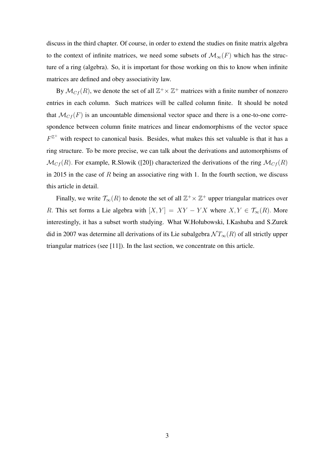discuss in the third chapter. Of course, in order to extend the studies on finite matrix algebra to the context of infinite matrices, we need some subsets of  $\mathcal{M}_{\infty}(F)$  which has the structure of a ring (algebra). So, it is important for those working on this to know when infinite matrices are defined and obey associativity law.

By  $\mathcal{M}_{Cf}(R)$ , we denote the set of all  $\mathbb{Z}^+\times \mathbb{Z}^+$  matrices with a finite number of nonzero entries in each column. Such matrices will be called column finite. It should be noted that  $\mathcal{M}_{Cf}(F)$  is an uncountable dimensional vector space and there is a one-to-one correspondence between column finite matrices and linear endomorphisms of the vector space  $F^{\mathbb{Z}^+}$  with respect to canonical basis. Besides, what makes this set valuable is that it has a ring structure. To be more precise, we can talk about the derivations and automorphisms of  $\mathcal{M}_{C_f}(R)$ . For example, R.Slowik ([20]) characterized the derivations of the ring  $\mathcal{M}_{C_f}(R)$ in 2015 in the case of  $R$  being an associative ring with 1. In the fourth section, we discuss this article in detail.

Finally, we write  $\mathcal{T}_{\infty}(R)$  to denote the set of all  $\mathbb{Z}^+ \times \mathbb{Z}^+$  upper triangular matrices over R. This set forms a Lie algebra with  $[X, Y] = XY - YX$  where  $X, Y \in \mathcal{T}_{\infty}(R)$ . More interestingly, it has a subset worth studying. What W.Hołubowski, I.Kashuba and S.Zurek did in 2007 was determine all derivations of its Lie subalgebra  $\mathcal{N} T_{\infty}(R)$  of all strictly upper triangular matrices (see [11]). In the last section, we concentrate on this article.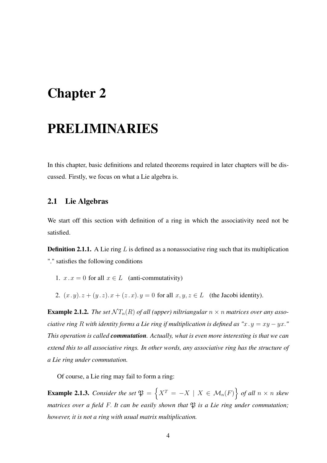# Chapter 2

# PRELIMINARIES

In this chapter, basic definitions and related theorems required in later chapters will be discussed. Firstly, we focus on what a Lie algebra is.

## 2.1 Lie Algebras

We start off this section with definition of a ring in which the associativity need not be satisfied.

**Definition 2.1.1.** A Lie ring  $L$  is defined as a nonassociative ring such that its multiplication "." satisfies the following conditions

- 1.  $x \cdot x = 0$  for all  $x \in L$  (anti-commutativity)
- 2.  $(x, y) \cdot z + (y, z) \cdot x + (z, x) \cdot y = 0$  for all  $x, y, z \in L$  (the Jacobi identity).

**Example 2.1.2.** The set  $\mathcal{N}T_n(R)$  of all (upper) niltriangular  $n \times n$  matrices over any asso*ciative ring* R *with identity forms a Lie ring if multiplication is defined as "* $x \cdot y = xy - yx$ *." This operation is called commutation. Actually, what is even more interesting is that we can extend this to all associative rings. In other words, any associative ring has the structure of a Lie ring under commutation.*

Of course, a Lie ring may fail to form a ring:

**Example 2.1.3.** Consider the set  $\mathfrak{P} = \{X^T = -X \mid X \in \mathcal{M}_n(F)\}$  of all  $n \times n$  skew *matrices over a field F. It can be easily shown that*  $\mathfrak P$  *is a Lie ring under commutation; however, it is not a ring with usual matrix multiplication.*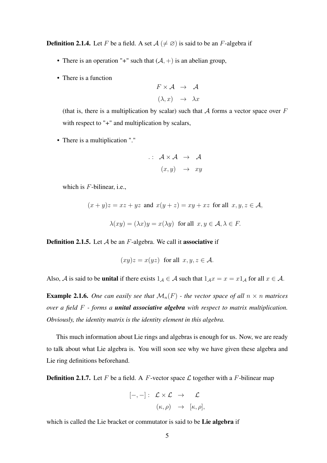**Definition 2.1.4.** Let F be a field. A set  $A \neq \emptyset$  is said to be an F-algebra if

- There is an operation "+" such that  $(A, +)$  is an abelian group,
- There is a function

$$
F \times \mathcal{A} \rightarrow \mathcal{A}
$$

$$
(\lambda, x) \rightarrow \lambda x
$$

(that is, there is a multiplication by scalar) such that  $A$  forms a vector space over  $F$ with respect to "+" and multiplication by scalars,

• There is a multiplication "."

$$
\therefore \quad \mathcal{A} \times \mathcal{A} \quad \rightarrow \quad \mathcal{A}
$$

$$
(x, y) \quad \rightarrow \quad xy
$$

which is  $F$ -bilinear, i.e.,

$$
(x+y)z = xz + yz
$$
 and  $x(y+z) = xy + xz$  for all  $x, y, z \in A$ ,

$$
\lambda(xy) = (\lambda x)y = x(\lambda y) \text{ for all } x, y \in \mathcal{A}, \lambda \in F.
$$

**Definition 2.1.5.** Let  $A$  be an  $F$ -algebra. We call it **associative** if

$$
(xy)z = x(yz)
$$
 for all  $x, y, z \in A$ .

Also, A is said to be **unital** if there exists  $1_A \in \mathcal{A}$  such that  $1_A x = x = x 1_A$  for all  $x \in \mathcal{A}$ .

**Example 2.1.6.** One can easily see that  $\mathcal{M}_n(F)$  - the vector space of all  $n \times n$  matrices *over a field* F *- forms a unital associative algebra with respect to matrix multiplication. Obviously, the identity matrix is the identity element in this algebra.*

This much information about Lie rings and algebras is enough for us. Now, we are ready to talk about what Lie algebra is. You will soon see why we have given these algebra and Lie ring definitions beforehand.

**Definition 2.1.7.** Let F be a field. A F-vector space  $\mathcal{L}$  together with a F-bilinear map

$$
[-,-]: \mathcal{L} \times \mathcal{L} \rightarrow \mathcal{L}
$$

$$
(\kappa, \rho) \rightarrow [\kappa, \rho],
$$

which is called the Lie bracket or commutator is said to be Lie algebra if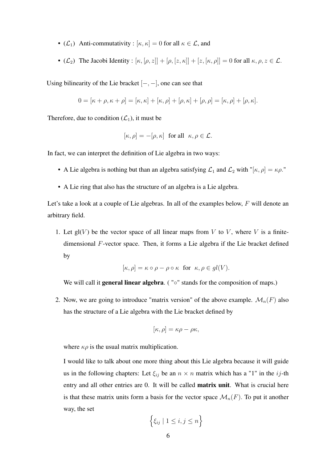- ( $\mathcal{L}_1$ ) Anti-commutativity :  $[\kappa, \kappa] = 0$  for all  $\kappa \in \mathcal{L}$ , and
- ( $\mathcal{L}_2$ ) The Jacobi Identity :  $[\kappa, [\rho, z]] + [\rho, [z, \kappa]] + [z, [\kappa, \rho]] = 0$  for all  $\kappa, \rho, z \in \mathcal{L}$ .

Using bilinearity of the Lie bracket  $[-, -]$ , one can see that

$$
0 = [\kappa + \rho, \kappa + \rho] = [\kappa, \kappa] + [\kappa, \rho] + [\rho, \kappa] + [\rho, \rho] = [\kappa, \rho] + [\rho, \kappa].
$$

Therefore, due to condition  $(\mathcal{L}_1)$ , it must be

$$
[\kappa, \rho] = -[\rho, \kappa]
$$
 for all  $\kappa, \rho \in \mathcal{L}$ .

In fact, we can interpret the definition of Lie algebra in two ways:

- A Lie algebra is nothing but than an algebra satisfying  $\mathcal{L}_1$  and  $\mathcal{L}_2$  with "[ $\kappa, \rho$ ] =  $\kappa \rho$ ."
- A Lie ring that also has the structure of an algebra is a Lie algebra.

Let's take a look at a couple of Lie algebras. In all of the examples below, F will denote an arbitrary field.

1. Let  $gl(V)$  be the vector space of all linear maps from V to V, where V is a finitedimensional F-vector space. Then, it forms a Lie algebra if the Lie bracket defined by

$$
[\kappa, \rho] = \kappa \circ \rho - \rho \circ \kappa \text{ for } \kappa, \rho \in gl(V).
$$

We will call it **general linear algebra.** ( "∘" stands for the composition of maps.)

2. Now, we are going to introduce "matrix version" of the above example.  $\mathcal{M}_n(F)$  also has the structure of a Lie algebra with the Lie bracket defined by

$$
[\kappa, \rho] = \kappa \rho - \rho \kappa,
$$

where  $\kappa \rho$  is the usual matrix multiplication.

I would like to talk about one more thing about this Lie algebra because it will guide us in the following chapters: Let  $\xi_{ij}$  be an  $n \times n$  matrix which has a "1" in the ij-th entry and all other entries are 0. It will be called matrix unit. What is crucial here is that these matrix units form a basis for the vector space  $\mathcal{M}_n(F)$ . To put it another way, the set

$$
\left\{ \xi_{ij} \mid 1 \leq i, j \leq n \right\}
$$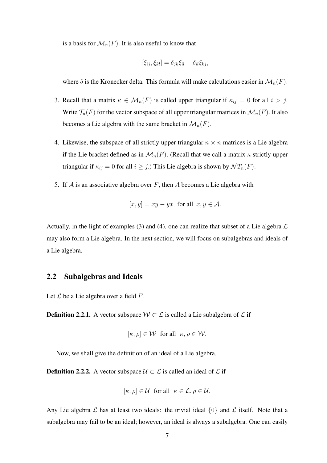is a basis for  $\mathcal{M}_n(F)$ . It is also useful to know that

$$
[\xi_{ij}, \xi_{kl}] = \delta_{jk}\xi_{il} - \delta_{il}\xi_{kj},
$$

where  $\delta$  is the Kronecker delta. This formula will make calculations easier in  $\mathcal{M}_n(F)$ .

- 3. Recall that a matrix  $\kappa \in \mathcal{M}_n(F)$  is called upper triangular if  $\kappa_{ij} = 0$  for all  $i > j$ . Write  $\mathcal{T}_n(F)$  for the vector subspace of all upper triangular matrices in  $\mathcal{M}_n(F)$ . It also becomes a Lie algebra with the same bracket in  $\mathcal{M}_n(F)$ .
- 4. Likewise, the subspace of all strictly upper triangular  $n \times n$  matrices is a Lie algebra if the Lie bracket defined as in  $\mathcal{M}_n(F)$ . (Recall that we call a matrix  $\kappa$  strictly upper triangular if  $\kappa_{ij} = 0$  for all  $i \geq j$ .) This Lie algebra is shown by  $\mathcal{N}T_n(F)$ .
- 5. If  $A$  is an associative algebra over  $F$ , then  $A$  becomes a Lie algebra with

$$
[x, y] = xy - yx \text{ for all } x, y \in \mathcal{A}.
$$

Actually, in the light of examples (3) and (4), one can realize that subset of a Lie algebra  $\mathcal L$ may also form a Lie algebra. In the next section, we will focus on subalgebras and ideals of a Lie algebra.

### 2.2 Subalgebras and Ideals

Let  $\mathcal L$  be a Lie algebra over a field F.

**Definition 2.2.1.** A vector subspace  $W \subset \mathcal{L}$  is called a Lie subalgebra of  $\mathcal{L}$  if

$$
[\kappa, \rho] \in \mathcal{W}
$$
 for all  $\kappa, \rho \in \mathcal{W}$ .

Now, we shall give the definition of an ideal of a Lie algebra.

**Definition 2.2.2.** A vector subspace  $\mathcal{U} \subset \mathcal{L}$  is called an ideal of  $\mathcal{L}$  if

$$
[\kappa, \rho] \in \mathcal{U}
$$
 for all  $\kappa \in \mathcal{L}, \rho \in \mathcal{U}$ .

Any Lie algebra  $\mathcal L$  has at least two ideals: the trivial ideal  $\{0\}$  and  $\mathcal L$  itself. Note that a subalgebra may fail to be an ideal; however, an ideal is always a subalgebra. One can easily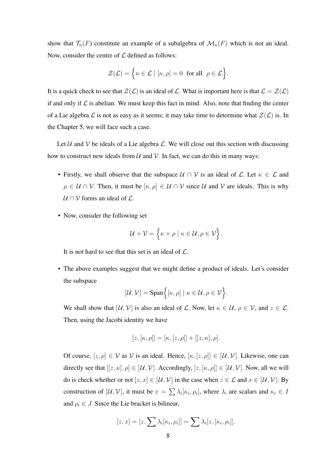show that  $\mathcal{T}_n(F)$  constitute an example of a subalgebra of  $\mathcal{M}_n(F)$  which is not an ideal. Now, consider the centre of  $\mathcal L$  defined as follows:

$$
\mathcal{Z}(\mathcal{L}) = \Big\{ \kappa \in \mathcal{L} \mid [\kappa, \rho] = 0 \text{ for all } \rho \in \mathcal{L} \Big\}.
$$

It is a quick check to see that  $\mathcal{Z}(\mathcal{L})$  is an ideal of  $\mathcal{L}$ . What is important here is that  $\mathcal{L} = \mathcal{Z}(\mathcal{L})$ if and only if  $\mathcal L$  is abelian. We must keep this fact in mind. Also, note that finding the center of a Lie algebra  $\mathcal L$  is not as easy as it seems; it may take time to determine what  $\mathcal Z(\mathcal L)$  is. In the Chapter 5, we will face such a case.

Let U and V be ideals of a Lie algebra  $\mathcal L$ . We will close out this section with discussing how to construct new ideals from  $U$  and  $V$ . In fact, we can do this in many ways:

- Firstly, we shall observe that the subspace  $U \cap V$  is an ideal of  $\mathcal{L}$ . Let  $\kappa \in \mathcal{L}$  and  $\rho \in \mathcal{U} \cap \mathcal{V}$ . Then, it must be  $[\kappa, \rho] \in \mathcal{U} \cap \mathcal{V}$  since  $\mathcal{U}$  and  $\mathcal{V}$  are ideals. This is why  $U \cap V$  forms an ideal of  $\mathcal{L}$ .
- Now, consider the following set

$$
\mathcal{U} + \mathcal{V} = \Big\{ \kappa + \rho \mid \kappa \in \mathcal{U}, \rho \in \mathcal{V} \Big\}.
$$

It is not hard to see that this set is an ideal of  $\mathcal{L}$ .

• The above examples suggest that we might define a product of ideals. Let's consider the subspace

$$
[\mathcal{U}, \mathcal{V}] = \mathrm{Span}\Big\{ [\kappa, \rho] \mid \kappa \in \mathcal{U}, \rho \in \mathcal{V} \Big\}.
$$

We shall show that  $[\mathcal{U}, \mathcal{V}]$  is also an ideal of  $\mathcal{L}$ . Now, let  $\kappa \in \mathcal{U}, \rho \in \mathcal{V}$ , and  $z \in \mathcal{L}$ . Then, using the Jacobi identity we have

$$
[z,[\kappa,\rho]] = [\kappa,[z,\rho]] + [[z,\kappa],\rho].
$$

Of course,  $[z, \rho] \in V$  as V is an ideal. Hence,  $[\kappa, [z, \rho]] \in [U, V]$ . Likewise, one can directly see that  $[[z, \kappa], \rho] \in [\mathcal{U}, \mathcal{V}]$ . Accordingly,  $[z, [\kappa, \rho]] \in [\mathcal{U}, \mathcal{V}]$ . Now, all we will do is check whether or not  $[z, x] \in [\mathcal{U}, \mathcal{V}]$  in the case when  $z \in \mathcal{L}$  and  $x \in [\mathcal{U}, \mathcal{V}]$ : By construction of  $[\mathcal{U}, \mathcal{V}]$ , it must be  $x = \sum_{i} \lambda_i [\kappa_i, \rho_i]$ , where  $\lambda_i$  are scalars and  $\kappa_i \in \mathcal{U}$ and  $\rho_i \in J$ . Since the Lie bracket is bilinear,

$$
[z, x] = [z, \sum \lambda_i [\kappa_i, \rho_i]] = \sum \lambda_i [z, [\kappa_i, \rho_i]].
$$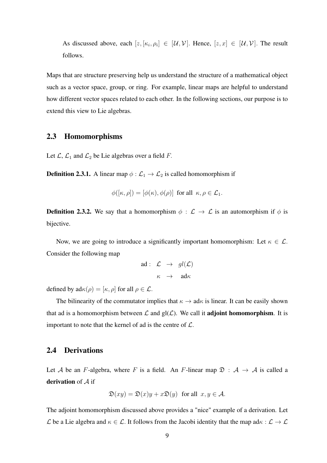As discussed above, each  $[z, [\kappa_i, \rho_i] \in [\mathcal{U}, \mathcal{V}]$ . Hence,  $[z, x] \in [\mathcal{U}, \mathcal{V}]$ . The result follows.

Maps that are structure preserving help us understand the structure of a mathematical object such as a vector space, group, or ring. For example, linear maps are helpful to understand how different vector spaces related to each other. In the following sections, our purpose is to extend this view to Lie algebras.

### 2.3 Homomorphisms

Let  $\mathcal{L}, \mathcal{L}_1$  and  $\mathcal{L}_2$  be Lie algebras over a field F.

**Definition 2.3.1.** A linear map  $\phi : \mathcal{L}_1 \to \mathcal{L}_2$  is called homomorphism if

$$
\phi([\kappa, \rho]) = [\phi(\kappa), \phi(\rho)] \text{ for all } \kappa, \rho \in \mathcal{L}_1.
$$

**Definition 2.3.2.** We say that a homomorphism  $\phi : \mathcal{L} \to \mathcal{L}$  is an automorphism if  $\phi$  is bijective.

Now, we are going to introduce a significantly important homomorphism: Let  $\kappa \in \mathcal{L}$ . Consider the following map

$$
\begin{array}{rcl} \text{ad}: & \mathcal{L} & \rightarrow & gl(\mathcal{L}) \\ & & \kappa & \rightarrow & \text{ad}\kappa \end{array}
$$

defined by  $ad\kappa(\rho) = [\kappa, \rho]$  for all  $\rho \in \mathcal{L}$ .

The bilinearity of the commutator implies that  $\kappa \to \text{ad}\kappa$  is linear. It can be easily shown that ad is a homomorphism between  $\mathcal L$  and  $gl(\mathcal L)$ . We call it **adjoint homomorphism**. It is important to note that the kernel of ad is the centre of  $\mathcal{L}$ .

### 2.4 Derivations

Let A be an F-algebra, where F is a field. An F-linear map  $\mathfrak{D} : A \rightarrow A$  is called a derivation of  $A$  if

$$
\mathfrak{D}(xy) = \mathfrak{D}(x)y + x\mathfrak{D}(y) \text{ for all } x, y \in \mathcal{A}.
$$

The adjoint homomorphism discussed above provides a "nice" example of a derivation. Let L be a Lie algebra and  $\kappa \in \mathcal{L}$ . It follows from the Jacobi identity that the map ad $\kappa : \mathcal{L} \to \mathcal{L}$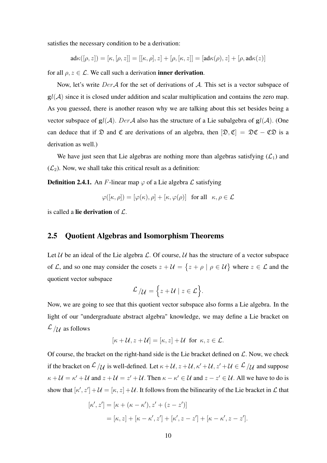satisfies the necessary condition to be a derivation:

$$
\mathsf{ad}\kappa([\rho,z]) = [\kappa,[\rho,z]] = [[\kappa,\rho],z] + [\rho,[\kappa,z]] = [\mathsf{ad}\kappa(\rho),z] + [\rho,\mathsf{ad}\kappa(z)]
$$

for all  $\rho, z \in \mathcal{L}$ . We call such a derivation inner derivation.

Now, let's write  $Der\mathcal A$  for the set of derivations of  $\mathcal A$ . This set is a vector subspace of  $gl(A)$  since it is closed under addition and scalar multiplication and contains the zero map. As you guessed, there is another reason why we are talking about this set besides being a vector subspace of  $gl(A)$ . DerA also has the structure of a Lie subalgebra of  $gl(A)$ . (One can deduce that if  $\mathcal D$  and  $\mathfrak C$  are derivations of an algebra, then  $[\mathfrak D, \mathfrak C] = \mathfrak D \mathfrak C - \mathfrak C \mathfrak D$  is a derivation as well.)

We have just seen that Lie algebras are nothing more than algebras satisfying  $(\mathcal{L}_1)$  and  $(\mathcal{L}_2)$ . Now, we shall take this critical result as a definition:

**Definition 2.4.1.** An F-linear map  $\varphi$  of a Lie algebra  $\mathcal L$  satisfying

$$
\varphi([\kappa, \rho]) = [\varphi(\kappa), \rho] + [\kappa, \varphi(\rho)] \text{ for all } \kappa, \rho \in \mathcal{L}
$$

is called a lie derivation of  $\mathcal{L}$ .

### 2.5 Quotient Algebras and Isomorphism Theorems

Let  $U$  be an ideal of the Lie algebra  $L$ . Of course,  $U$  has the structure of a vector subspace of L, and so one may consider the cosets  $z + U = \{z + \rho \mid \rho \in U\}$  where  $z \in \mathcal{L}$  and the quotient vector subspace

$$
\mathcal{L}/\mathcal{U} = \Big\{ z + \mathcal{U} \mid z \in \mathcal{L} \Big\}.
$$

Now, we are going to see that this quotient vector subspace also forms a Lie algebra. In the light of our "undergraduate abstract algebra" knowledge, we may define a Lie bracket on  $\mathcal{L}/\mathcal{U}$  as follows

$$
[\kappa + \mathcal{U}, z + \mathcal{U}] = [\kappa, z] + \mathcal{U} \text{ for } \kappa, z \in \mathcal{L}.
$$

Of course, the bracket on the right-hand side is the Lie bracket defined on  $\mathcal{L}$ . Now, we check if the bracket on  $\mathcal{L}/\mathcal{U}$  is well-defined. Let  $\kappa + \mathcal{U}, z + \mathcal{U}, \kappa' + \mathcal{U}, z' + \mathcal{U} \in \mathcal{L}/\mathcal{U}$  and suppose  $\kappa + \mathcal{U} = \kappa' + \mathcal{U}$  and  $z + \mathcal{U} = z' + \mathcal{U}$ . Then  $\kappa - \kappa' \in \mathcal{U}$  and  $z - z' \in \mathcal{U}$ . All we have to do is show that  $[\kappa', z'] + \mathcal{U} = [\kappa, z] + \mathcal{U}$ . It follows from the bilinearity of the Lie bracket in  $\mathcal{L}$  that

$$
[\kappa', z'] = [\kappa + (\kappa - \kappa'), z' + (z - z')]
$$
  
= [\kappa, z] + [\kappa - \kappa', z'] + [\kappa', z - z'] + [\kappa - \kappa', z - z'].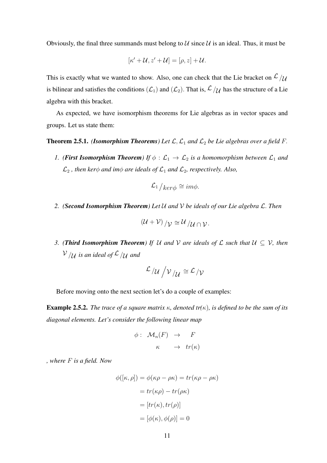Obviously, the final three summands must belong to  $\mathcal U$  since  $\mathcal U$  is an ideal. Thus, it must be

$$
[\kappa'+\mathcal{U},z'+\mathcal{U}]=[\rho,z]+\mathcal{U}.
$$

This is exactly what we wanted to show. Also, one can check that the Lie bracket on  $\mathcal{L}_{\mathcal{U}}$ is bilinear and satisfies the conditions  $(\mathcal{L}_1)$  and  $(\mathcal{L}_2)$ . That is,  $\mathcal{L}/\mathcal{U}$  has the structure of a Lie algebra with this bracket.

As expected, we have isomorphism theorems for Lie algebras as in vector spaces and groups. Let us state them:

#### **Theorem 2.5.1.** *(Isomorphism Theorems) Let*  $\mathcal{L}, \mathcal{L}_1$  *and*  $\mathcal{L}_2$  *be Lie algebras over a field* F.

*1.* (*First Isomorphism Theorem*) If  $\phi : \mathcal{L}_1 \to \mathcal{L}_2$  *is a homomorphism between*  $\mathcal{L}_1$  *and*  $\mathcal{L}_2$ , then ker $\phi$  *and im* $\phi$  *are ideals of*  $\mathcal{L}_1$  *and*  $\mathcal{L}_2$ *, respectively. Also,* 

$$
\mathcal{L}_1/_{ker\phi} \cong im\phi.
$$

*2. (Second Isomorphism Theorem) Let* U *and* V *be ideals of our Lie algebra* L. *Then*

$$
(\mathcal{U}+\mathcal{V})/\mathcal{V}\cong \mathcal{U}/\mathcal{U}\cap \mathcal{V}.
$$

*3. (Third Isomorphism Theorem) If*  $U$  *and*  $V$  *are ideals of*  $\mathcal L$  *such that*  $U \subseteq V$ *, then*  $V/\mathcal{U}$  *is an ideal of*  $\mathcal{L}/\mathcal{U}$  *and* 

$$
\mathcal{L}/\mathcal{U}\bigg/\mathcal{V}\bigg/\mathcal{U}\cong \mathcal{L}\big/\mathcal{V}
$$

Before moving onto the next section let's do a couple of examples:

Example 2.5.2. *The trace of a square matrix* κ*, denoted tr(*κ)*, is defined to be the sum of its diagonal elements. Let's consider the following linear map*

$$
\begin{array}{rcl}\n\phi: & \mathcal{M}_n(F) & \to & F \\
\kappa & \to & tr(\kappa)\n\end{array}
$$

*, where* F *is a field. Now*

$$
\phi([\kappa, \rho]) = \phi(\kappa \rho - \rho \kappa) = tr(\kappa \rho - \rho \kappa)
$$

$$
= tr(\kappa \rho) - tr(\rho \kappa)
$$

$$
= [tr(\kappa), tr(\rho)]
$$

$$
= [\phi(\kappa), \phi(\rho)] = 0
$$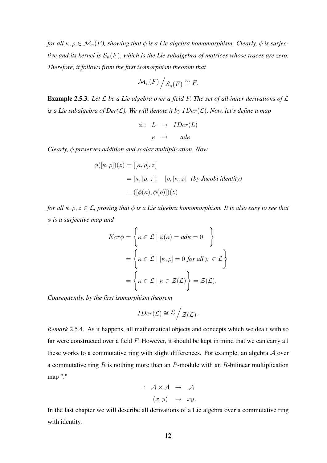*for all*  $\kappa, \rho \in \mathcal{M}_n(F)$ , showing that  $\phi$  is a Lie algebra homomorphism. Clearly,  $\phi$  is surjec*tive and its kernel is*  $S_n(F)$ , *which is the Lie subalgebra of matrices whose traces are zero. Therefore, it follows from the first isomorphism theorem that*

$$
\mathcal{M}_n(F)\bigg/\mathcal{S}_n(F)\cong F.
$$

Example 2.5.3. *Let* L *be a Lie algebra over a field* F. *The set of all inner derivations of* L *is a Lie subalgebra of Der(* $\mathcal{L}$ *). We will denote it by*  $IDer(\mathcal{L})$ *. Now, let's define a map* 

$$
\begin{array}{rcl} \phi: & L & \to & IDer(L) \\ & \kappa & \to & ad\kappa \end{array}
$$

*Clearly,* φ *preserves addition and scalar multiplication. Now*

$$
\phi([\kappa, \rho])(z) = [[\kappa, \rho], z]
$$
  
=  $[\kappa, [\rho, z]] - [\rho, [\kappa, z]$  (by Jacobi identity)  
=  $([\phi(\kappa), \phi(\rho)])(z)$ 

*for all*  $\kappa$ ,  $\rho$ ,  $z \in \mathcal{L}$ , proving that  $\phi$  is a Lie algebra homomorphism. It is also easy to see that φ *is a surjective map and*

$$
Ker \phi = \left\{ \kappa \in \mathcal{L} \mid \phi(\kappa) = ad\kappa = 0 \right\}
$$

$$
= \left\{ \kappa \in \mathcal{L} \mid [\kappa, \rho] = 0 \text{ for all } \rho \in \mathcal{L} \right\}
$$

$$
= \left\{ \kappa \in \mathcal{L} \mid \kappa \in \mathcal{Z}(\mathcal{L}) \right\} = \mathcal{Z}(\mathcal{L}).
$$

*Consequently, by the first isomorphism theorem*

$$
IDer(\mathcal{L}) \cong \mathcal{L} / \mathcal{Z}(\mathcal{L}).
$$

*Remark* 2.5.4*.* As it happens, all mathematical objects and concepts which we dealt with so far were constructed over a field F. However, it should be kept in mind that we can carry all these works to a commutative ring with slight differences. For example, an algebra A over a commutative ring  $R$  is nothing more than an  $R$ -module with an  $R$ -bilinear multiplication map "."

$$
\therefore \quad \mathcal{A} \times \mathcal{A} \quad \rightarrow \quad \mathcal{A}
$$

$$
(x, y) \quad \rightarrow \quad xy.
$$

In the last chapter we will describe all derivations of a Lie algebra over a commutative ring with identity.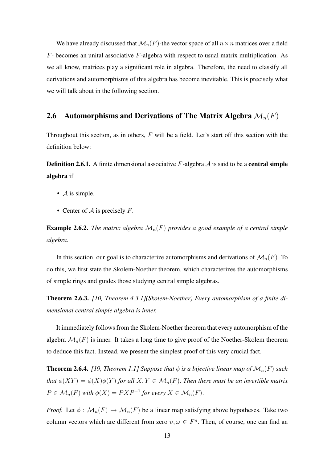We have already discussed that  $\mathcal{M}_n(F)$ -the vector space of all  $n \times n$  matrices over a field  $F$ - becomes an unital associative  $F$ -algebra with respect to usual matrix multiplication. As we all know, matrices play a significant role in algebra. Therefore, the need to classify all derivations and automorphisms of this algebra has become inevitable. This is precisely what we will talk about in the following section.

## 2.6 Automorphisms and Derivations of The Matrix Algebra  $\mathcal{M}_n(F)$

Throughout this section, as in others,  $F$  will be a field. Let's start off this section with the definition below:

**Definition 2.6.1.** A finite dimensional associative F-algebra  $\mathcal A$  is said to be a **central simple** algebra if

- $\bullet$  *A* is simple,
- Center of  $A$  is precisely  $F$ .

**Example 2.6.2.** *The matrix algebra*  $\mathcal{M}_n(F)$  *provides a good example of a central simple algebra.*

In this section, our goal is to characterize automorphisms and derivations of  $\mathcal{M}_n(F)$ . To do this, we first state the Skolem-Noether theorem, which characterizes the automorphisms of simple rings and guides those studying central simple algebras.

Theorem 2.6.3. *[10, Theorem 4.3.1](Skolem-Noether) Every automorphism of a finite dimensional central simple algebra is inner.*

It immediately follows from the Skolem-Noether theorem that every automorphism of the algebra  $\mathcal{M}_n(F)$  is inner. It takes a long time to give proof of the Noether-Skolem theorem to deduce this fact. Instead, we present the simplest proof of this very crucial fact.

**Theorem 2.6.4.** [19, Theorem 1.1] Suppose that  $\phi$  is a bijective linear map of  $\mathcal{M}_n(F)$  such *that*  $\phi(XY) = \phi(X)\phi(Y)$  *for all*  $X, Y \in \mathcal{M}_n(F)$ . *Then there must be an invertible matrix*  $P \in \mathcal{M}_n(F)$  with  $\phi(X) = PXP^{-1}$  for every  $X \in \mathcal{M}_n(F)$ .

*Proof.* Let  $\phi : \mathcal{M}_n(F) \to \mathcal{M}_n(F)$  be a linear map satisfying above hypotheses. Take two column vectors which are different from zero  $v, \omega \in F<sup>n</sup>$ . Then, of course, one can find an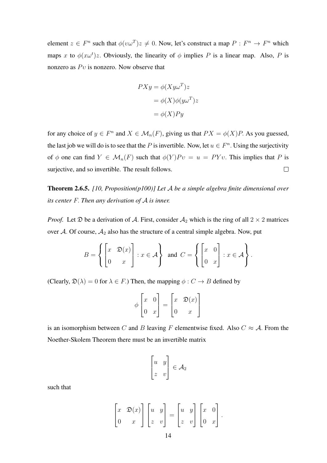element  $z \in F^n$  such that  $\phi(v\omega^T)z \neq 0$ . Now, let's construct a map  $P : F^n \to F^n$  which maps x to  $\phi(x\omega^t)z$ . Obviously, the linearity of  $\phi$  implies P is a linear map. Also, P is nonzero as  $Pv$  is nonzero. Now observe that

$$
PXy = \phi(Xy\omega^{T})z
$$
  
=  $\phi(X)\phi(y\omega^{T})z$   
=  $\phi(X)Py$ 

for any choice of  $y \in F^n$  and  $X \in \mathcal{M}_n(F)$ , giving us that  $PX = \phi(X)P$ . As you guessed, the last job we will do is to see that the P is invertible. Now, let  $u \in F<sup>n</sup>$ . Using the surjectivity of  $\phi$  one can find  $Y \in \mathcal{M}_n(F)$  such that  $\phi(Y)Pv = u = PYv$ . This implies that P is surjective, and so invertible. The result follows.  $\Box$ 

Theorem 2.6.5. *[10, Proposition(p100)] Let* A *be a simple algebra finite dimensional over its center* F. *Then any derivation of* A *is inner.*

*Proof.* Let  $\mathfrak D$  be a derivation of A. First, consider  $\mathcal A_2$  which is the ring of all  $2 \times 2$  matrices over A. Of course,  $A_2$  also has the structure of a central simple algebra. Now, put

$$
B = \left\{ \begin{bmatrix} x & \mathfrak{D}(x) \\ 0 & x \end{bmatrix} : x \in \mathcal{A} \right\} \text{ and } C = \left\{ \begin{bmatrix} x & 0 \\ 0 & x \end{bmatrix} : x \in \mathcal{A} \right\}.
$$

(Clearly,  $\mathfrak{D}(\lambda) = 0$  for  $\lambda \in F$ .) Then, the mapping  $\phi : C \to B$  defined by

$$
\phi \begin{bmatrix} x & 0 \\ 0 & x \end{bmatrix} = \begin{bmatrix} x & \mathfrak{D}(x) \\ 0 & x \end{bmatrix}
$$

is an isomorphism between C and B leaving F elementwise fixed. Also  $C \approx A$ . From the Noether-Skolem Theorem there must be an invertible matrix

$$
\begin{bmatrix} u & y \\ z & v \end{bmatrix} \in \mathcal{A}_2
$$

such that

$$
\begin{bmatrix} x & \mathfrak{D}(x) \\ 0 & x \end{bmatrix} \begin{bmatrix} u & y \\ z & v \end{bmatrix} = \begin{bmatrix} u & y \\ z & v \end{bmatrix} \begin{bmatrix} x & 0 \\ 0 & x \end{bmatrix}.
$$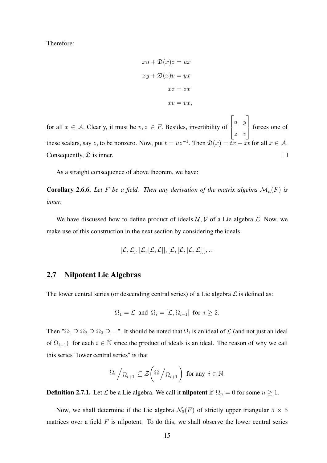Therefore:

$$
xu + \mathfrak{D}(x)z = ux
$$
  

$$
xy + \mathfrak{D}(x)v = yx
$$
  

$$
xz = zx
$$
  

$$
xv = vx,
$$

 $\sqrt{ }$ ן. u y for all  $x \in A$ . Clearly, it must be  $v, z \in F$ . Besides, invertibility of forces one of  $\overline{\phantom{a}}$ z v these scalars, say z, to be nonzero. Now, put  $t = uz^{-1}$ . Then  $\mathfrak{D}(x) = tx - xt$  for all  $x \in \mathcal{A}$ . Consequently,  $\mathcal{D}$  is inner.  $\Box$ 

As a straight consequence of above theorem, we have:

**Corollary 2.6.6.** Let F be a field. Then any derivation of the matrix algebra  $\mathcal{M}_n(F)$  is *inner.*

We have discussed how to define product of ideals  $U, V$  of a Lie algebra  $\mathcal{L}$ . Now, we make use of this construction in the next section by considering the ideals

$$
[\mathcal{L},\mathcal{L}],[\mathcal{L},[\mathcal{L},\mathcal{L}]], [\mathcal{L},[\mathcal{L},[\mathcal{L},\mathcal{L}]]],...
$$

## 2.7 Nilpotent Lie Algebras

The lower central series (or descending central series) of a Lie algebra  $\mathcal L$  is defined as:

$$
\Omega_1 = \mathcal{L}
$$
 and  $\Omega_i = [\mathcal{L}, \Omega_{i-1}]$  for  $i \geq 2$ .

Then " $\Omega_1 \supseteq \Omega_2 \supseteq \Omega_3 \supseteq ...$ ". It should be noted that  $\Omega_i$  is an ideal of  $\mathcal L$  (and not just an ideal of  $\Omega_{i-1}$ ) for each  $i \in \mathbb{N}$  since the product of ideals is an ideal. The reason of why we call this series "lower central series" is that

$$
\Omega_i / \Omega_{i+1} \subseteq \mathcal{Z}\left(\Omega / \Omega_{i+1}\right) \text{ for any } i \in \mathbb{N}.
$$

**Definition 2.7.1.** Let  $\mathcal L$  be a Lie algebra. We call it **nilpotent** if  $\Omega_n = 0$  for some  $n \geq 1$ .

Now, we shall determine if the Lie algebra  $\mathcal{N}_5(F)$  of strictly upper triangular  $5 \times 5$ matrices over a field  $F$  is nilpotent. To do this, we shall observe the lower central series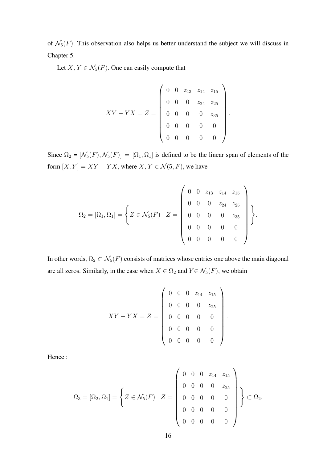of  $\mathcal{N}_5(F)$ . This observation also helps us better understand the subject we will discuss in Chapter 5.

Let  $X, Y \in \mathcal{N}_5(F)$ . One can easily compute that

$$
XY - YX = Z = \begin{pmatrix} 0 & 0 & z_{13} & z_{14} & z_{15} \\ 0 & 0 & 0 & z_{24} & z_{25} \\ 0 & 0 & 0 & 0 & z_{35} \\ 0 & 0 & 0 & 0 & 0 \\ 0 & 0 & 0 & 0 & 0 \end{pmatrix}.
$$

Since  $\Omega_2 = [\mathcal{N}_5(F), \mathcal{N}_5(F)] = [\Omega_1, \Omega_1]$  is defined to be the linear span of elements of the form  $[X, Y] = XY - YX$ , where  $X, Y \in \mathcal{N}(5, F)$ , we have

$$
\Omega_2 = [\Omega_1, \Omega_1] = \left\{ Z \in \mathcal{N}_5(F) \mid Z = \left( \begin{array}{cccc} 0 & 0 & z_{13} & z_{14} & z_{15} \\ 0 & 0 & 0 & z_{24} & z_{25} \\ 0 & 0 & 0 & 0 & z_{35} \\ 0 & 0 & 0 & 0 & 0 \\ 0 & 0 & 0 & 0 & 0 \end{array} \right) \right\}.
$$

In other words,  $\Omega_2 \subset \mathcal{N}_5(F)$  consists of matrices whose entries one above the main diagonal are all zeros. Similarly, in the case when  $X \in \Omega_2$  and  $Y \in \mathcal{N}_5(F)$ , we obtain

$$
XY - YX = Z = \begin{pmatrix} 0 & 0 & 0 & z_{14} & z_{15} \\ 0 & 0 & 0 & 0 & z_{25} \\ 0 & 0 & 0 & 0 & 0 \\ 0 & 0 & 0 & 0 & 0 \\ 0 & 0 & 0 & 0 & 0 \end{pmatrix}.
$$

Hence :

$$
\Omega_3 = [\Omega_2, \Omega_1] = \left\{ Z \in \mathcal{N}_5(F) \mid Z = \left( \begin{array}{cccc} 0 & 0 & 0 & z_{14} & z_{15} \\ 0 & 0 & 0 & 0 & z_{25} \\ 0 & 0 & 0 & 0 & 0 \\ 0 & 0 & 0 & 0 & 0 \\ 0 & 0 & 0 & 0 & 0 \end{array} \right) \right\} \subset \Omega_2.
$$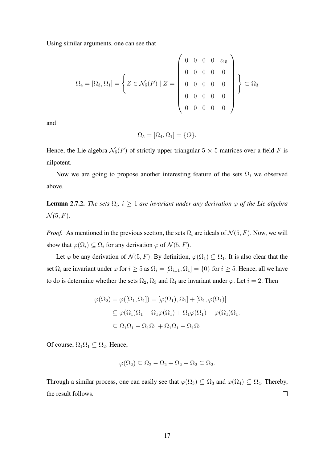Using similar arguments, one can see that

$$
\Omega_4 = [\Omega_3, \Omega_1] = \left\{ Z \in \mathcal{N}_5(F) \mid Z = \left( \begin{array}{cccc} 0 & 0 & 0 & 0 & z_{15} \\ 0 & 0 & 0 & 0 & 0 \\ 0 & 0 & 0 & 0 & 0 \\ 0 & 0 & 0 & 0 & 0 \\ 0 & 0 & 0 & 0 & 0 \end{array} \right) \right\} \subset \Omega_3
$$

and

$$
\Omega_5 = [\Omega_4, \Omega_1] = \{O\}.
$$

Hence, the Lie algebra  $\mathcal{N}_5(F)$  of strictly upper triangular  $5 \times 5$  matrices over a field F is nilpotent.

Now we are going to propose another interesting feature of the sets  $\Omega_i$  we observed above.

**Lemma 2.7.2.** *The sets*  $\Omega_i$ ,  $i \geq 1$  *are invariant under any derivation*  $\varphi$  *of the Lie algebra*  $\mathcal{N}(5, F)$ .

*Proof.* As mentioned in the previous section, the sets  $\Omega_i$  are ideals of  $\mathcal{N}(5, F)$ . Now, we will show that  $\varphi(\Omega_i) \subseteq \Omega_i$  for any derivation  $\varphi$  of  $\mathcal{N}(5, F)$ .

Let  $\varphi$  be any derivation of  $\mathcal{N}(5, F)$ . By definition,  $\varphi(\Omega_1) \subseteq \Omega_1$ . It is also clear that the set  $\Omega_i$  are invariant under  $\varphi$  for  $i \geq 5$  as  $\Omega_i = [\Omega_{i-1}, \Omega_1] = \{0\}$  for  $i \geq 5$ . Hence, all we have to do is determine whether the sets  $\Omega_2, \Omega_3$  and  $\Omega_4$  are invariant under  $\varphi$ . Let  $i = 2$ . Then

$$
\varphi(\Omega_2) = \varphi([\Omega_1, \Omega_1]) = [\varphi(\Omega_1), \Omega_1] + [\Omega_1, \varphi(\Omega_1)]
$$
  
\n
$$
\subseteq \varphi(\Omega_1)\Omega_1 - \Omega_1\varphi(\Omega_1) + \Omega_1\varphi(\Omega_1) - \varphi(\Omega_1)\Omega_1.
$$
  
\n
$$
\subseteq \Omega_1\Omega_1 - \Omega_1\Omega_1 + \Omega_1\Omega_1 - \Omega_1\Omega_1
$$

Of course,  $\Omega_1 \Omega_1 \subseteq \Omega_2$ . Hence,

$$
\varphi(\Omega_2) \subseteq \Omega_2 - \Omega_2 + \Omega_2 - \Omega_2 \subseteq \Omega_2.
$$

Through a similar process, one can easily see that  $\varphi(\Omega_3) \subseteq \Omega_3$  and  $\varphi(\Omega_4) \subseteq \Omega_4$ . Thereby, the result follows.  $\Box$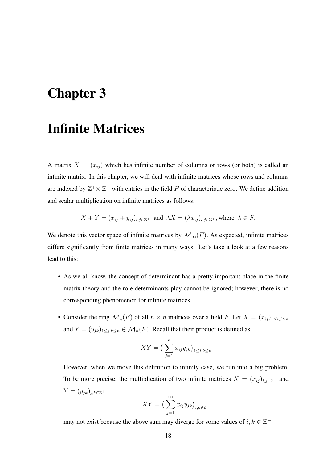# Chapter 3

# Infinite Matrices

A matrix  $X = (x_{ij})$  which has infinite number of columns or rows (or both) is called an infinite matrix. In this chapter, we will deal with infinite matrices whose rows and columns are indexed by  $\mathbb{Z}^+ \times \mathbb{Z}^+$  with entries in the field F of characteristic zero. We define addition and scalar multiplication on infinite matrices as follows:

$$
X + Y = (x_{ij} + y_{ij})_{i,j \in \mathbb{Z}^+} \text{ and } \lambda X = (\lambda x_{ij})_{i,j \in \mathbb{Z}^+}, \text{where } \lambda \in F.
$$

We denote this vector space of infinite matrices by  $\mathcal{M}_{\infty}(F)$ . As expected, infinite matrices differs significantly from finite matrices in many ways. Let's take a look at a few reasons lead to this:

- As we all know, the concept of determinant has a pretty important place in the finite matrix theory and the role determinants play cannot be ignored; however, there is no corresponding phenomenon for infinite matrices.
- Consider the ring  $\mathcal{M}_n(F)$  of all  $n \times n$  matrices over a field F. Let  $X = (x_{ij})_{1 \le i,j \le n}$ and  $Y = (y_{jk})_{1 \leq j,k \leq n} \in \mathcal{M}_n(F)$ . Recall that their product is defined as

$$
XY = \left(\sum_{j=1}^{n} x_{ij} y_{jk}\right)_{1 \le i,k \le n}
$$

However, when we move this definition to infinity case, we run into a big problem. To be more precise, the multiplication of two infinite matrices  $X = (x_{ij})_{i,j \in \mathbb{Z}^+}$  and  $Y = (y_{jk})_{j,k \in \mathbb{Z}^+}$ 

$$
XY = \left(\sum_{j=1}^{\infty} x_{ij} y_{jk}\right)_{i,k \in \mathbb{Z}^+}
$$

may not exist because the above sum may diverge for some values of  $i, k \in \mathbb{Z}^+$ .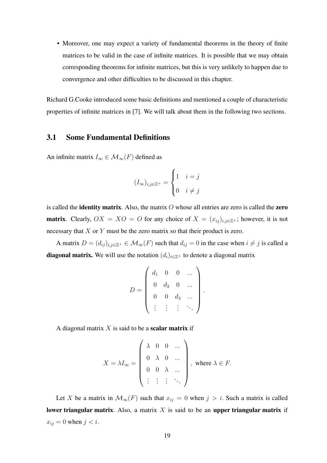• Moreover, one may expect a variety of fundamental theorems in the theory of finite matrices to be valid in the case of infinite matrices. It is possible that we may obtain corresponding theorems for infinite matrices, but this is very unlikely to happen due to convergence and other difficulties to be discussed in this chapter.

Richard G.Cooke introduced some basic definitions and mentioned a couple of characteristic properties of infinite matrices in [7]. We will talk about them in the following two sections.

## 3.1 Some Fundamental Definitions

An infinite matrix  $I_{\infty} \in \mathcal{M}_{\infty}(F)$  defined as

$$
(I_{\infty})_{i,j\in\mathbb{Z}^+} = \begin{cases} 1 & i=j \\ 0 & i\neq j \end{cases}
$$

is called the **identity matrix**. Also, the matrix  $O$  whose all entries are zero is called the **zero matrix**. Clearly,  $OX = XO = O$  for any choice of  $X = (x_{ij})_{i,j\in\mathbb{Z}^+}$ ; however, it is not necessary that  $X$  or  $Y$  must be the zero matrix so that their product is zero.

A matrix  $D = (d_{ij})_{i,j\in\mathbb{Z}^+}\in\mathcal{M}_{\infty}(F)$  such that  $d_{ij} = 0$  in the case when  $i \neq j$  is called a **diagonal matrix.** We will use the notation  $(d_i)_{i \in \mathbb{Z}^+}$  to denote a diagonal matrix

$$
D = \left( \begin{array}{cccc} d_1 & 0 & 0 & \dots \\ 0 & d_2 & 0 & \dots \\ 0 & 0 & d_3 & \dots \\ \vdots & \vdots & \vdots & \ddots \end{array} \right)
$$

.

A diagonal matrix  $X$  is said to be a **scalar matrix** if

$$
X = \lambda I_{\infty} = \begin{pmatrix} \lambda & 0 & 0 & \dots \\ 0 & \lambda & 0 & \dots \\ 0 & 0 & \lambda & \dots \\ \vdots & \vdots & \vdots & \ddots \end{pmatrix}, \text{ where } \lambda \in F.
$$

Let X be a matrix in  $\mathcal{M}_{\infty}(F)$  such that  $x_{ij} = 0$  when  $j > i$ . Such a matrix is called lower triangular matrix. Also, a matrix  $X$  is said to be an upper triangular matrix if  $x_{ij} = 0$  when  $j < i$ .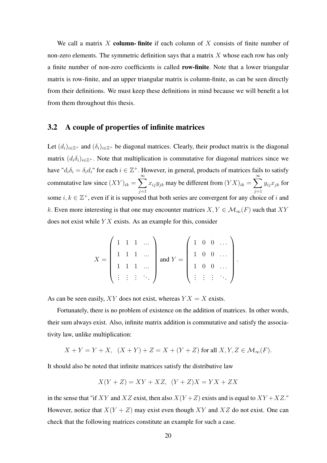We call a matrix X column- finite if each column of X consists of finite number of non-zero elements. The symmetric definition says that a matrix  $X$  whose each row has only a finite number of non-zero coefficients is called row-finite. Note that a lower triangular matrix is row-finite, and an upper triangular matrix is column-finite, as can be seen directly from their definitions. We must keep these definitions in mind because we will benefit a lot from them throughout this thesis.

### 3.2 A couple of properties of infinite matrices

Let  $(d_i)_{i\in\mathbb{Z}^+}$  and  $(\delta_i)_{i\in\mathbb{Z}^+}$  be diagonal matrices. Clearly, their product matrix is the diagonal matrix  $(d_i \delta_i)_{i \in \mathbb{Z}^+}$ . Note that multiplication is commutative for diagonal matrices since we have " $d_i \delta_i = \delta_i d_i$ " for each  $i \in \mathbb{Z}^+$ . However, in general, products of matrices fails to satisfy commutative law since  $(XY)_{ik} = \sum_{k=1}^{\infty}$  $j=1$  $x_{ij}y_{jk}$  may be different from  $(YX)_{ik} = \sum_{k=1}^{\infty}$  $j=1$  $y_{ij}x_{jk}$  for some  $i, k \in \mathbb{Z}^+$ , even if it is supposed that both series are convergent for any choice of i and k. Even more interesting is that one may encounter matrices  $X, Y \in \mathcal{M}_{\infty}(F)$  such that XY does not exist while  $YX$  exists. As an example for this, consider

$$
X = \left(\begin{array}{cccc} 1 & 1 & 1 & \dots \\ 1 & 1 & 1 & \dots \\ 1 & 1 & 1 & \dots \\ \vdots & \vdots & \vdots & \ddots \end{array}\right) \text{ and } Y = \left(\begin{array}{cccc} 1 & 0 & 0 & \dots \\ 1 & 0 & 0 & \dots \\ 1 & 0 & 0 & \dots \\ \vdots & \vdots & \vdots & \ddots \end{array}\right).
$$

As can be seen easily, XY does not exist, whereas  $YX = X$  exists.

Fortunately, there is no problem of existence on the addition of matrices. In other words, their sum always exist. Also, infinite matrix addition is commutative and satisfy the associativity law, unlike multiplication:

$$
X + Y = Y + X, \quad (X + Y) + Z = X + (Y + Z) \text{ for all } X, Y, Z \in \mathcal{M}_{\infty}(F).
$$

It should also be noted that infinite matrices satisfy the distributive law

$$
X(Y+Z) = XY + XZ, \ \ (Y+Z)X = YX + ZX
$$

in the sense that "if XY and XZ exist, then also  $X(Y+Z)$  exists and is equal to  $XY+XZ$ ." However, notice that  $X(Y + Z)$  may exist even though XY and XZ do not exist. One can check that the following matrices constitute an example for such a case.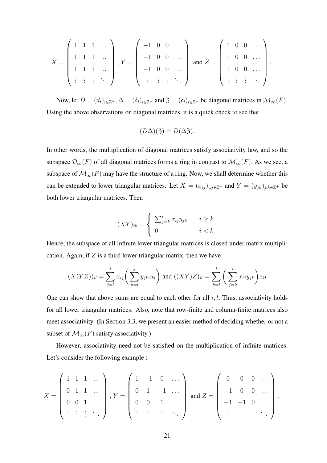$$
X = \begin{pmatrix} 1 & 1 & 1 & \dots \\ 1 & 1 & 1 & \dots \\ 1 & 1 & 1 & \dots \\ \vdots & \vdots & \vdots & \ddots \end{pmatrix}, Y = \begin{pmatrix} -1 & 0 & 0 & \dots \\ -1 & 0 & 0 & \dots \\ -1 & 0 & 0 & \dots \\ \vdots & \vdots & \vdots & \ddots \end{pmatrix} \text{ and } Z = \begin{pmatrix} 1 & 0 & 0 & \dots \\ 1 & 0 & 0 & \dots \\ 1 & 0 & 0 & \dots \\ \vdots & \vdots & \vdots & \ddots \end{pmatrix}.
$$

Now, let  $D = (d_i)_{i \in \mathbb{Z}^+}, \Delta = (\delta_i)_{i \in \mathbb{Z}^+}$  and  $\mathfrak{Z} = (\mathfrak{c}_i)_{i \in \mathbb{Z}^+}$  be diagonal matrices in  $\mathcal{M}_{\infty}(F)$ . Using the above observations on diagonal matrices, it is a quick check to see that

$$
(D\Delta)(3) = D(\Delta 3).
$$

In other words, the multiplication of diagonal matrices satisfy associativity law, and so the subspace  $\mathcal{D}_{\infty}(F)$  of all diagonal matrices forms a ring in contrast to  $\mathcal{M}_{\infty}(F)$ . As we see, a subspace of  $\mathcal{M}_{\infty}(F)$  may have the structure of a ring. Now, we shall determine whether this can be extended to lower triangular matrices. Let  $X = (x_{ij})_{i,j\in\mathbb{Z}^+}$  and  $Y = (y_{jk})_{j,k\in\mathbb{Z}^+}$  be both lower triangular matrices. Then

$$
(XY)_{ik} = \begin{cases} \sum_{j=k}^{i} x_{ij} y_{jk} & i \ge k \\ 0 & i < k \end{cases}
$$

Hence, the subspace of all infinite lower triangular matrices is closed under matrix multiplication. Again, if  $Z$  is a third lower triangular matrix, then we have

$$
(X(YZ))_{il} = \sum_{j=l}^{i} x_{ij} \bigg( \sum_{k=l}^{j} y_{jk} z_{kl} \bigg) \text{ and } ((XY)Z)_{il} = \sum_{k=l}^{i} \bigg( \sum_{j=k}^{i} x_{ij} y_{jk} \bigg) z_{kl}
$$

One can show that above sums are equal to each other for all  $i, l$ . Thus, associativity holds for all lower triangular matrices. Also, note that row-finite and column-finite matrices also meet associativity. (In Section 3.3, we present an easier method of deciding whether or not a subset of  $\mathcal{M}_{\infty}(F)$  satisfy associativity.)

However, associativity need not be satisfied on the multiplication of infinite matrices. Let's consider the following example :

$$
X = \begin{pmatrix} 1 & 1 & 1 & \dots \\ 0 & 1 & 1 & \dots \\ 0 & 0 & 1 & \dots \\ \vdots & \vdots & \vdots & \ddots \end{pmatrix}, Y = \begin{pmatrix} 1 & -1 & 0 & \dots \\ 0 & 1 & -1 & \dots \\ 0 & 0 & 1 & \dots \\ \vdots & \vdots & \vdots & \ddots \end{pmatrix} \text{ and } Z = \begin{pmatrix} 0 & 0 & 0 & \dots \\ -1 & 0 & 0 & \dots \\ -1 & -1 & 0 & \dots \\ \vdots & \vdots & \vdots & \ddots \end{pmatrix}.
$$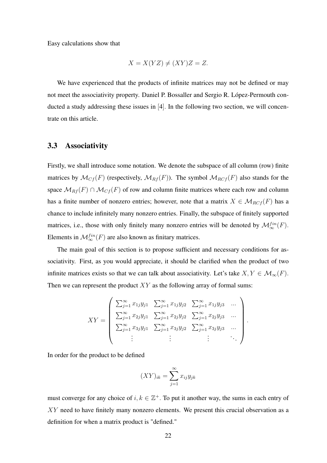Easy calculations show that

$$
X = X(YZ) \neq (XY)Z = Z.
$$

We have experienced that the products of infinite matrices may not be defined or may not meet the associativity property. Daniel P. Bossaller and Sergio R. López-Permouth conducted a study addressing these issues in [4]. In the following two section, we will concentrate on this article.

### 3.3 Associativity

Firstly, we shall introduce some notation. We denote the subspace of all column (row) finite matrices by  $\mathcal{M}_{Cf}(F)$  (respectively,  $\mathcal{M}_{Rf}(F)$ ). The symbol  $\mathcal{M}_{Rcf}(F)$  also stands for the space  $\mathcal{M}_{Rf}(F) \cap \mathcal{M}_{Cf}(F)$  of row and column finite matrices where each row and column has a finite number of nonzero entries; however, note that a matrix  $X \in \mathcal{M}_{RCf}(F)$  has a chance to include infinitely many nonzero entries. Finally, the subspace of finitely supported matrices, i.e., those with only finitely many nonzero entries will be denoted by  $\mathcal{M}^{fin}_{\infty}(F)$ . Elements in  $\mathcal{M}^{fin}_{\infty}(F)$  are also known as finitary matrices.

The main goal of this section is to propose sufficient and necessary conditions for associativity. First, as you would appreciate, it should be clarified when the product of two infinite matrices exists so that we can talk about associativity. Let's take  $X, Y \in \mathcal{M}_{\infty}(F)$ . Then we can represent the product  $XY$  as the following array of formal sums:

$$
XY = \begin{pmatrix} \sum_{j=1}^{\infty} x_{1j}y_{j1} & \sum_{j=1}^{\infty} x_{1j}y_{j2} & \sum_{j=1}^{\infty} x_{1j}y_{j3} & \dots \\ \sum_{j=1}^{\infty} x_{2j}y_{j1} & \sum_{j=1}^{\infty} x_{2j}y_{j2} & \sum_{j=1}^{\infty} x_{2j}y_{j3} & \dots \\ \sum_{j=1}^{\infty} x_{3j}y_{j1} & \sum_{j=1}^{\infty} x_{3j}y_{j2} & \sum_{j=1}^{\infty} x_{3j}y_{j3} & \dots \\ \vdots & \vdots & \ddots & \ddots \end{pmatrix}.
$$

In order for the product to be defined

$$
(XY)_{ik} = \sum_{j=1}^{\infty} x_{ij} y_{jk}
$$

must converge for any choice of  $i, k \in \mathbb{Z}^+$ . To put it another way, the sums in each entry of XY need to have finitely many nonzero elements. We present this crucial observation as a definition for when a matrix product is "defined."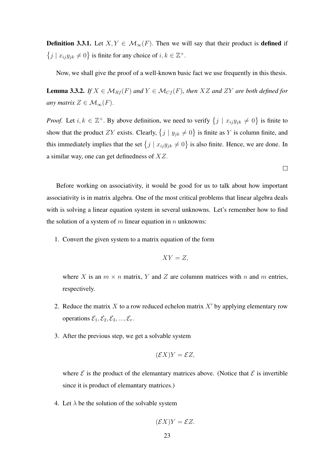**Definition 3.3.1.** Let  $X, Y \in \mathcal{M}_{\infty}(F)$ . Then we will say that their product is **defined** if  $\{j \mid x_{ij}y_{jk} \neq 0\}$  is finite for any choice of  $i, k \in \mathbb{Z}^+$ .

Now, we shall give the proof of a well-known basic fact we use frequently in this thesis.

**Lemma 3.3.2.** *If*  $X \in \mathcal{M}_{Rf}(F)$  *and*  $Y \in \mathcal{M}_{Cf}(F)$ *, then*  $XZ$  *and*  $ZY$  *are both defined for any matrix*  $Z \in \mathcal{M}_{\infty}(F)$ .

*Proof.* Let  $i, k \in \mathbb{Z}^+$ . By above definition, we need to verify  $\{j \mid x_{ij}y_{jk} \neq 0\}$  is finite to show that the product ZY exists. Clearly,  $\{j \mid y_{jk} \neq 0\}$  is finite as Y is column finite, and this immediately implies that the set  $\{j \mid x_{ij}y_{jk} \neq 0\}$  is also finite. Hence, we are done. In a similar way, one can get definedness of XZ.

 $\Box$ 

Before working on associativity, it would be good for us to talk about how important associativity is in matrix algebra. One of the most critical problems that linear algebra deals with is solving a linear equation system in several unknowns. Let's remember how to find the solution of a system of m linear equation in n unknowns:

1. Convert the given system to a matrix equation of the form

$$
XY=Z,
$$

where X is an  $m \times n$  matrix, Y and Z are columnn matrices with n and m entries, respectively.

- 2. Reduce the matrix X to a row reduced echelon matrix  $X'$  by applying elementary row operations  $\mathcal{E}_1, \mathcal{E}_2, \mathcal{E}_3, ..., \mathcal{E}_r$ .
- 3. After the previous step, we get a solvable system

$$
(\mathcal{E}X)Y = \mathcal{E}Z,
$$

where  $\mathcal E$  is the product of the elemantary matrices above. (Notice that  $\mathcal E$  is invertible since it is product of elemantary matrices.)

4. Let  $\lambda$  be the solution of the solvable system

$$
(\mathcal{E}X)Y = \mathcal{E}Z.
$$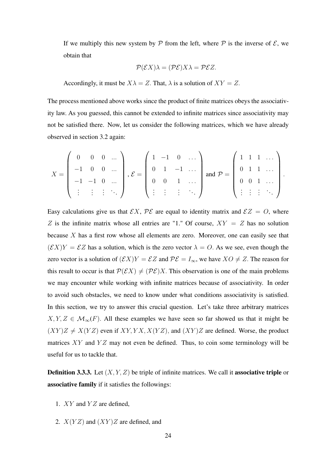If we multiply this new system by  $P$  from the left, where  $P$  is the inverse of  $E$ , we obtain that

$$
\mathcal{P}(\mathcal{E}X)\lambda = (\mathcal{P}\mathcal{E})X\lambda = \mathcal{P}\mathcal{E}Z.
$$

Accordingly, it must be  $X\lambda = Z$ . That,  $\lambda$  is a solution of  $XY = Z$ .

The process mentioned above works since the product of finite matrices obeys the associativity law. As you guessed, this cannot be extended to infinite matrices since associativity may not be satisfied there. Now, let us consider the following matrices, which we have already observed in section 3.2 again:

$$
X = \begin{pmatrix} 0 & 0 & 0 & \dots \\ -1 & 0 & 0 & \dots \\ -1 & -1 & 0 & \dots \\ \vdots & \vdots & \vdots & \ddots \end{pmatrix}, \mathcal{E} = \begin{pmatrix} 1 & -1 & 0 & \dots \\ 0 & 1 & -1 & \dots \\ 0 & 0 & 1 & \dots \\ \vdots & \vdots & \vdots & \ddots \end{pmatrix} \text{ and } \mathcal{P} = \begin{pmatrix} 1 & 1 & 1 & \dots \\ 0 & 1 & 1 & \dots \\ 0 & 0 & 1 & \dots \\ \vdots & \vdots & \vdots & \ddots \end{pmatrix}.
$$

Easy calculations give us that  $\mathcal{E}X$ ,  $\mathcal{P}\mathcal{E}$  are equal to identity matrix and  $\mathcal{E}Z = O$ , where Z is the infinite matrix whose all entries are "1." Of course,  $XY = Z$  has no solution because  $X$  has a first row whose all elements are zero. Moreover, one can easily see that  $(\mathcal{E}X)Y = \mathcal{E}Z$  has a solution, which is the zero vector  $\lambda = O$ . As we see, even though the zero vector is a solution of  $(\mathcal{E}X)Y = \mathcal{E}Z$  and  $\mathcal{P}\mathcal{E} = I_{\infty}$ , we have  $XO \neq Z$ . The reason for this result to occur is that  $\mathcal{P}(\mathcal{E}X) \neq (\mathcal{P}\mathcal{E})X$ . This observation is one of the main problems we may encounter while working with infinite matrices because of associativity. In order to avoid such obstacles, we need to know under what conditions associativity is satisfied. In this section, we try to answer this crucial question. Let's take three arbitrary matrices  $X, Y, Z \in \mathcal{M}_{\infty}(F)$ . All these examples we have seen so far showed us that it might be  $(XY)Z \neq X(YZ)$  even if  $XY, YX, X(YZ)$ , and  $(XY)Z$  are defined. Worse, the product matrices  $XY$  and  $YZ$  may not even be defined. Thus, to coin some terminology will be useful for us to tackle that.

**Definition 3.3.3.** Let  $(X, Y, Z)$  be triple of infinite matrices. We call it **associative triple** or associative family if it satisfies the followings:

- 1.  $XY$  and  $YZ$  are defined,
- 2.  $X(YZ)$  and  $(XY)Z$  are defined, and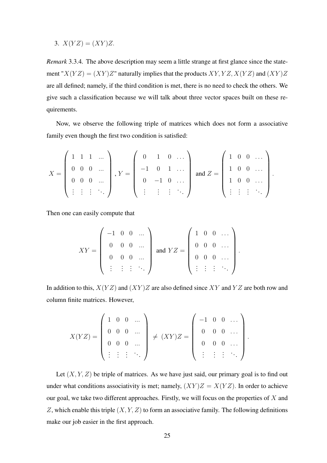3.  $X(YZ) = (XY)Z$ .

*Remark* 3.3.4*.* The above description may seem a little strange at first glance since the statement " $X(YZ) = (XY)Z$ " naturally implies that the products  $XY, YZ, X(YZ)$  and  $(XY)Z$ are all defined; namely, if the third condition is met, there is no need to check the others. We give such a classification because we will talk about three vector spaces built on these requirements.

Now, we observe the following triple of matrices which does not form a associative family even though the first two condition is satisfied:

$$
X = \begin{pmatrix} 1 & 1 & 1 & \dots \\ 0 & 0 & 0 & \dots \\ 0 & 0 & 0 & \dots \\ \vdots & \vdots & \vdots & \ddots \end{pmatrix}, Y = \begin{pmatrix} 0 & 1 & 0 & \dots \\ -1 & 0 & 1 & \dots \\ 0 & -1 & 0 & \dots \\ \vdots & \vdots & \vdots & \ddots \end{pmatrix} \text{ and } Z = \begin{pmatrix} 1 & 0 & 0 & \dots \\ 1 & 0 & 0 & \dots \\ 1 & 0 & 0 & \dots \\ \vdots & \vdots & \vdots & \ddots \end{pmatrix}
$$

.

Then one can easily compute that

$$
XY = \left(\begin{array}{cccc} -1 & 0 & 0 & \dots \\ 0 & 0 & 0 & \dots \\ 0 & 0 & 0 & \dots \\ \vdots & \vdots & \vdots & \ddots \end{array}\right) \text{ and } YZ = \left(\begin{array}{cccc} 1 & 0 & 0 & \dots \\ 0 & 0 & 0 & \dots \\ 0 & 0 & 0 & \dots \\ \vdots & \vdots & \vdots & \ddots \end{array}\right).
$$

In addition to this,  $X(YZ)$  and  $(XY)Z$  are also defined since XY and YZ are both row and column finite matrices. However,

$$
X(YZ) = \begin{pmatrix} 1 & 0 & 0 & \dots \\ 0 & 0 & 0 & \dots \\ 0 & 0 & 0 & \dots \\ \vdots & \vdots & \vdots & \ddots \end{pmatrix} \neq (XY)Z = \begin{pmatrix} -1 & 0 & 0 & \dots \\ 0 & 0 & 0 & \dots \\ 0 & 0 & 0 & \dots \\ \vdots & \vdots & \vdots & \ddots \end{pmatrix}.
$$

Let  $(X, Y, Z)$  be triple of matrices. As we have just said, our primary goal is to find out under what conditions associativity is met; namely,  $(XY)Z = X(YZ)$ . In order to achieve our goal, we take two different approaches. Firstly, we will focus on the properties of  $X$  and Z, which enable this triple  $(X, Y, Z)$  to form an associative family. The following definitions make our job easier in the first approach.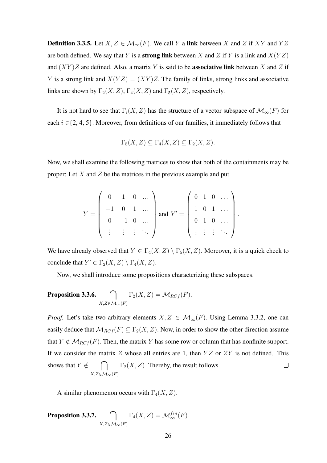**Definition 3.3.5.** Let  $X, Z \in \mathcal{M}_{\infty}(F)$ . We call Y a link between X and Z if XY and YZ are both defined. We say that Y is a **strong link** between X and Z if Y is a link and  $X(YZ)$ and  $(XY)Z$  are defined. Also, a matrix Y is said to be **associative link** between X and Z if Y is a strong link and  $X(YZ) = (XY)Z$ . The family of links, strong links and associative links are shown by  $\Gamma_2(X, Z)$ ,  $\Gamma_4(X, Z)$  and  $\Gamma_5(X, Z)$ , respectively.

It is not hard to see that  $\Gamma_i(X, Z)$  has the structure of a vector subspace of  $\mathcal{M}_{\infty}(F)$  for each  $i \in \{2, 4, 5\}$ . Moreover, from definitions of our families, it immediately follows that

$$
\Gamma_5(X,Z) \subseteq \Gamma_4(X,Z) \subseteq \Gamma_2(X,Z).
$$

Now, we shall examine the following matrices to show that both of the containments may be proper: Let  $X$  and  $Z$  be the matrices in the previous example and put

$$
Y = \left(\begin{array}{cccc} 0 & 1 & 0 & \dots \\ -1 & 0 & 1 & \dots \\ 0 & -1 & 0 & \dots \\ \vdots & \vdots & \vdots & \ddots \end{array}\right) \text{ and } Y' = \left(\begin{array}{cccc} 0 & 1 & 0 & \dots \\ 1 & 0 & 1 & \dots \\ 0 & 1 & 0 & \dots \\ \vdots & \vdots & \vdots & \ddots \end{array}\right).
$$

We have already observed that  $Y \in \Gamma_4(X, Z) \setminus \Gamma_5(X, Z)$ . Moreover, it is a quick check to conclude that  $Y' \in \Gamma_2(X, Z) \setminus \Gamma_4(X, Z)$ .

Now, we shall introduce some propositions characterizing these subspaces.

**Proposition 3.3.6.** 
$$
\bigcap_{X,Z \in \mathcal{M}_{\infty}(F)} \Gamma_2(X,Z) = \mathcal{M}_{RCf}(F).
$$

*Proof.* Let's take two arbitrary elements  $X, Z \in \mathcal{M}_{\infty}(F)$ . Using Lemma 3.3.2, one can easily deduce that  $\mathcal{M}_{RCf}(F) \subseteq \Gamma_2(X, Z)$ . Now, in order to show the other direction assume that  $Y \notin \mathcal{M}_{RCf}(F)$ . Then, the matrix Y has some row or column that has nonfinite support. If we consider the matrix  $Z$  whose all entries are 1, then  $YZ$  or  $ZY$  is not defined. This  $\bigcap$   $\Gamma_2(X, Z)$ . Thereby, the result follows. shows that  $Y \notin$  $\Box$  $X, Z \in \mathcal{M}_{\infty}(F)$ 

A similar phenomenon occurs with  $\Gamma_4(X, Z)$ .

Proposition 3.3.7.  $\bigcap$  $X,Z{\in}\mathcal{M}_\infty(F)$  $\Gamma_4(X,Z) = \mathcal{M}^{fin}_{\infty}(F).$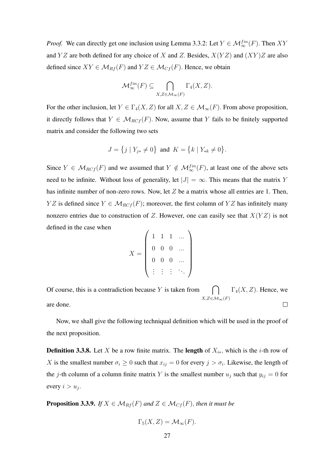*Proof.* We can directly get one inclusion using Lemma 3.3.2: Let  $Y \in \mathcal{M}_{\infty}^{fin}(F)$ . Then XY and YZ are both defined for any choice of X and Z. Besides,  $X(YZ)$  and  $(XY)Z$  are also defined since  $XY \in \mathcal{M}_{Rf}(F)$  and  $YZ \in \mathcal{M}_{Cf}(F)$ . Hence, we obtain

$$
\mathcal{M}^{fin}_{\infty}(F) \subseteq \bigcap_{X,Z \in \mathcal{M}_{\infty}(F)} \Gamma_4(X,Z).
$$

For the other inclusion, let  $Y \in \Gamma_4(X, Z)$  for all  $X, Z \in \mathcal{M}_{\infty}(F)$ . From above proposition, it directly follows that  $Y \in \mathcal{M}_{RCf}(F)$ . Now, assume that Y fails to be finitely supported matrix and consider the following two sets

$$
J = \{ j \mid Y_{j*} \neq 0 \} \text{ and } K = \{ k \mid Y_{*k} \neq 0 \}.
$$

Since  $Y \in \mathcal{M}_{RCf}(F)$  and we assumed that  $Y \notin \mathcal{M}_{\infty}^{fin}(F)$ , at least one of the above sets need to be infinite. Without loss of generality, let  $|J| = \infty$ . This means that the matrix Y has infinite number of non-zero rows. Now, let  $Z$  be a matrix whose all entries are 1. Then, YZ is defined since  $Y \in \mathcal{M}_{R C f}(F)$ ; moreover, the first column of YZ has infinitely many nonzero entries due to construction of Z. However, one can easily see that  $X(YZ)$  is not defined in the case when

$$
X = \left(\begin{array}{cccc} 1 & 1 & 1 & \dots \\ 0 & 0 & 0 & \dots \\ 0 & 0 & 0 & \dots \\ \vdots & \vdots & \vdots & \ddots \end{array}\right)
$$

 $\bigcap_{K,Z \in M} \Gamma_4(X,Z)$ . Hence, we Of course, this is a contradiction because  $Y$  is taken from  $X,Z\in\mathcal{M}_{\infty}(F)$ are done.  $\Box$ 

Now, we shall give the following techniqual definition which will be used in the proof of the next proposition.

**Definition 3.3.8.** Let X be a row finite matrix. The **length** of  $X_{i*}$ , which is the *i*-th row of X is the smallest number  $\sigma_i \geq 0$  such that  $x_{ij} = 0$  for every  $j > \sigma_i$ . Likewise, the length of the j-th column of a column finite matrix Y is the smallest number  $u_j$  such that  $y_{ij} = 0$  for every  $i > u_j$ .

**Proposition 3.3.9.** *If*  $X \in \mathcal{M}_{Rf}(F)$  *and*  $Z \in \mathcal{M}_{Cf}(F)$ *, then it must be* 

$$
\Gamma_5(X, Z) = \mathcal{M}_{\infty}(F).
$$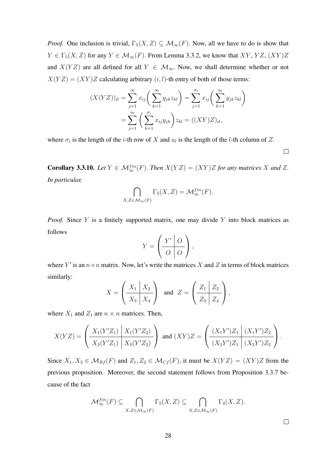*Proof.* One inclusion is trivial,  $\Gamma_5(X, Z) \subseteq \mathcal{M}_{\infty}(F)$ . Now, all we have to do is show that  $Y \in \Gamma_5(X, Z)$  for any  $Y \in \mathcal{M}_\infty(F)$ . From Lemma 3.3.2, we know that  $XY, YZ, (XY)Z$ and  $X(YZ)$  are all defined for all  $Y \in \mathcal{M}_{\infty}$ . Now, we shall determine whether or not  $X(YZ) = (XY)Z$  calculating arbitrary  $(i, l)$ -th entry of both of those terms:

$$
(X(YZ))_{il} = \sum_{j=1}^{\infty} x_{ij} \left( \sum_{k=1}^{\infty} y_{jk} z_{kl} \right) = \sum_{j=1}^{\sigma_i} x_{ij} \left( \sum_{k=1}^{u_i} y_{jk} z_{kl} \right)
$$

$$
= \sum_{j=1}^{u_l} \left( \sum_{k=1}^{\sigma_i} x_{ij} y_{jk} \right) z_{kl} = ((XY)Z)_{il},
$$

where  $\sigma_i$  is the length of the *i*-th row of X and  $u_l$  is the length of the *l*-th column of Z.

 $\Box$ 

**Corollary 3.3.10.** *Let*  $Y \in \mathcal{M}_{\infty}^{fin}(F)$ *. Then*  $X(YZ) = (XY)Z$  *for any matrices* X *and* Z. *In particular,*

$$
\bigcap_{X,Z \in \mathcal{M}_{\infty}(F)} \Gamma_5(X,Z) = \mathcal{M}_{\infty}^{fin}(F).
$$

*Proof.* Since Y is a finitely supported matrix, one may divide Y into block matrices as follows  $\overline{1}$ 

$$
Y = \left(\begin{array}{c|c} Y' & O \\ \hline O & O \end{array}\right),
$$

where Y' is an  $n \times n$  matrix. Now, let's write the matrices X and Z in terms of block matrices similarly:

$$
X = \left(\begin{array}{c|c} X_1 & X_2 \\ \hline X_3 & X_4 \end{array}\right) \quad \text{and} \quad Z = \left(\begin{array}{c|c} Z_1 & Z_2 \\ \hline Z_3 & Z_4 \end{array}\right),
$$

where  $X_1$  and  $Z_1$  are  $n \times n$  matrices. Then,

$$
X(YZ) = \left(\frac{X_1(Y'Z_1) \mid X_1(Y'Z_2)}{X_3(Y'Z_1) \mid X_3(Y'Z_2)}\right) \text{ and } (XY)Z = \left(\frac{(X_1Y')Z_1 \mid (X_1Y')Z_2}{(X_3Y')Z_1 \mid (X_3Y')Z_2}\right).
$$

Since  $X_1, X_3 \in \mathcal{M}_{Rf}(F)$  and  $Z_1, Z_2 \in \mathcal{M}_{Cf}(F)$ , it must be  $X(YZ) = (XY)Z$  from the previous proposition. Moreover, the second statement follows from Proposition 3.3.7 because of the fact

$$
\mathcal{M}_{\infty}^{fin}(F) \subseteq \bigcap_{X,Z \in \mathcal{M}_{\infty}(F)} \Gamma_5(X,Z) \subseteq \bigcap_{X,Z \in \mathcal{M}_{\infty}(F)} \Gamma_4(X,Z).
$$

 $\Box$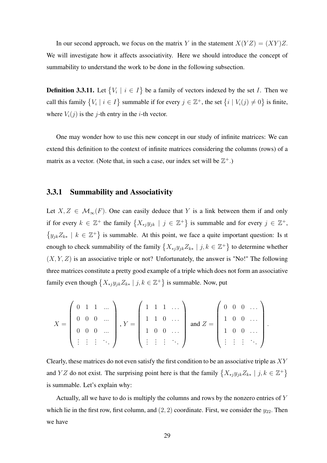In our second approach, we focus on the matrix Y in the statement  $X(YZ) = (XY)Z$ . We will investigate how it affects associativity. Here we should introduce the concept of summability to understand the work to be done in the following subsection.

**Definition 3.3.11.** Let  $\{V_i \mid i \in I\}$  be a family of vectors indexed by the set I. Then we call this family  $\{V_i \mid i \in I\}$  summable if for every  $j \in \mathbb{Z}^+$ , the set  $\{i \mid V_i(j) \neq 0\}$  is finite, where  $V_i(j)$  is the j-th entry in the *i*-th vector.

One may wonder how to use this new concept in our study of infinite matrices: We can extend this definition to the context of infinite matrices considering the columns (rows) of a matrix as a vector. (Note that, in such a case, our index set will be  $\mathbb{Z}^+$ .)

## 3.3.1 Summability and Associativity

Let  $X, Z \in \mathcal{M}_{\infty}(F)$ . One can easily deduce that Y is a link between them if and only if for every  $k \in \mathbb{Z}^+$  the family  $\{X_{*j}y_{jk} \mid j \in \mathbb{Z}^+\}$  is summable and for every  $j \in \mathbb{Z}^+,$  $\{y_{jk}Z_{k*} \mid k \in \mathbb{Z}^+\}$  is summable. At this point, we face a quite important question: Is it enough to check summability of the family  $\{X_{*j}y_{jk}Z_{k*} \mid j,k \in \mathbb{Z}^+\}$  to determine whether  $(X, Y, Z)$  is an associative triple or not? Unfortunately, the answer is "No!" The following three matrices constitute a pretty good example of a triple which does not form an associative family even though  $\{X_{*j}y_{jk}Z_{k*} \mid j,k \in \mathbb{Z}^+\}$  is summable. Now, put

$$
X = \left(\begin{array}{cccc} 0 & 1 & 1 & \dots \\ 0 & 0 & 0 & \dots \\ 0 & 0 & 0 & \dots \\ \vdots & \vdots & \vdots & \ddots \end{array}\right), Y = \left(\begin{array}{cccc} 1 & 1 & 1 & \dots \\ 1 & 1 & 0 & \dots \\ 1 & 0 & 0 & \dots \\ \vdots & \vdots & \vdots & \ddots \end{array}\right) \text{ and } Z = \left(\begin{array}{cccc} 0 & 0 & 0 & \dots \\ 1 & 0 & 0 & \dots \\ 1 & 0 & 0 & \dots \\ \vdots & \vdots & \vdots & \ddots \end{array}\right).
$$

Clearly, these matrices do not even satisfy the first condition to be an associative triple as  $XY$ and YZ do not exist. The surprising point here is that the family  $\{X_{*j}y_{jk}Z_{k*} \mid j,k \in \mathbb{Z}^+\}$ is summable. Let's explain why:

Actually, all we have to do is multiply the columns and rows by the nonzero entries of Y which lie in the first row, first column, and  $(2, 2)$  coordinate. First, we consider the  $y_{22}$ . Then we have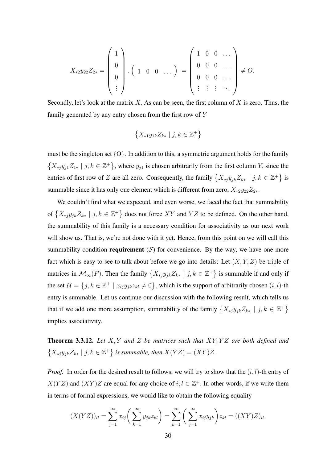$$
X_{*2}y_{22}Z_{2*} = \begin{pmatrix} 1 \\ 0 \\ 0 \\ \vdots \end{pmatrix} . \begin{pmatrix} 1 & 0 & 0 & \dots \\ 0 & 0 & \dots \\ \vdots & \vdots & \vdots & \vdots \end{pmatrix} \neq O.
$$

Secondly, let's look at the matrix X. As can be seen, the first column of X is zero. Thus, the family generated by any entry chosen from the first row of Y

$$
\left\{X_{*1}y_{1k}Z_{k*} \mid j,k \in \mathbb{Z}^+\right\}
$$

must be the singleton set {O}. In addition to this, a symmetric argument holds for the family  $\{X_{*j}y_{j1}Z_{1*} \mid j,k \in \mathbb{Z}^+\}$ , where  $y_{j1}$  is chosen arbitrarily from the first column Y, since the entries of first row of Z are all zero. Consequently, the family  $\{X_{*j}y_{jk}Z_{k*} \mid j,k \in \mathbb{Z}^+\}$  is summable since it has only one element which is different from zero,  $X_{*2}y_{22}Z_{2*}$ .

We couldn't find what we expected, and even worse, we faced the fact that summability of  $\{X_{*j}y_{jk}Z_{k*} \mid j,k \in \mathbb{Z}^+\}$  does not force  $XY$  and  $YZ$  to be defined. On the other hand, the summability of this family is a necessary condition for associativity as our next work will show us. That is, we're not done with it yet. Hence, from this point on we will call this summability condition **requirement** (S) for convenience. By the way, we have one more fact which is easy to see to talk about before we go into details: Let  $(X, Y, Z)$  be triple of matrices in  $\mathcal{M}_{\infty}(F)$ . Then the family  $\{X_{*j}y_{jk}Z_{k*} \mid j,k \in \mathbb{Z}^+\}$  is summable if and only if the set  $\mathcal{U} = \{j, k \in \mathbb{Z}^+ \mid x_{ij}y_{jk}z_{kl} \neq 0\}$ , which is the support of arbitrarily chosen  $(i, l)$ -th entry is summable. Let us continue our discussion with the following result, which tells us that if we add one more assumption, summability of the family  $\{X_{*j}y_{jk}Z_{k*} \mid j,k \in \mathbb{Z}^+\}$ implies associativity.

Theorem 3.3.12. *Let* X, Y *and* Z *be matrices such that* XY, Y Z *are both defined and*  $\{X_{*j}y_{jk}Z_{k*} \mid j,k \in \mathbb{Z}^+\}$  is summable, then  $X(YZ) = (XY)Z$ .

*Proof.* In order for the desired result to follows, we will try to show that the  $(i, l)$ -th entry of  $X(YZ)$  and  $(XY)Z$  are equal for any choice of  $i, l \in \mathbb{Z}^+$ . In other words, if we write them in terms of formal expressions, we would like to obtain the following equality

$$
(X(YZ))_{il} = \sum_{j=1}^{\infty} x_{ij} \left( \sum_{k=1}^{\infty} y_{jk} z_{kl} \right) = \sum_{k=1}^{\infty} \left( \sum_{j=1}^{\infty} x_{ij} y_{jk} \right) z_{kl} = ((XY)Z)_{il}.
$$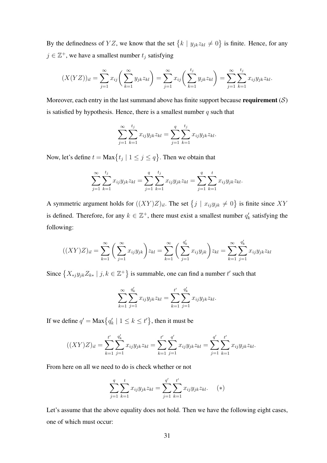By the definedness of YZ, we know that the set  $\{k \mid y_{jk}z_{kl} \neq 0\}$  is finite. Hence, for any  $j \in \mathbb{Z}^+$ , we have a smallest number  $t_j$  satisfying

$$
(X(YZ))_{il} = \sum_{j=1}^{\infty} x_{ij} \left( \sum_{k=1}^{\infty} y_{jk} z_{kl} \right) = \sum_{j=1}^{\infty} x_{ij} \left( \sum_{k=1}^{t_j} y_{jk} z_{kl} \right) = \sum_{j=1}^{\infty} \sum_{k=1}^{t_j} x_{ij} y_{jk} z_{kl}.
$$

Moreover, each entry in the last summand above has finite support because **requirement**  $(S)$ is satisfied by hypothesis. Hence, there is a smallest number  $q$  such that

$$
\sum_{j=1}^{\infty} \sum_{k=1}^{t_j} x_{ij} y_{jk} z_{kl} = \sum_{j=1}^{q} \sum_{k=1}^{t_j} x_{ij} y_{jk} z_{kl}.
$$

Now, let's define  $t = \text{Max}\left\{t_j \mid 1 \leq j \leq q\right\}$ . Then we obtain that

$$
\sum_{j=1}^{\infty} \sum_{k=1}^{t_j} x_{ij} y_{jk} z_{kl} = \sum_{j=1}^{q} \sum_{k=1}^{t_j} x_{ij} y_{jk} z_{kl} = \sum_{j=1}^{q} \sum_{k=1}^{t} x_{ij} y_{jk} z_{kl}.
$$

A symmetric argument holds for  $((XY)Z)_{il}$ . The set  $\{j \mid x_{ij}y_{jk} \neq 0\}$  is finite since XY is defined. Therefore, for any  $k \in \mathbb{Z}^+$ , there must exist a smallest number  $q'_k$  satisfying the following:

$$
((XY)Z)_{il} = \sum_{k=1}^{\infty} \left( \sum_{j=1}^{\infty} x_{ij} y_{jk} \right) z_{kl} = \sum_{k=1}^{\infty} \left( \sum_{j=1}^{q'_k} x_{ij} y_{jk} \right) z_{kl} = \sum_{k=1}^{\infty} \sum_{j=1}^{q'_k} x_{ij} y_{jk} z_{kl}
$$

Since  $\{X_{*j}y_{jk}Z_{k*} \mid j,k \in \mathbb{Z}^+\}$  is summable, one can find a number t' such that

$$
\sum_{k=1}^{\infty} \sum_{j=1}^{q'_k} x_{ij} y_{jk} z_{kl} = \sum_{k=1}^{t'} \sum_{j=1}^{q'_k} x_{ij} y_{jk} z_{kl}.
$$

If we define  $q' = \text{Max}\big\{q'_k \mid 1 \leq k \leq t'\big\}$ , then it must be

$$
((XY)Z)_{il} = \sum_{k=1}^{t'} \sum_{j=1}^{q'_k} x_{ij} y_{jk} z_{kl} = \sum_{k=1}^{t'} \sum_{j=1}^{q'} x_{ij} y_{jk} z_{kl} = \sum_{j=1}^{q'} \sum_{k=1}^{t'} x_{ij} y_{jk} z_{kl}.
$$

From here on all we need to do is check whether or not

$$
\sum_{j=1}^{q} \sum_{k=1}^{t} x_{ij} y_{jk} z_{kl} = \sum_{j=1}^{q'} \sum_{k=1}^{t'} x_{ij} y_{jk} z_{kl}. \quad (*)
$$

Let's assume that the above equality does not hold. Then we have the following eight cases, one of which must occur: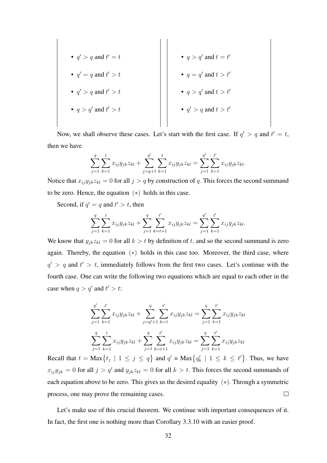\n- $$
q' > q
$$
 and  $t' = t$
\n- $q' = q$  and  $t' > t$
\n- $q' > q$  and  $t' > t$
\n- $q' > q$  and  $t' > t$
\n- $q > q'$  and  $t > t'$
\n- $q > q'$  and  $t > t'$
\n- $q' > q$  and  $t > t'$
\n- $q' > q$  and  $t > t'$
\n

Now, we shall observe these cases. Let's start with the first case. If  $q' > q$  and  $t' = t$ , then we have

$$
\sum_{j=1}^q \sum_{k=1}^t x_{ij} y_{jk} z_{kl} + \sum_{j=q+1}^{q'} \sum_{k=1}^t x_{ij} y_{jk} z_{kl} = \sum_{j=1}^{q'} \sum_{k=1}^{t'} x_{ij} y_{jk} z_{kl}.
$$

Notice that  $x_{ij}y_{jk}z_{kl} = 0$  for all  $j > q$  by construction of q. This forces the second summand to be zero. Hence, the equation  $(*)$  holds in this case.

Second, if  $q' = q$  and  $t' > t$ , then

$$
\sum_{j=1}^{q} \sum_{k=1}^{t} x_{ij} y_{jk} z_{kl} + \sum_{j=1}^{q} \sum_{k=t+1}^{t'} x_{ij} y_{jk} z_{kl} = \sum_{j=1}^{q'} \sum_{k=1}^{t'} x_{ij} y_{jk} z_{kl}.
$$

We know that  $y_{jk}z_{kl} = 0$  for all  $k > t$  by definition of t, and so the second summand is zero again. Thereby, the equation  $(*)$  holds in this case too. Moreover, the third case, where  $q' > q$  and  $t' > t$ , immediately follows from the first two cases. Let's continue with the fourth case. One can write the following two equations which are equal to each other in the case when  $q > q'$  and  $t' > t$ :

$$
\sum_{j=1}^{q'} \sum_{k=1}^{t'} x_{ij} y_{jk} z_{kl} + \sum_{j=q'+1}^{q} \sum_{k=1}^{t'} x_{ij} y_{jk} z_{kl} = \sum_{j=1}^{q} \sum_{k=1}^{t'} x_{ij} y_{jk} z_{kl}
$$

$$
\sum_{j=1}^{q} \sum_{k=1}^{t} x_{ij} y_{jk} z_{kl} + \sum_{j=1}^{q} \sum_{k=t+1}^{t'} x_{ij} y_{jk} z_{kl} = \sum_{j=1}^{q} \sum_{k=1}^{t'} x_{ij} y_{jk} z_{kl}
$$

Recall that  $t = \text{Max}_{\{t_j \mid 1 \leq j \leq q\}}$  and  $q' = \text{Max}_{\{q'_k \mid 1 \leq k \leq t'\}}$ . Thus, we have  $x_{ij}y_{jk} = 0$  for all  $j > q'$  and  $y_{jk}z_{kl} = 0$  for all  $k > t$ . This forces the second summands of each equation above to be zero. This gives us the desired equality (∗). Through a symmetric  $\Box$ process, one may prove the remaining cases.

Let's make use of this crucial theorem. We continue with important consequences of it. In fact, the first one is nothing more than Corollary 3.3.10 with an easier proof.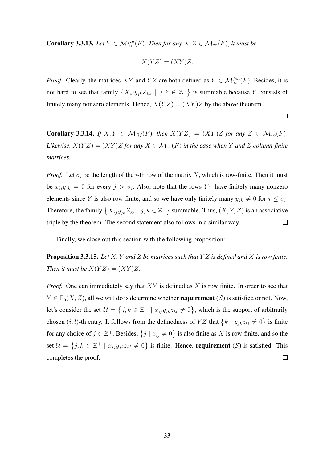**Corollary 3.3.13.** *Let*  $Y \in M_{\infty}^{fin}(F)$ *. Then for any*  $X, Z \in M_{\infty}(F)$ *, it must be* 

$$
X(YZ) = (XY)Z.
$$

*Proof.* Clearly, the matrices XY and YZ are both defined as  $Y \in \mathcal{M}_{\infty}^{fin}(F)$ . Besides, it is not hard to see that family  $\{X_{*j}y_{jk}Z_{k*} \mid j,k \in \mathbb{Z}^+\}$  is summable because Y consists of finitely many nonzero elements. Hence,  $X(YZ) = (XY)Z$  by the above theorem.

$$
\qquad \qquad \Box
$$

**Corollary 3.3.14.** *If*  $X, Y \in \mathcal{M}_{Rf}(F)$ *, then*  $X(YZ) = (XY)Z$  *for any*  $Z \in \mathcal{M}_{\infty}(F)$ *. Likewise,*  $X(YZ) = (XY)Z$  *for any*  $X \in \mathcal{M}_{\infty}(F)$  *in the case when* Y *and* Z *column-finite matrices.*

*Proof.* Let  $\sigma_i$  be the length of the *i*-th row of the matrix X, which is row-finite. Then it must be  $x_{ij}y_{jk} = 0$  for every  $j > \sigma_i$ . Also, note that the rows  $Y_{j*}$  have finitely many nonzero elements since Y is also row-finite, and so we have only finitely many  $y_{jk} \neq 0$  for  $j \leq \sigma_i$ . Therefore, the family  $\{X_{*j}y_{jk}Z_{k*} \mid j,k \in \mathbb{Z}^+\}$  summable. Thus,  $(X, Y, Z)$  is an associative triple by the theorem. The second statement also follows in a similar way.  $\Box$ 

Finally, we close out this section with the following proposition:

Proposition 3.3.15. *Let* X, Y *and* Z *be matrices such that* Y Z *is defined and* X *is row finite. Then it must be*  $X(YZ) = (XY)Z$ .

*Proof.* One can immediately say that XY is defined as X is row finite. In order to see that  $Y \in \Gamma_5(X, Z)$ , all we will do is determine whether **requirement** (S) is satisfied or not. Now, let's consider the set  $\mathcal{U} = \{j, k \in \mathbb{Z}^+ \mid x_{ij}y_{jk}z_{kl} \neq 0\}$ , which is the support of arbitrarily chosen  $(i, l)$ -th entry. It follows from the definedness of YZ that  $\{k \mid y_{jk}z_{kl} \neq 0\}$  is finite for any choice of  $j \in \mathbb{Z}^+$ . Besides,  $\{j \mid x_{ij} \neq 0\}$  is also finite as X is row-finite, and so the set  $\mathcal{U} = \{j, k \in \mathbb{Z}^+ \mid x_{ij}y_{jk}z_{kl} \neq 0\}$  is finite. Hence, **requirement** (S) is satisfied. This  $\Box$ completes the proof.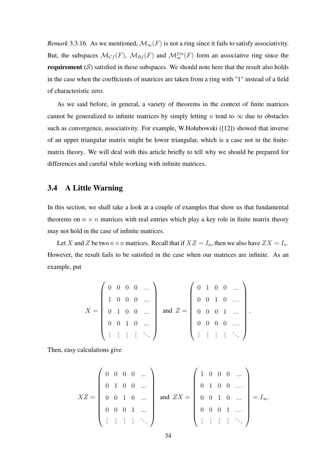*Remark* 3.3.16*.* As we mentioned,  $\mathcal{M}_{\infty}(F)$  is not a ring since it fails to satisfy associativity. But, the subspaces  $\mathcal{M}_{Cf}(F)$ ,  $\mathcal{M}_{Rf}(F)$  and  $\mathcal{M}_{\infty}^{fin}(F)$  form an associative ring since the requirement  $(S)$  satisfied in these subspaces. We should note here that the result also holds in the case when the coefficients of matrices are taken from a ring with "1" instead of a field of characteristic zero.

As we said before, in general, a variety of theorems in the context of finite matrices cannot be generalized to infinite matrices by simply letting n tend to  $\infty$  due to obstacles such as convergence, associativity. For example, W.Hołubowski ([12]) showed that inverse of an upper triangular matrix might be lower triangular, which is a case not in the finitematrix theory. We will deal with this article briefly to tell why we should be prepared for differences and careful while working with infinite matrices.

#### 3.4 A Little Warning

In this section, we shall take a look at a couple of examples that show us that fundamental theorems on  $n \times n$  matrices with real entries which play a key role in finite matrix theory may not hold in the case of infinite matrices.

Let X and Z be two  $n \times n$  matrices. Recall that if  $XZ = I_n$ , then we also have  $ZX = I_n$ . However, the result fails to be satisfied in the case when our matrices are infinite. As an example, put

$$
X = \left(\begin{array}{cccc} 0 & 0 & 0 & 0 & \dots \\ 1 & 0 & 0 & 0 & \dots \\ 0 & 1 & 0 & 0 & \dots \\ 0 & 0 & 1 & 0 & \dots \\ \vdots & \vdots & \vdots & \vdots & \ddots \end{array}\right) \text{ and } Z = \left(\begin{array}{cccc} 0 & 1 & 0 & 0 & \dots \\ 0 & 0 & 1 & 0 & \dots \\ 0 & 0 & 0 & 1 & \dots \\ 0 & 0 & 0 & 0 & \dots \\ \vdots & \vdots & \vdots & \vdots & \ddots \end{array}\right).
$$

Then, easy calculations give

$$
XZ = \begin{pmatrix} 0 & 0 & 0 & 0 & \dots \\ 0 & 1 & 0 & 0 & \dots \\ 0 & 0 & 1 & 0 & \dots \\ 0 & 0 & 0 & 1 & \dots \\ \vdots & \vdots & \vdots & \vdots & \ddots \end{pmatrix} \text{ and } ZX = \begin{pmatrix} 1 & 0 & 0 & 0 & \dots \\ 0 & 1 & 0 & 0 & \dots \\ 0 & 0 & 1 & 0 & \dots \\ 0 & 0 & 0 & 1 & \dots \\ \vdots & \vdots & \vdots & \vdots & \ddots \end{pmatrix} = I_{\infty}.
$$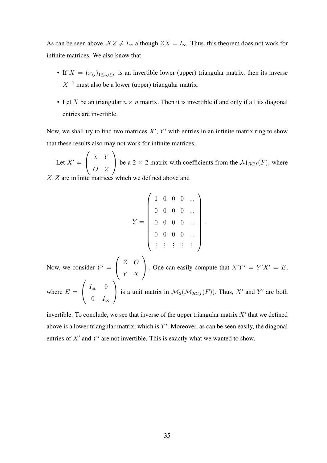As can be seen above,  $XZ \neq I_{\infty}$  although  $ZX = I_{\infty}$ . Thus, this theorem does not work for infinite matrices. We also know that

- If  $X = (x_{ij})_{1 \le i,j \le n}$  is an invertible lower (upper) triangular matrix, then its inverse  $X^{-1}$  must also be a lower (upper) triangular matrix.
- Let X be an triangular  $n \times n$  matrix. Then it is invertible if and only if all its diagonal entries are invertible.

Now, we shall try to find two matrices  $X'$ ,  $Y'$  with entries in an infinite matrix ring to show that these results also may not work for infinite matrices.

Let  $X' =$  $\sqrt{ }$  $\overline{1}$ X Y O Z  $\setminus$ be a 2  $\times$  2 matrix with coefficients from the  $\mathcal{M}_{RCf}(F)$ , where X, Z are infinite matrices which we defined above and

$$
Y = \left(\begin{array}{cccccc} 1 & 0 & 0 & 0 & \dots \\ 0 & 0 & 0 & 0 & \dots \\ 0 & 0 & 0 & 0 & \dots \\ 0 & 0 & 0 & 0 & \dots \\ \vdots & \vdots & \vdots & \vdots & \vdots \end{array}\right).
$$

Now, we consider  $Y' =$  $\sqrt{ }$  $\overline{1}$ Z O Y X  $\setminus$ . One can easily compute that  $X'Y' = Y'X' = E$ , where  $E =$  $\sqrt{ }$  $\overline{1}$  $I_{\infty}$  0 0  $I_{\infty}$  $\setminus$ is a unit matrix in  $\mathcal{M}_2(\mathcal{M}_{RCf}(F))$ . Thus, X' and Y' are both

invertible. To conclude, we see that inverse of the upper triangular matrix  $X'$  that we defined above is a lower triangular matrix, which is  $Y'$ . Moreover, as can be seen easily, the diagonal entries of  $X'$  and  $Y'$  are not invertible. This is exactly what we wanted to show.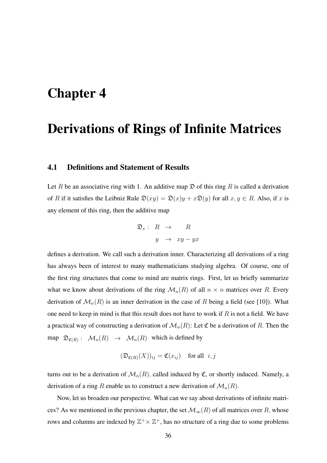# Chapter 4

## Derivations of Rings of Infinite Matrices

### 4.1 Definitions and Statement of Results

Let R be an associative ring with 1. An additive map  $\mathfrak D$  of this ring R is called a derivation of R if it satisfies the Leibniz Rule  $\mathfrak{D}(xy) = \mathfrak{D}(x)y + x\mathfrak{D}(y)$  for all  $x, y \in R$ . Also, if x is any element of this ring, then the additive map

$$
\mathfrak{D}_x: R \to R
$$
  

$$
y \to xy - yx
$$

defines a derivation. We call such a derivation inner. Characterizing all derivations of a ring has always been of interest to many mathematicians studying algebra. Of course, one of the first ring structures that come to mind are matrix rings. First, let us briefly summarize what we know about derivations of the ring  $\mathcal{M}_n(R)$  of all  $n \times n$  matrices over R. Every derivation of  $\mathcal{M}_n(R)$  is an inner derivation in the case of R being a field (see [10]). What one need to keep in mind is that this result does not have to work if  $R$  is not a field. We have a practical way of constructing a derivation of  $\mathcal{M}_n(R)$ : Let  $\mathfrak C$  be a derivation of R. Then the map  $\mathfrak{D}_{\mathfrak{C}(R)}: \mathcal{M}_n(R) \to \mathcal{M}_n(R)$  which is defined by

$$
(\mathfrak{D}_{\mathfrak{C}(R)}(X))_{ij} = \mathfrak{C}(x_{ij})
$$
 for all  $i, j$ 

turns out to be a derivation of  $\mathcal{M}_n(R)$ , called induced by  $\mathfrak{C}$ , or shortly induced. Namely, a derivation of a ring R enable us to construct a new derivation of  $\mathcal{M}_n(R)$ .

Now, let us broaden our perspective. What can we say about derivations of infinite matrices? As we mentioned in the previous chapter, the set  $\mathcal{M}_{\infty}(R)$  of all matrices over R, whose rows and columns are indexed by  $\mathbb{Z}^+ \times \mathbb{Z}^+$ , has no structure of a ring due to some problems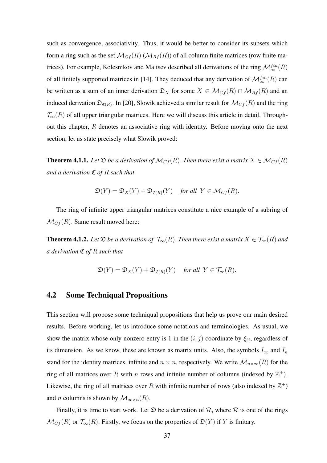such as convergence, associativity. Thus, it would be better to consider its subsets which form a ring such as the set  $\mathcal{M}_{Cf}(R)$  ( $\mathcal{M}_{Rf}(R)$ ) of all column finite matrices (row finite matrices). For example, Kolesnikov and Maltsev described all derivations of the ring  $\mathcal{M}^{fin}_{\infty}(R)$ of all finitely supported matrices in [14]. They deduced that any derivation of  $\mathcal{M}^{fin}_{\infty}(R)$  can be written as a sum of an inner derivation  $\mathfrak{D}_X$  for some  $X \in \mathcal{M}_{Cf}(R) \cap \mathcal{M}_{Rf}(R)$  and an induced derivation  $\mathfrak{D}_{\mathfrak{C}(R)}$ . In [20], Slowik achieved a similar result for  $\mathcal{M}_{C}$  $(R)$  and the ring  $\mathcal{T}_{\infty}(R)$  of all upper triangular matrices. Here we will discuss this article in detail. Throughout this chapter, R denotes an associative ring with identity. Before moving onto the next section, let us state precisely what Slowik proved:

**Theorem 4.1.1.** *Let*  $\mathfrak{D}$  *be a derivation of*  $\mathcal{M}_{C}(\mathbb{R})$ *. Then there exist a matrix*  $X \in \mathcal{M}_{C}(\mathbb{R})$ *and a derivation* C *of* R *such that*

$$
\mathfrak{D}(Y) = \mathfrak{D}_X(Y) + \mathfrak{D}_{\mathfrak{C}(R)}(Y) \quad \text{for all } Y \in \mathcal{M}_{Cf}(R).
$$

The ring of infinite upper triangular matrices constitute a nice example of a subring of  $\mathcal{M}_{Cf}(R)$ . Same result moved here:

**Theorem 4.1.2.** Let  $\mathfrak{D}$  *be a derivation of*  $\mathcal{T}_{\infty}(R)$ . *Then there exist a matrix*  $X \in \mathcal{T}_{\infty}(R)$  *and a derivation* C *of* R *such that*

$$
\mathfrak{D}(Y) = \mathfrak{D}_X(Y) + \mathfrak{D}_{\mathfrak{C}(R)}(Y) \quad \text{for all } Y \in \mathcal{T}_{\infty}(R).
$$

#### 4.2 Some Techniqual Propositions

This section will propose some techniqual propositions that help us prove our main desired results. Before working, let us introduce some notations and terminologies. As usual, we show the matrix whose only nonzero entry is 1 in the  $(i, j)$  coordinate by  $\xi_{ij}$ , regardless of its dimension. As we know, these are known as matrix units. Also, the symbols  $I_{\infty}$  and  $I_n$ stand for the identity matrices, infinite and  $n \times n$ , respectively. We write  $\mathcal{M}_{n \times \infty}(R)$  for the ring of all matrices over R with n rows and infinite number of columns (indexed by  $\mathbb{Z}^+$ ). Likewise, the ring of all matrices over R with infinite number of rows (also indexed by  $\mathbb{Z}^+$ ) and *n* columns is shown by  $\mathcal{M}_{\infty \times n}(R)$ .

Finally, it is time to start work. Let  $\mathfrak D$  be a derivation of  $\mathcal R$ , where  $\mathcal R$  is one of the rings  $\mathcal{M}_{Cf}(R)$  or  $\mathcal{T}_{\infty}(R)$ . Firstly, we focus on the properties of  $\mathfrak{D}(Y)$  if Y is finitary.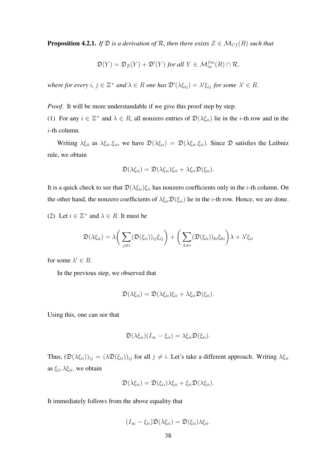**Proposition 4.2.1.** *If*  $\mathfrak{D}$  *is a derivation of*  $\mathcal{R}$ *, then there exists*  $Z \in \mathcal{M}_{C}$ *f*(*R*) *such that* 

$$
\mathfrak{D}(Y) = \mathfrak{D}_Z(Y) + \mathfrak{D}'(Y) \text{ for all } Y \in \mathcal{M}_{\infty}^{\text{fin}}(R) \cap \mathcal{R},
$$

where for every  $i, j \in \mathbb{Z}^+$  and  $\lambda \in R$  one has  $\mathfrak{D}'(\lambda \xi_{ij}) = \lambda' \xi_{ij}$  for some  $\lambda' \in R$ .

*Proof.* It will be more understandable if we give this proof step by step.

(1) For any  $i \in \mathbb{Z}^+$  and  $\lambda \in R$ , all nonzero entries of  $\mathfrak{D}(\lambda \xi_{ii})$  lie in the *i*-th row and in the i-th column.

Writing  $\lambda \xi_{ii}$  as  $\lambda \xi_{ii} \xi_{ii}$ , we have  $\mathfrak{D}(\lambda \xi_{ii}) = \mathfrak{D}(\lambda \xi_{ii} \xi_{ii})$ . Since  $\mathfrak{D}$  satisfies the Leibniz rule, we obtain

$$
\mathfrak{D}(\lambda \xi_{ii}) = \mathfrak{D}(\lambda \xi_{ii}) \xi_{ii} + \lambda \xi_{ii} \mathfrak{D}(\xi_{ii}).
$$

It is a quick check to see that  $\mathfrak{D}(\lambda \xi_{ii})\xi_{ii}$  has nonzero coefficients only in the *i*-th column. On the other hand, the nonzero coefficients of  $\lambda \xi_{ii} \mathfrak{D}(\xi_{ii})$  lie in the *i*-th row. Hence, we are done.

(2) Let  $i \in \mathbb{Z}^+$  and  $\lambda \in R$ . It must be

$$
\mathfrak{D}(\lambda \xi_{ii}) = \lambda \bigg(\sum_{j \neq i} (\mathfrak{D}(\xi_{ii}))_{ij} \xi_{ij}\bigg) + \bigg(\sum_{k \neq i} (\mathfrak{D}(\xi_{ii}))_{ki} \xi_{ki}\bigg) \lambda + \lambda' \xi_{ii}
$$

for some  $\lambda' \in R$ .

In the previous step, we observed that

$$
\mathfrak{D}(\lambda \xi_{ii}) = \mathfrak{D}(\lambda \xi_{ii})\xi_{ii} + \lambda \xi_{ii}\mathfrak{D}(\xi_{ii}).
$$

Using this, one can see that

$$
\mathfrak{D}(\lambda \xi_{ii})(I_{\infty}-\xi_{ii})=\lambda \xi_{ii}\mathfrak{D}(\xi_{ii}).
$$

Thus,  $(\mathfrak{D}(\lambda \xi_{ii}))_{ij} = (\lambda \mathfrak{D}(\xi_{ii}))_{ij}$  for all  $j \neq i$ . Let's take a different approach. Writing  $\lambda \xi_{ii}$ as  $\xi_{ii}$ .  $\lambda \xi_{ii}$ , we obtain

$$
\mathfrak{D}(\lambda \xi_{ii}) = \mathfrak{D}(\xi_{ii})\lambda \xi_{ii} + \xi_{ii}\mathfrak{D}(\lambda \xi_{ii}).
$$

It immediately follows from the above equality that

$$
(I_{\infty}-\xi_{ii})\mathfrak{D}(\lambda \xi_{ii})=\mathfrak{D}(\xi_{ii})\lambda \xi_{ii}.
$$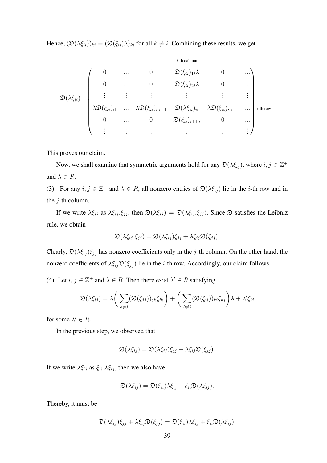Hence,  $(\mathfrak{D}(\lambda \xi_{ii}))_{ki} = (\mathfrak{D}(\xi_{ii})\lambda)_{ki}$  for all  $k \neq i$ . Combining these results, we get

$$
\mathfrak{D}(\lambda \xi_{ii}) = \begin{pmatrix}\n0 & \cdots & 0 & \mathfrak{D}(\xi_{ii})_{1i}\lambda & 0 & \cdots \\
0 & \cdots & 0 & \mathfrak{D}(\xi_{ii})_{2i}\lambda & 0 & \cdots \\
\vdots & \vdots & \vdots & \vdots & \vdots & \vdots \\
\lambda \mathfrak{D}(\xi_{ii})_{i1} & \cdots & \lambda \mathfrak{D}(\xi_{ii})_{i,i-1} & \mathfrak{D}(\lambda \xi_{ii})_{ii} & \lambda \mathfrak{D}(\xi_{ii})_{i,i+1} & \cdots \\
0 & \cdots & 0 & \mathfrak{D}(\xi_{ii})_{i+1,i} & 0 & \cdots \\
\vdots & \vdots & \vdots & \vdots & \vdots & \vdots\n\end{pmatrix} \text{ i-th row}
$$

This proves our claim.

Now, we shall examine that symmetric arguments hold for any  $\mathfrak{D}(\lambda \xi_{ij})$ , where  $i, j \in \mathbb{Z}^+$ and  $\lambda \in R$ .

(3) For any  $i, j \in \mathbb{Z}^+$  and  $\lambda \in R$ , all nonzero entries of  $\mathfrak{D}(\lambda \xi_{ij})$  lie in the *i*-th row and in the  $j$ -th column.

If we write  $\lambda \xi_{ij}$  as  $\lambda \xi_{ij} \cdot \xi_{jj}$ , then  $\mathfrak{D}(\lambda \xi_{ij}) = \mathfrak{D}(\lambda \xi_{ij} \cdot \xi_{jj})$ . Since  $\mathfrak{D}$  satisfies the Leibniz rule, we obtain

$$
\mathfrak{D}(\lambda \xi_{ij}.\xi_{jj}) = \mathfrak{D}(\lambda \xi_{ij})\xi_{jj} + \lambda \xi_{ij}\mathfrak{D}(\xi_{jj}).
$$

Clearly,  $\mathfrak{D}(\lambda \xi_{ij})\xi_{jj}$  has nonzero coefficients only in the j-th column. On the other hand, the nonzero coefficients of  $\lambda \xi_{ij} \mathfrak{D}(\xi_{jj})$  lie in the *i*-th row. Accordingly, our claim follows.

(4) Let  $i, j \in \mathbb{Z}^+$  and  $\lambda \in R$ . Then there exist  $\lambda' \in R$  satisfying

$$
\mathfrak{D}(\lambda \xi_{ij}) = \lambda \bigg(\sum_{k \neq j} (\mathfrak{D}(\xi_{jj}))_{jk} \xi_{ik}\bigg) + \bigg(\sum_{k \neq i} (\mathfrak{D}(\xi_{ii}))_{ki} \xi_{kj}\bigg) \lambda + \lambda' \xi_{ij}
$$

for some  $\lambda' \in R$ .

In the previous step, we observed that

$$
\mathfrak{D}(\lambda \xi_{ij}) = \mathfrak{D}(\lambda \xi_{ij})\xi_{jj} + \lambda \xi_{ij}\mathfrak{D}(\xi_{jj}).
$$

If we write  $\lambda \xi_{ij}$  as  $\xi_{ii} \cdot \lambda \xi_{ij}$ , then we also have

$$
\mathfrak{D}(\lambda \xi_{ij}) = \mathfrak{D}(\xi_{ii})\lambda \xi_{ij} + \xi_{ii}\mathfrak{D}(\lambda \xi_{ij}).
$$

Thereby, it must be

$$
\mathfrak{D}(\lambda \xi_{ij})\xi_{jj} + \lambda \xi_{ij}\mathfrak{D}(\xi_{jj}) = \mathfrak{D}(\xi_{ii})\lambda \xi_{ij} + \xi_{ii}\mathfrak{D}(\lambda \xi_{ij}).
$$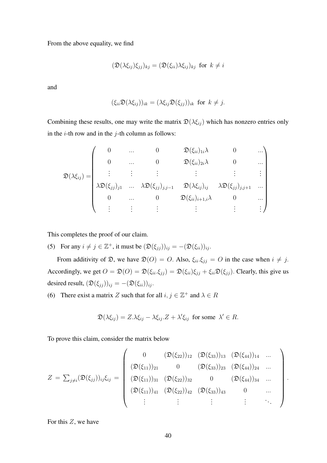From the above equality, we find

$$
(\mathfrak{D}(\lambda \xi_{ij})\xi_{jj})_{kj} = (\mathfrak{D}(\xi_{ii})\lambda \xi_{ij})_{kj} \text{ for } k \neq i
$$

and

$$
(\xi_{ii}\mathfrak{D}(\lambda \xi_{ij}))_{ik} = (\lambda \xi_{ij}\mathfrak{D}(\xi_{jj}))_{ik} \text{ for } k \neq j.
$$

Combining these results, one may write the matrix  $\mathfrak{D}(\lambda \xi_{ij})$  which has nonzero entries only in the  $i$ -th row and in the  $j$ -th column as follows:

$$
\mathfrak{D}(\lambda\xi_{ij}) = \begin{pmatrix}\n0 & \cdots & 0 & \mathfrak{D}(\xi_{ii})_{1i}\lambda & 0 & \cdots \\
0 & \cdots & 0 & \mathfrak{D}(\xi_{ii})_{2i}\lambda & 0 & \cdots \\
\vdots & \vdots & \vdots & \vdots & \vdots & \vdots \\
\lambda\mathfrak{D}(\xi_{jj})_{j1} & \cdots & \lambda\mathfrak{D}(\xi_{jj})_{j,j-1} & \mathfrak{D}(\lambda\xi_{ij})_{ij} & \lambda\mathfrak{D}(\xi_{jj})_{j,j+1} & \cdots \\
0 & \cdots & 0 & \mathfrak{D}(\xi_{ii})_{i+1,i}\lambda & 0 & \cdots \\
\vdots & \vdots & \vdots & \vdots & \vdots & \vdots\n\end{pmatrix}
$$

This completes the proof of our claim.

(5) For any  $i \neq j \in \mathbb{Z}^+$ , it must be  $(\mathfrak{D}(\xi_{jj}))_{ij} = -(\mathfrak{D}(\xi_{ii}))_{ij}$ .

From additivity of  $\mathfrak{D}$ , we have  $\mathfrak{D}(O) = O$ . Also,  $\xi_{ii} \cdot \xi_{jj} = O$  in the case when  $i \neq j$ . Accordingly, we get  $O = \mathfrak{D}(O) = \mathfrak{D}(\xi_{ii}, \xi_{jj}) = \mathfrak{D}(\xi_{ii})\xi_{jj} + \xi_{ii}\mathfrak{D}(\xi_{jj})$ . Clearly, this give us desired result,  $(\mathfrak{D}(\xi_{jj}))_{ij} = -(\mathfrak{D}(\xi_{ii}))_{ij}$ .

(6) There exist a matrix Z such that for all  $i, j \in \mathbb{Z}^+$  and  $\lambda \in R$ 

$$
\mathfrak{D}(\lambda \xi_{ij}) = Z.\lambda \xi_{ij} - \lambda \xi_{ij}.Z + \lambda' \xi_{ij} \text{ for some } \lambda' \in R.
$$

To prove this claim, consider the matrix below

$$
Z = \sum_{j \neq i} (\mathfrak{D}(\xi_{jj}))_{ij} \xi_{ij} = \begin{pmatrix} 0 & (\mathfrak{D}(\xi_{22}))_{12} & (\mathfrak{D}(\xi_{33}))_{13} & (\mathfrak{D}(\xi_{44}))_{14} & \dots \\ (\mathfrak{D}(\xi_{11}))_{21} & 0 & (\mathfrak{D}(\xi_{33}))_{23} & (\mathfrak{D}(\xi_{44}))_{24} & \dots \\ (\mathfrak{D}(\xi_{11}))_{31} & (\mathfrak{D}(\xi_{22}))_{32} & 0 & (\mathfrak{D}(\xi_{44}))_{34} & \dots \\ (\mathfrak{D}(\xi_{11}))_{41} & (\mathfrak{D}(\xi_{22}))_{42} & (\mathfrak{D}(\xi_{33}))_{43} & 0 & \dots \\ \vdots & \vdots & \vdots & \vdots & \ddots \end{pmatrix}.
$$

For this  $Z$ , we have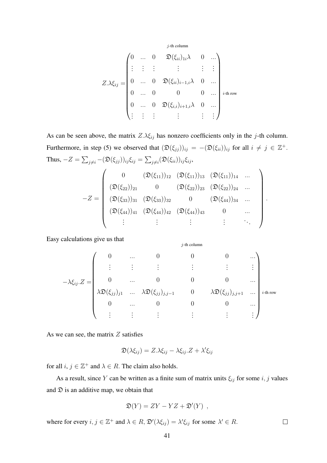$j$ -th column

$$
Z.\lambda \xi_{ij} = \begin{pmatrix} 0 & \dots & 0 & \mathfrak{D}(\xi_{ii})_{1i}\lambda & 0 & \dots \\ \vdots & \vdots & \vdots & & \vdots & \vdots \\ 0 & \dots & 0 & \mathfrak{D}(\xi_{ii})_{i-1,i}\lambda & 0 & \dots \\ 0 & \dots & 0 & 0 & 0 & \dots \\ 0 & \dots & 0 & \mathfrak{D}(\xi_{i,i})_{i+1,i}\lambda & 0 & \dots \\ \vdots & \vdots & \vdots & & \vdots & \vdots \end{pmatrix} \text{ i-th row}
$$

As can be seen above, the matrix  $Z.\lambda \xi_{ij}$  has nonzero coefficients only in the j-th column. Furthermore, in step (5) we observed that  $(\mathfrak{D}(\xi_{jj}))_{ij} = -(\mathfrak{D}(\xi_{ii}))_{ij}$  for all  $i \neq j \in \mathbb{Z}^+$ . Thus,  $-Z = \sum_{j\neq i} -(\mathfrak{D}(\xi_{jj}))_{ij}\xi_{ij} = \sum_{j\neq i}(\mathfrak{D}(\xi_{ii}))_{ij}\xi_{ij},$ 

$$
-Z = \left(\begin{array}{ccccc} 0 & (\mathfrak{D}(\xi_{11}))_{12} & (\mathfrak{D}(\xi_{11}))_{13} & (\mathfrak{D}(\xi_{11}))_{14} & \dots \\ (\mathfrak{D}(\xi_{22}))_{21} & 0 & (\mathfrak{D}(\xi_{22}))_{23} & (\mathfrak{D}(\xi_{22}))_{24} & \dots \\ (\mathfrak{D}(\xi_{33}))_{31} & (\mathfrak{D}(\xi_{33}))_{32} & 0 & (\mathfrak{D}(\xi_{44}))_{34} & \dots \\ (\mathfrak{D}(\xi_{44}))_{41} & (\mathfrak{D}(\xi_{44}))_{42} & (\mathfrak{D}(\xi_{44}))_{43} & 0 & \dots \\ \vdots & \vdots & \vdots & \vdots & \ddots \end{array}\right)
$$

 $j$ -th column

.

Easy calculations give us that

$$
-\lambda \xi_{ij} \cdot Z = \begin{pmatrix} 0 & \dots & 0 & 0 & 0 & \dots \\ \vdots & \vdots & \vdots & \vdots & \vdots & \vdots \\ 0 & \dots & 0 & 0 & 0 & \dots \\ \lambda \mathfrak{D}(\xi_{jj})_{j1} & \dots & \lambda \mathfrak{D}(\xi_{jj})_{j,j-1} & 0 & \lambda \mathfrak{D}(\xi_{jj})_{j,j+1} & \dots \\ 0 & \dots & 0 & 0 & 0 & \dots \\ \vdots & \vdots & \vdots & \vdots & \vdots & \vdots \end{pmatrix} {}^{i\text{-th row}}
$$

As we can see, the matrix  $Z$  satisfies

$$
\mathfrak{D}(\lambda \xi_{ij}) = Z \cdot \lambda \xi_{ij} - \lambda \xi_{ij} \cdot Z + \lambda' \xi_{ij}
$$

for all  $i, j \in \mathbb{Z}^+$  and  $\lambda \in R$ . The claim also holds.

As a result, since Y can be written as a finite sum of matrix units  $\xi_{ij}$  for some i, j values and  $\mathfrak D$  is an additive map, we obtain that

$$
\mathfrak{D}(Y) = ZY - YZ + \mathfrak{D}'(Y) ,
$$

where for every  $i, j \in \mathbb{Z}^+$  and  $\lambda \in R$ ,  $\mathfrak{D}'(\lambda \xi_{ij}) = \lambda' \xi_{ij}$  for some  $\lambda' \in R$ .  $\Box$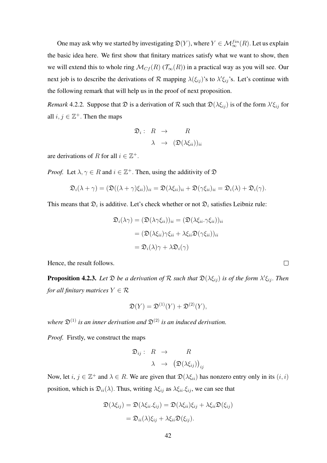One may ask why we started by investigating  $\mathfrak{D}(Y)$ , where  $Y \in \mathcal{M}_\infty^{fin}(R)$ . Let us explain the basic idea here. We first show that finitary matrices satisfy what we want to show, then we will extend this to whole ring  $\mathcal{M}_{Cf}(R)$  ( $\mathcal{T}_{\infty}(R)$ ) in a practical way as you will see. Our next job is to describe the derivations of  $R$  mapping  $\lambda(\xi_{ij})$ 's to  $\lambda' \xi_{ij}$ 's. Let's continue with the following remark that will help us in the proof of next proposition.

*Remark* 4.2.2. Suppose that  $\mathfrak D$  is a derivation of  $\mathcal R$  such that  $\mathfrak D(\lambda \xi_{ij})$  is of the form  $\lambda' \xi_{ij}$  for all  $i, j \in \mathbb{Z}^+$ . Then the maps

$$
\mathfrak{D}_i: R \to R
$$

$$
\lambda \to (\mathfrak{D}(\lambda \xi_{ii}))_{ii}
$$

are derivations of R for all  $i \in \mathbb{Z}^+$ .

*Proof.* Let  $\lambda, \gamma \in R$  and  $i \in \mathbb{Z}^+$ . Then, using the additivity of  $\mathfrak{D}$ 

$$
\mathfrak{D}_i(\lambda + \gamma) = (\mathfrak{D}((\lambda + \gamma)\xi_{ii}))_{ii} = \mathfrak{D}(\lambda\xi_{ii})_{ii} + \mathfrak{D}(\gamma\xi_{ii})_{ii} = \mathfrak{D}_i(\lambda) + \mathfrak{D}_i(\gamma).
$$

This means that  $\mathfrak{D}_i$  is additive. Let's check whether or not  $\mathfrak{D}_i$  satisfies Leibniz rule:

$$
\mathfrak{D}_{i}(\lambda \gamma) = (\mathfrak{D}(\lambda \gamma \xi_{ii}))_{ii} = (\mathfrak{D}(\lambda \xi_{ii} \cdot \gamma \xi_{ii}))_{ii}
$$

$$
= (\mathfrak{D}(\lambda \xi_{ii}) \gamma \xi_{ii} + \lambda \xi_{ii} \mathfrak{D}(\gamma \xi_{ii}))_{ii}
$$

$$
= \mathfrak{D}_{i}(\lambda) \gamma + \lambda \mathfrak{D}_{i}(\gamma)
$$

Hence, the result follows.

**Proposition 4.2.3.** Let  $\mathfrak{D}$  be a derivation of  $\mathcal{R}$  such that  $\mathfrak{D}(\lambda \xi_{ij})$  is of the form  $\lambda' \xi_{ij}$ . Then *for all finitary matrices*  $Y \in \mathcal{R}$ 

$$
\mathfrak{D}(Y) = \mathfrak{D}^{(1)}(Y) + \mathfrak{D}^{(2)}(Y),
$$

*where*  $\mathfrak{D}^{(1)}$  *is an inner derivation and*  $\mathfrak{D}^{(2)}$  *is an induced derivation.* 

*Proof.* Firstly, we construct the maps

$$
\mathfrak{D}_{ij}:\begin{array}{ccc}R & \to & R\\ \lambda & \to & \big(\mathfrak{D}(\lambda\xi_{ij})\big)_{ij}\end{array}
$$

Now, let  $i, j \in \mathbb{Z}^+$  and  $\lambda \in R$ . We are given that  $\mathfrak{D}(\lambda \xi_{ii})$  has nonzero entry only in its  $(i, i)$ position, which is  $\mathfrak{D}_{ii}(\lambda)$ . Thus, writing  $\lambda \xi_{ij}$  as  $\lambda \xi_{ii} \xi_{ij}$ , we can see that

$$
\mathfrak{D}(\lambda \xi_{ij}) = \mathfrak{D}(\lambda \xi_{ii}.\xi_{ij}) = \mathfrak{D}(\lambda \xi_{ii})\xi_{ij} + \lambda \xi_{ii} \mathfrak{D}(\xi_{ij})
$$
  
=  $\mathfrak{D}_{ii}(\lambda)\xi_{ij} + \lambda \xi_{ii} \mathfrak{D}(\xi_{ij}).$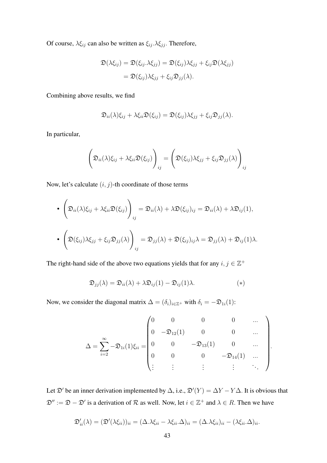Of course,  $\lambda \xi_{ij}$  can also be written as  $\xi_{ij}$ .  $\lambda \xi_{jj}$ . Therefore,

$$
\mathfrak{D}(\lambda \xi_{ij}) = \mathfrak{D}(\xi_{ij}.\lambda \xi_{jj}) = \mathfrak{D}(\xi_{ij})\lambda \xi_{jj} + \xi_{ij}\mathfrak{D}(\lambda \xi_{jj})
$$
  
=  $\mathfrak{D}(\xi_{ij})\lambda \xi_{jj} + \xi_{ij}\mathfrak{D}_{jj}(\lambda)$ .

Combining above results, we find

$$
\mathfrak{D}_{ii}(\lambda)\xi_{ij} + \lambda \xi_{ii}\mathfrak{D}(\xi_{ij}) = \mathfrak{D}(\xi_{ij})\lambda \xi_{jj} + \xi_{ij}\mathfrak{D}_{jj}(\lambda).
$$

In particular,

$$
\left(\mathfrak{D}_{ii}(\lambda)\xi_{ij} + \lambda\xi_{ii}\mathfrak{D}(\xi_{ij})\right)_{ij} = \left(\mathfrak{D}(\xi_{ij})\lambda\xi_{jj} + \xi_{ij}\mathfrak{D}_{jj}(\lambda)\right)_{ij}
$$

Now, let's calculate  $(i, j)$ -th coordinate of those terms

• 
$$
\left(\mathfrak{D}_{ii}(\lambda)\xi_{ij} + \lambda \xi_{ii}\mathfrak{D}(\xi_{ij})\right)_{ij} = \mathfrak{D}_{ii}(\lambda) + \lambda \mathfrak{D}(\xi_{ij})_{ij} = \mathfrak{D}_{ii}(\lambda) + \lambda \mathfrak{D}_{ij}(1),
$$
  
\n• 
$$
\left(\mathfrak{D}(\xi_{ij})\lambda \xi_{jj} + \xi_{ij}\mathfrak{D}_{jj}(\lambda)\right)_{ij} = \mathfrak{D}_{jj}(\lambda) + \mathfrak{D}(\xi_{ij})_{ij}\lambda = \mathfrak{D}_{jj}(\lambda) + \mathfrak{D}_{ij}(1)\lambda.
$$

The right-hand side of the above two equations yields that for any  $i, j \in \mathbb{Z}^+$ 

$$
\mathfrak{D}_{jj}(\lambda) = \mathfrak{D}_{ii}(\lambda) + \lambda \mathfrak{D}_{ij}(1) - \mathfrak{D}_{ij}(1)\lambda.
$$
 (\*)

Now, we consider the diagonal matrix  $\Delta = (\delta_i)_{i \in \mathbb{Z}^+}$  with  $\delta_i = -\mathfrak{D}_{1i}(1)$ :

$$
\Delta = \sum_{i=2}^{\infty} -\mathfrak{D}_{1i}(1)\xi_{ii} = \begin{pmatrix} 0 & 0 & 0 & 0 & \dots \\ 0 & -\mathfrak{D}_{12}(1) & 0 & 0 & \dots \\ 0 & 0 & -\mathfrak{D}_{13}(1) & 0 & \dots \\ 0 & 0 & 0 & -\mathfrak{D}_{14}(1) & \dots \\ \vdots & \vdots & \vdots & \vdots & \ddots \end{pmatrix}.
$$

Let  $\mathfrak{D}'$  be an inner derivation implemented by  $\Delta$ , i.e.,  $\mathfrak{D}'(Y) = \Delta Y - Y \Delta$ . It is obvious that  $\mathfrak{D}'' := \mathfrak{D} - \mathfrak{D}'$  is a derivation of R as well. Now, let  $i \in \mathbb{Z}^+$  and  $\lambda \in R$ . Then we have

$$
\mathfrak{D}'_{ii}(\lambda) = (\mathfrak{D}'(\lambda \xi_{ii}))_{ii} = (\Delta . \lambda \xi_{ii} - \lambda \xi_{ii}.\Delta)_{ii} = (\Delta . \lambda \xi_{ii})_{ii} - (\lambda \xi_{ii}.\Delta)_{ii}.
$$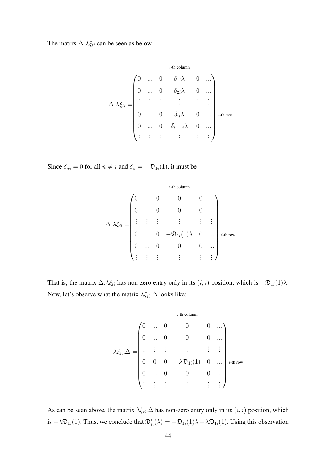The matrix  $\Delta.\lambda \xi_{ii}$  can be seen as below

$$
\Delta.\lambda \xi_{ii} = \begin{pmatrix}\n0 & \cdots & 0 & \delta_{1i}\lambda & 0 & \cdots \\
0 & \cdots & 0 & \delta_{2i}\lambda & 0 & \cdots \\
\vdots & \vdots & \vdots & \vdots & \vdots & \vdots \\
0 & \cdots & 0 & \delta_{ii}\lambda & 0 & \cdots \\
0 & \cdots & 0 & \delta_{i+1,i}\lambda & 0 & \cdots \\
\vdots & \vdots & \vdots & \vdots & \vdots & \vdots\n\end{pmatrix}_{i \text{-th row}}
$$

Since  $\delta_{ni} = 0$  for all  $n \neq i$  and  $\delta_{ii} = -\mathfrak{D}_{1i}(1)$ , it must be

$$
\Delta.\lambda \xi_{ii} = \begin{pmatrix}\n0 & \cdots & 0 & 0 & 0 & \cdots \\
0 & \cdots & 0 & 0 & 0 & \cdots \\
\vdots & \vdots & \vdots & \vdots & \vdots & \vdots \\
0 & \cdots & 0 & -\mathfrak{D}_{1i}(1)\lambda & 0 & \cdots \\
0 & \cdots & 0 & 0 & 0 & \cdots \\
\vdots & \vdots & \vdots & \vdots & \vdots & \vdots\n\end{pmatrix}_{i\text{-th row}}
$$

That is, the matrix  $\Delta.\lambda \xi_{ii}$  has non-zero entry only in its  $(i, i)$  position, which is  $-\mathfrak{D}_{1i}(1)\lambda$ . Now, let's observe what the matrix  $\lambda \xi_{ii}.\Delta$  looks like:

$$
\lambda \xi_{ii}.\Delta = \begin{pmatrix}\n0 & \cdots & 0 & 0 & 0 & \cdots \\
0 & \cdots & 0 & 0 & 0 & \cdots \\
\vdots & \vdots & \vdots & \vdots & \vdots & \vdots \\
0 & 0 & 0 & -\lambda \mathfrak{D}_{1i}(1) & 0 & \cdots \\
0 & \cdots & 0 & 0 & 0 & \cdots \\
\vdots & \vdots & \vdots & \vdots & \vdots & \vdots\n\end{pmatrix}_{i\text{-th row}}
$$

As can be seen above, the matrix  $\lambda \xi_{ii}$ . $\Delta$  has non-zero entry only in its  $(i, i)$  position, which is  $-\lambda \mathfrak{D}_{1i}(1)$ . Thus, we conclude that  $\mathfrak{D}'_{ii}(\lambda) = -\mathfrak{D}_{1i}(1)\lambda + \lambda \mathfrak{D}_{1i}(1)$ . Using this observation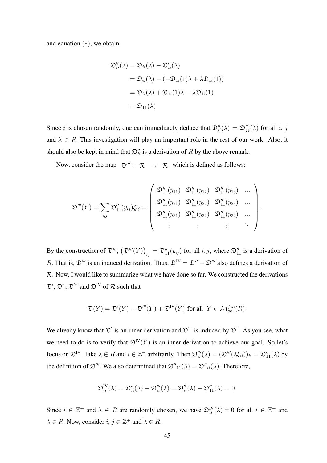and equation  $(*),$  we obtain

$$
\mathfrak{D}_{ii}''(\lambda) = \mathfrak{D}_{ii}(\lambda) - \mathfrak{D}_{ii}'(\lambda)
$$
  
=  $\mathfrak{D}_{ii}(\lambda) - (-\mathfrak{D}_{1i}(1)\lambda + \lambda \mathfrak{D}_{1i}(1))$   
=  $\mathfrak{D}_{ii}(\lambda) + \mathfrak{D}_{1i}(1)\lambda - \lambda \mathfrak{D}_{1i}(1)$   
=  $\mathfrak{D}_{11}(\lambda)$ 

Since *i* is chosen randomly, one can immediately deduce that  $\mathfrak{D}_{ii}''(\lambda) = \mathfrak{D}_{jj}''(\lambda)$  for all *i*, *j* and  $\lambda \in R$ . This investigation will play an important role in the rest of our work. Also, it should also be kept in mind that  $\mathfrak{D}''_{ii}$  is a derivation of R by the above remark.

Now, consider the map  $\mathfrak{D}''' : \mathbb{R} \to \mathbb{R}$  which is defined as follows:

$$
\mathfrak{D}'''(Y) = \sum_{i,j} \mathfrak{D}''_{11}(y_{ij}) \xi_{ij} = \begin{pmatrix} \mathfrak{D}''_{11}(y_{11}) & \mathfrak{D}''_{11}(y_{12}) & \mathfrak{D}''_{11}(y_{13}) & \dots \\ \mathfrak{D}''_{11}(y_{21}) & \mathfrak{D}''_{11}(y_{22}) & \mathfrak{D}''_{11}(y_{23}) & \dots \\ \mathfrak{D}''_{11}(y_{31}) & \mathfrak{D}''_{11}(y_{32}) & \mathfrak{D}''_{11}(y_{32}) & \dots \\ \vdots & \vdots & \vdots & \ddots \end{pmatrix}
$$

.

By the construction of  $\mathfrak{D}''', (\mathfrak{D}'''(Y))_{ij} = \mathfrak{D}''_{11}(y_{ij})$  for all  $i, j$ , where  $\mathfrak{D}''_{11}$  is a derivation of R. That is,  $\mathfrak{D}'''$  is an induced derivation. Thus,  $\mathfrak{D}^{IV} = \mathfrak{D}'' - \mathfrak{D}'''$  also defines a derivation of  $\mathcal{R}$ . Now, I would like to summarize what we have done so far. We constructed the derivations  $\mathfrak{D}', \mathfrak{D}''$ ,  $\mathfrak{D}'''$  and  $\mathfrak{D}^{IV}$  of  $\mathcal R$  such that

$$
\mathfrak{D}(Y) = \mathfrak{D}'(Y) + \mathfrak{D}'''(Y) + \mathfrak{D}^{IV}(Y)
$$
 for all  $Y \in \mathcal{M}_{\infty}^{fin}(R)$ .

We already know that  $\mathcal{D}'$  is an inner derivation and  $\mathcal{D}'''$  is induced by  $\mathcal{D}''$ . As you see, what we need to do is to verify that  $\mathfrak{D}^{\mathbb{N}}(Y)$  is an inner derivation to achieve our goal. So let's focus on  $\mathfrak{D}^{\text{IV}}$ . Take  $\lambda \in R$  and  $i \in \mathbb{Z}^+$  arbitrarily. Then  $\mathfrak{D}'''_i(\lambda) = (\mathfrak{D}'''(\lambda \xi_{ii}))_{ii} = \mathfrak{D}''_{11}(\lambda)$  by the definition of  $\mathfrak{D}'''$ . We also determined that  $\mathfrak{D}''_{11}(\lambda) = \mathfrak{D}''_{ii}(\lambda)$ . Therefore,

$$
\mathfrak{D}_{ii}^{\mathbf{IV}}(\lambda) = \mathfrak{D}_{ii}^{\prime\prime}(\lambda) - \mathfrak{D}_{ii}^{\prime\prime\prime}(\lambda) = \mathfrak{D}_{ii}^{\prime\prime}(\lambda) - \mathfrak{D}_{11}^{\prime\prime}(\lambda) = 0.
$$

Since  $i \in \mathbb{Z}^+$  and  $\lambda \in R$  are randomly chosen, we have  $\mathfrak{D}_{ii}^{\mathbf{IV}}(\lambda) = 0$  for all  $i \in \mathbb{Z}^+$  and  $\lambda \in R$ . Now, consider  $i, j \in \mathbb{Z}^+$  and  $\lambda \in R$ .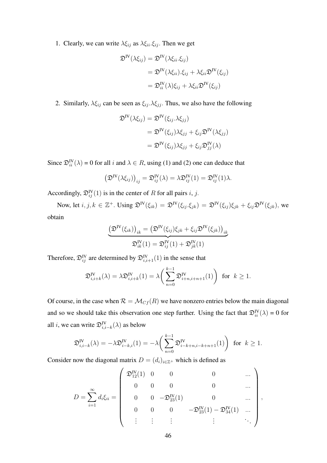1. Clearly, we can write  $\lambda \xi_{ij}$  as  $\lambda \xi_{ii} \xi_{ij}$ . Then we get

$$
\mathfrak{D}^{\mathbf{IV}}(\lambda \xi_{ij}) = \mathfrak{D}^{\mathbf{IV}}(\lambda \xi_{ii}.\xi_{ij})
$$
  
=  $\mathfrak{D}^{\mathbf{IV}}(\lambda \xi_{ii}).\xi_{ij} + \lambda \xi_{ii} \mathfrak{D}^{\mathbf{IV}}(\xi_{ij})$   
=  $\mathfrak{D}^{\mathbf{IV}}_{ii}(\lambda)\xi_{ij} + \lambda \xi_{ii} \mathfrak{D}^{\mathbf{IV}}(\xi_{ij})$ 

2. Similarly,  $\lambda \xi_{ij}$  can be seen as  $\xi_{ij} \cdot \lambda \xi_{jj}$ . Thus, we also have the following

$$
\mathfrak{D}^{\mathbf{IV}}(\lambda \xi_{ij}) = \mathfrak{D}^{\mathbf{IV}}(\xi_{ij}.\lambda \xi_{jj})
$$
  
=  $\mathfrak{D}^{\mathbf{IV}}(\xi_{ij})\lambda \xi_{jj} + \xi_{ij}\mathfrak{D}^{\mathbf{IV}}(\lambda \xi_{jj})$   
=  $\mathfrak{D}^{\mathbf{IV}}(\xi_{ij})\lambda \xi_{jj} + \xi_{ij}\mathfrak{D}^{\mathbf{IV}}_{jj}(\lambda)$ 

Since  $\mathfrak{D}_{ii}^{\text{IV}}(\lambda) = 0$  for all i and  $\lambda \in R$ , using (1) and (2) one can deduce that

$$
\left(\mathfrak{D}^{\mathbf{IV}}(\lambda \xi_{ij})\right)_{ij} = \mathfrak{D}_{ij}^{\mathbf{IV}}(\lambda) = \lambda \mathfrak{D}_{ij}^{\mathbf{IV}}(1) = \mathfrak{D}_{ij}^{\mathbf{IV}}(1)\lambda.
$$

Accordingly,  $\mathfrak{D}_{ij}^{\text{IV}}(1)$  is in the center of R for all pairs i, j.

Now, let  $i, j, k \in \mathbb{Z}^+$ . Using  $\mathfrak{D}^{\text{IV}}(\xi_{ik}) = \mathfrak{D}^{\text{IV}}(\xi_{ij}.\xi_{jk}) = \mathfrak{D}^{\text{IV}}(\xi_{ij})\xi_{jk} + \xi_{ij}\mathfrak{D}^{\text{IV}}(\xi_{jk})$ , we obtain

$$
\underbrace{\left(\mathfrak{D}^{\text{IV}}(\xi_{ik})\right)_{ik} = \left(\mathfrak{D}^{\text{IV}}(\xi_{ij})\xi_{jk} + \xi_{ij}\mathfrak{D}^{\text{IV}}(\xi_{jk})\right)_{ik}}_{\mathfrak{D}_{ik}^{\text{IV}}(1) = \mathfrak{D}_{ij}^{\text{IV}}(1) + \mathfrak{D}_{jk}^{\text{IV}}(1)}
$$

Therefore,  $\mathfrak{D}_{ij}^{\text{IV}}$  are determined by  $\mathfrak{D}_{i,i+1}^{\text{IV}}(1)$  in the sense that

$$
\mathfrak{D}_{i,i+k}^{\mathbf{IV}}(\lambda) = \lambda \mathfrak{D}_{i,i+k}^{\mathbf{IV}}(1) = \lambda \bigg(\sum_{n=0}^{k-1} \mathfrak{D}_{i+n,i+n+1}^{\mathbf{IV}}(1)\bigg) \text{ for } k \ge 1.
$$

Of course, in the case when  $\mathcal{R} = \mathcal{M}_{Cf}(R)$  we have nonzero entries below the main diagonal and so we should take this observation one step further. Using the fact that  $\mathfrak{D}_{ii}^{\text{IV}}(\lambda) = 0$  for all *i*, we can write  $\mathfrak{D}^{\text{IV}}_{i,i-k}(\lambda)$  as below

$$
\mathfrak{D}_{i,i-k}^{\text{IV}}(\lambda) = -\lambda \mathfrak{D}_{i-k,i}^{\text{IV}}(1) = -\lambda \bigg(\sum_{n=0}^{k-1} \mathfrak{D}_{i-k+n,i-k+n+1}^{\text{IV}}(1)\bigg) \text{ for } k \ge 1.
$$

Consider now the diagonal matrix  $D = (d_i)_{i \in \mathbb{Z}^+}$  which is defined as

$$
D = \sum_{i=1}^{\infty} d_i \xi_{ii} = \begin{pmatrix} \mathfrak{D}_{12}^{\text{IV}}(1) & 0 & 0 & 0 & \dots \\ 0 & 0 & 0 & 0 & \dots \\ 0 & 0 & -\mathfrak{D}_{23}^{\text{IV}}(1) & 0 & \dots \\ 0 & 0 & 0 & -\mathfrak{D}_{23}^{\text{IV}}(1) - \mathfrak{D}_{34}^{\text{IV}}(1) & \dots \\ \vdots & \vdots & \vdots & \vdots & \ddots \end{pmatrix},
$$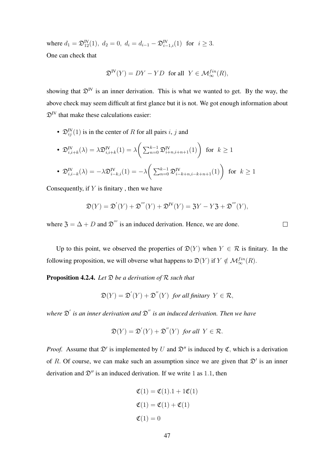where  $d_1 = \mathfrak{D}_{12}^{\mathbb{IV}}(1)$ ,  $d_2 = 0$ ,  $d_i = d_{i-1} - \mathfrak{D}_{i-1,i}^{\mathbb{IV}}(1)$  for  $i \geq 3$ . One can check that

$$
\mathfrak{D}^{\mathbb{N}}(Y) = DY - YD \text{ for all } Y \in \mathcal{M}_{\infty}^{fin}(R),
$$

showing that  $\mathfrak{D}^{\text{IV}}$  is an inner derivation. This is what we wanted to get. By the way, the above check may seem difficult at first glance but it is not. We got enough information about  $\mathfrak{D}^{\text{IV}}$  that make these calculations easier:

•  $\mathfrak{D}_{ij}^{\text{IV}}(1)$  is in the center of R for all pairs i, j and

• 
$$
\mathfrak{D}_{i,i+k}^{\text{IV}}(\lambda) = \lambda \mathfrak{D}_{i,i+k}^{\text{IV}}(1) = \lambda \bigg(\sum_{n=0}^{k-1} \mathfrak{D}_{i+n,i+n+1}^{\text{IV}}(1)\bigg)
$$
 for  $k \ge 1$ 

• 
$$
\mathfrak{D}_{i,i-k}^{\text{IV}}(\lambda) = -\lambda \mathfrak{D}_{i-k,i}^{\text{IV}}(1) = -\lambda \bigg(\sum_{n=0}^{k-1} \mathfrak{D}_{i-k+n,i-k+n+1}^{\text{IV}}(1)\bigg)
$$
 for  $k \ge 1$ 

Consequently, if  $Y$  is finitary, then we have

$$
\mathfrak{D}(Y) = \mathfrak{D}'(Y) + \mathfrak{D}'''(Y) + \mathfrak{D}^{IV}(Y) = \mathfrak{Z}Y - Y\mathfrak{Z} + \mathfrak{D}'''(Y),
$$

where  $\mathfrak{Z} = \Delta + D$  and  $\mathfrak{D}'''$  is an induced derivation. Hence, we are done.

Up to this point, we observed the properties of  $\mathfrak{D}(Y)$  when  $Y \in \mathcal{R}$  is finitary. In the following proposition, we will obverse what happens to  $\mathfrak{D}(Y)$  if  $Y \notin \mathcal{M}_{\infty}^{fin}(R)$ .

Proposition 4.2.4. *Let* D *be a derivation of* R *such that*

$$
\mathfrak{D}(Y) = \mathfrak{D}'(Y) + \mathfrak{D}''(Y) \text{ for all finitary } Y \in \mathcal{R},
$$

where  $\mathfrak{D}^{'}$  is an inner derivation and  $\mathfrak{D}^{''}$  is an induced derivation. Then we have

$$
\mathfrak{D}(Y) = \mathfrak{D}'(Y) + \mathfrak{D}''(Y) \text{ for all } Y \in \mathcal{R}.
$$

*Proof.* Assume that  $\mathfrak{D}'$  is implemented by U and  $\mathfrak{D}''$  is induced by C, which is a derivation of R. Of course, we can make such an assumption since we are given that  $\mathfrak{D}'$  is an inner derivation and  $\mathcal{D}''$  is an induced derivation. If we write 1 as 1.1, then

$$
\mathfrak{C}(1) = \mathfrak{C}(1).1 + 1\mathfrak{C}(1)
$$

$$
\mathfrak{C}(1) = \mathfrak{C}(1) + \mathfrak{C}(1)
$$

$$
\mathfrak{C}(1) = 0
$$

 $\Box$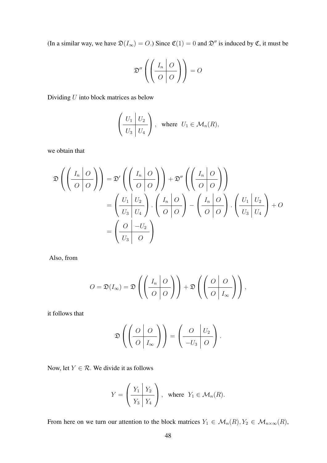(In a similar way, we have  $\mathfrak{D}(I_{\infty}) = O$ .) Since  $\mathfrak{C}(1) = 0$  and  $\mathfrak{D}''$  is induced by  $\mathfrak{C}$ , it must be

$$
\mathfrak{D}''\left(\left(\begin{array}{c|c}I_n & O \\ \hline O & O\end{array}\right)\right) = O
$$

Dividing  $U$  into block matrices as below

$$
\left(\frac{U_1}{U_3}\middle| \frac{U_2}{U_4}\right), \text{ where } U_1 \in \mathcal{M}_n(R),
$$

we obtain that

$$
\mathfrak{D}\left(\left(\frac{I_n \mid O}{O \mid O}\right)\right) = \mathfrak{D}'\left(\left(\frac{I_n \mid O}{O \mid O}\right)\right) + \mathfrak{D}''\left(\left(\frac{I_n \mid O}{O \mid O}\right)\right)
$$

$$
= \left(\frac{U_1 \mid U_2}{U_3 \mid U_4}\right) \cdot \left(\frac{I_n \mid O}{O \mid O}\right) - \left(\frac{I_n \mid O}{O \mid O}\right) \cdot \left(\frac{U_1 \mid U_2}{U_3 \mid U_4}\right) + O
$$

$$
= \left(\frac{O \mid -U_2}{U_3 \mid O}\right)
$$

Also, from

$$
O = \mathfrak{D}(I_{\infty}) = \mathfrak{D}\left(\left(\frac{I_n \mid O}{O \mid O}\right)\right) + \mathfrak{D}\left(\left(\frac{O \mid O}{O \mid I_{\infty}}\right)\right),
$$

it follows that

$$
\mathfrak{D}\left(\left(\begin{array}{c|c} O & O \\ \hline O & I_{\infty} \end{array}\right)\right) = \left(\begin{array}{c|c} O & U_2 \\ \hline -U_3 & O \end{array}\right).
$$

Now, let  $Y \in \mathcal{R}$ . We divide it as follows

$$
Y = \left(\frac{Y_1 \mid Y_2}{Y_3 \mid Y_4}\right), \text{ where } Y_1 \in \mathcal{M}_n(R).
$$

From here on we turn our attention to the block matrices  $Y_1 \in \mathcal{M}_n(R), Y_2 \in \mathcal{M}_{n \times \infty}(R)$ ,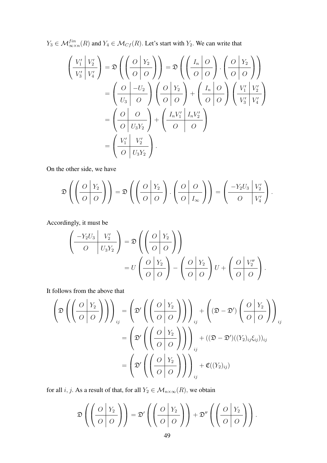$Y_3 \in \mathcal{M}_{\infty \times n}^{fin}(R)$  and  $Y_4 \in \mathcal{M}_{Cf}(R)$ . Let's start with  $Y_2$ . We can write that

$$
\left(\frac{V_1'}{V_3'}\frac{V_2'}{V_4'}\right) = \mathfrak{D}\left(\left(\frac{O}{O}\frac{Y_2}{O}\right)\right) = \mathfrak{D}\left(\left(\frac{I_n}{O}\frac{O}{O}\right).\left(\frac{O}{O}\frac{Y_2}{O}\right)\right)
$$

$$
= \left(\frac{O}{U_3}\frac{O}{O}\right)\left(\frac{O}{O}\frac{Y_2}{O}\right) + \left(\frac{I_n}{O}\frac{O}{O}\right)\left(\frac{V_1'}{V_3'}\frac{V_2'}{V_4'}\right)
$$

$$
= \left(\frac{O}{O}\frac{O}{U_3Y_2}\right) + \left(\frac{I_nV_1'}{O}\frac{I_nV_2'}{O}\right)
$$

$$
= \left(\frac{V_1'}{O}\frac{V_2'}{U_3Y_2}\right).
$$

On the other side, we have

$$
\mathfrak{D}\left(\left(\begin{array}{c|c} O & Y_2 \\ \hline O & O \end{array}\right)\right) = \mathfrak{D}\left(\left(\begin{array}{c|c} O & Y_2 \\ \hline O & O \end{array}\right) \cdot \left(\begin{array}{c|c} O & O \\ \hline O & I_\infty \end{array}\right)\right) = \left(\begin{array}{c|c} -Y_2U_3 & V_2' \\ \hline O & V_4' \end{array}\right).
$$

Accordingly, it must be

$$
\left(\begin{array}{c|c} -Y_2U_3 & V'_2 \\ \hline O & U_3Y_2 \end{array}\right) = \mathfrak{D}\left(\left(\begin{array}{c|c} O & Y_2 \\ \hline O & O \end{array}\right)\right)
$$

$$
= U\left(\begin{array}{c|c} O & Y_2 \\ \hline O & O \end{array}\right) - \left(\begin{array}{c|c} O & Y_2 \\ \hline O & O \end{array}\right)U + \left(\begin{array}{c|c} O & V''_2 \\ \hline O & O \end{array}\right).
$$

It follows from the above that

$$
\left(\mathfrak{D}\left(\left(\frac{O|Y_2}{O|O}\right)\right)\right)_{ij} = \left(\mathfrak{D}'\left(\left(\frac{O|Y_2}{O|O}\right)\right)\right)_{ij} + \left(\left(\mathfrak{D}-\mathfrak{D}'\right)\left(\frac{O|Y_2}{O|O}\right)\right)_{ij}
$$

$$
= \left(\mathfrak{D}'\left(\left(\frac{O|Y_2}{O|O}\right)\right)\right)_{ij} + \left(\left(\mathfrak{D}-\mathfrak{D}'\right)\left(\left(Y_2\right)_{ij}\xi_{ij}\right)\right)_{ij}
$$

$$
= \left(\mathfrak{D}'\left(\left(\frac{O|Y_2}{O|O}\right)\right)\right)_{ij} + \mathfrak{C}((Y_2)_{ij})
$$

for all *i*, *j*. As a result of that, for all  $Y_2 \in M_{n \times \infty}(R)$ , we obtain

$$
\mathfrak{D}\left(\left(\begin{array}{c|c} O & Y_2 \\ \hline O & O \end{array}\right)\right) = \mathfrak{D}'\left(\left(\begin{array}{c|c} O & Y_2 \\ \hline O & O \end{array}\right)\right) + \mathfrak{D}''\left(\left(\begin{array}{c|c} O & Y_2 \\ \hline O & O \end{array}\right)\right).
$$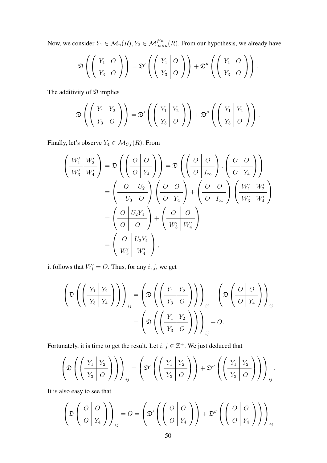Now, we consider  $Y_1 \in \mathcal{M}_n(R), Y_3 \in \mathcal{M}_{\infty \times n}^{fin}(R)$ . From our hypothesis, we already have

$$
\mathfrak{D}\left(\left(\frac{Y_1 \mid O}{Y_3 \mid O}\right)\right) = \mathfrak{D}'\left(\left(\frac{Y_1 \mid O}{Y_3 \mid O}\right)\right) + \mathfrak{D}''\left(\left(\frac{Y_1 \mid O}{Y_3 \mid O}\right)\right).
$$

The additivity of  $\mathfrak D$  implies

$$
\mathfrak{D}\left(\left(\frac{Y_1|Y_2}{Y_3|O}\right)\right)=\mathfrak{D}'\left(\left(\frac{Y_1|Y_2}{Y_3|O}\right)\right)+\mathfrak{D}''\left(\left(\frac{Y_1|Y_2}{Y_3|O}\right)\right).
$$

Finally, let's observe  $Y_4 \in \mathcal{M}_{Cf}(R)$ . From

$$
\left(\frac{W_1'}{W_3'}\frac{W_2'}{W_4'}\right) = \mathfrak{D}\left(\left(\frac{O|O}{O|Y_4}\right)\right) = \mathfrak{D}\left(\left(\frac{O|O}{O|I_{\infty}}\right).\left(\frac{O|O}{O|Y_4}\right)\right)
$$

$$
= \left(\frac{O|U_2}{-U_3|O}\right)\left(\frac{O|O}{O|Y_4}\right) + \left(\frac{O|O}{O|I_{\infty}}\right)\left(\frac{W_1'|W_2'}{W_3'|W_4'}\right)
$$

$$
= \left(\frac{O|U_2Y_4}{O|O|O}\right) + \left(\frac{O|O}{W_3'|W_4'}\right)
$$

$$
= \left(\frac{O|U_2Y_4}{W_3'|W_4'}\right),
$$

it follows that  $W_1' = O$ . Thus, for any  $i, j$ , we get

$$
\left(\mathfrak{D}\left(\left(\frac{Y_1 \mid Y_2}{Y_3 \mid Y_4}\right)\right)\right)_{ij} = \left(\mathfrak{D}\left(\left(\frac{Y_1 \mid Y_2}{Y_3 \mid O}\right)\right)\right)_{ij} + \left(\mathfrak{D}\left(\frac{O \mid O}{O \mid Y_4}\right)\right)_{ij}
$$

$$
= \left(\mathfrak{D}\left(\left(\frac{Y_1 \mid Y_2}{Y_3 \mid O}\right)\right)\right)_{ij} + O.
$$

Fortunately, it is time to get the result. Let  $i, j \in \mathbb{Z}^+$ . We just deduced that

$$
\left(\mathfrak{D}\left(\left(\frac{Y_1|Y_2}{Y_3|O}\right)\right)\right)_{ij} = \left(\mathfrak{D}'\left(\left(\frac{Y_1|Y_2}{Y_3|O}\right)\right) + \mathfrak{D}''\left(\left(\frac{Y_1|Y_2}{Y_3|O}\right)\right)\right)_{ij}.
$$

It is also easy to see that

$$
\left(\mathfrak{D}\left(\frac{O|O}{O|Y_4}\right)\right)_{ij} = O = \left(\mathfrak{D}'\left(\left(\frac{O|O}{O|Y_4}\right)\right) + \mathfrak{D}''\left(\left(\frac{O|O}{O|Y_4}\right)\right)\right)_{ij}
$$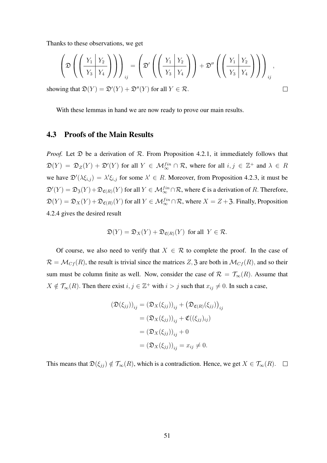Thanks to these observations, we get

$$
\left(\mathfrak{D}\left(\left(\frac{Y_1 \mid Y_2}{Y_3 \mid Y_4}\right)\right)\right)_{ij} = \left(\mathfrak{D}'\left(\left(\frac{Y_1 \mid Y_2}{Y_3 \mid Y_4}\right)\right) + \mathfrak{D}''\left(\left(\frac{Y_1 \mid Y_2}{Y_3 \mid Y_4}\right)\right)\right)_{ij},
$$
  
ing that  $\mathfrak{D}(Y) = \mathfrak{D}'(Y) + \mathfrak{D}''(Y)$  for all  $Y \in \mathcal{R}$ .

showing that  $\mathfrak{D}(Y) = \mathfrak{D}'(Y) + \mathfrak{D}''(Y)$  for all  $Y \in \mathcal{R}$ .

With these lemmas in hand we are now ready to prove our main results.

#### 4.3 Proofs of the Main Results

*Proof.* Let  $\mathfrak D$  be a derivation of  $\mathcal R$ . From Proposition 4.2.1, it immediately follows that  $\mathfrak{D}(Y) = \mathfrak{D}_Z(Y) + \mathfrak{D}'(Y)$  for all  $Y \in \mathcal{M}_{\infty}^{fin} \cap \mathcal{R}$ , where for all  $i, j \in \mathbb{Z}^+$  and  $\lambda \in R$ we have  $\mathfrak{D}'(\lambda \xi_{i,j}) = \lambda' \xi_{i,j}$  for some  $\lambda' \in R$ . Moreover, from Proposition 4.2.3, it must be  $\mathfrak{D}'(Y) = \mathfrak{D}_{\mathfrak{Z}}(Y) + \mathfrak{D}_{\mathfrak{C}(R)}(Y)$  for all  $Y \in \mathcal{M}_{\infty}^{fin} \cap \mathcal{R}$ , where  $\mathfrak{C}$  is a derivation of R. Therefore,  $\mathfrak{D}(Y) = \mathfrak{D}_X(Y) + \mathfrak{D}_{\mathfrak{C}(R)}(Y)$  for all  $Y \in \mathcal{M}_{\infty}^{fin} \cap \mathcal{R}$ , where  $X = Z + \mathfrak{Z}$ . Finally, Proposition 4.2.4 gives the desired result

$$
\mathfrak{D}(Y) = \mathfrak{D}_X(Y) + \mathfrak{D}_{\mathfrak{C}(R)}(Y) \text{ for all } Y \in \mathcal{R}.
$$

Of course, we also need to verify that  $X \in \mathcal{R}$  to complete the proof. In the case of  $\mathcal{R} = \mathcal{M}_{Cf}(R)$ , the result is trivial since the matrices Z, 3 are both in  $\mathcal{M}_{Cf}(R)$ , and so their sum must be column finite as well. Now, consider the case of  $\mathcal{R} = \mathcal{T}_{\infty}(R)$ . Assume that  $X \notin \mathcal{T}_{\infty}(R)$ . Then there exist  $i, j \in \mathbb{Z}^+$  with  $i > j$  such that  $x_{ij} \neq 0$ . In such a case,

$$
\begin{aligned} \left(\mathfrak{D}(\xi_{jj})\right)_{ij} &= \left(\mathfrak{D}_X(\xi_{jj})\right)_{ij} + \left(\mathfrak{D}_{\mathfrak{C}(R)}(\xi_{jj})\right)_{ij} \\ &= \left(\mathfrak{D}_X(\xi_{jj})\right)_{ij} + \mathfrak{C}((\xi_{jj})_{ij}) \\ &= \left(\mathfrak{D}_X(\xi_{jj})\right)_{ij} + 0 \\ &= \left(\mathfrak{D}_X(\xi_{jj})\right)_{ij} = x_{ij} \neq 0. \end{aligned}
$$

This means that  $\mathfrak{D}(\xi_{jj}) \notin \mathcal{T}_{\infty}(R)$ , which is a contradiction. Hence, we get  $X \in \mathcal{T}_{\infty}(R)$ .  $\Box$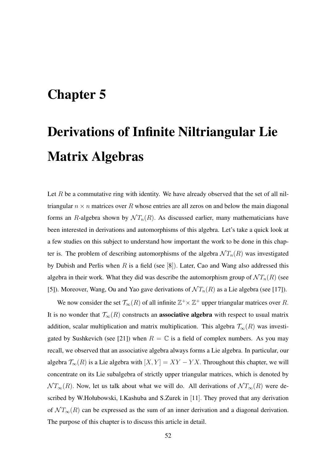# Chapter 5

# Derivations of Infinite Niltriangular Lie Matrix Algebras

Let  $R$  be a commutative ring with identity. We have already observed that the set of all niltriangular  $n \times n$  matrices over R whose entries are all zeros on and below the main diagonal forms an R-algebra shown by  $\mathcal{N}T_n(R)$ . As discussed earlier, many mathematicians have been interested in derivations and automorphisms of this algebra. Let's take a quick look at a few studies on this subject to understand how important the work to be done in this chapter is. The problem of describing automorphisms of the algebra  $\mathcal{N} T_n(R)$  was investigated by Dubish and Perlis when R is a field (see  $[8]$ ). Later, Cao and Wang also addressed this algebra in their work. What they did was describe the automorphism group of  $\mathcal{N}T_n(R)$  (see [5]). Moreover, Wang, Ou and Yao gave derivations of  $\mathcal{N}T_n(R)$  as a Lie algebra (see [17]).

We now consider the set  $\mathcal{T}_{\infty}(R)$  of all infinite  $\mathbb{Z}^+\times\mathbb{Z}^+$  upper triangular matrices over R. It is no wonder that  $\mathcal{T}_{\infty}(R)$  constructs an **associative algebra** with respect to usual matrix addition, scalar multiplication and matrix multiplication. This algebra  $\mathcal{T}_{\infty}(R)$  was investigated by Sushkevich (see [21]) when  $R = \mathbb{C}$  is a field of complex numbers. As you may recall, we observed that an associative algebra always forms a Lie algebra. In particular, our algebra  $\mathcal{T}_{\infty}(R)$  is a Lie algebra with  $[X, Y] = XY - YX$ . Throughout this chapter, we will concentrate on its Lie subalgebra of strictly upper triangular matrices, which is denoted by  $\mathcal{N} T_{\infty}(R)$ . Now, let us talk about what we will do. All derivations of  $\mathcal{N} T_{\infty}(R)$  were described by W.Hołubowski, I.Kashuba and S.Zurek in [11]. They proved that any derivation of  $\mathcal{N} T_{\infty}(R)$  can be expressed as the sum of an inner derivation and a diagonal derivation. The purpose of this chapter is to discuss this article in detail.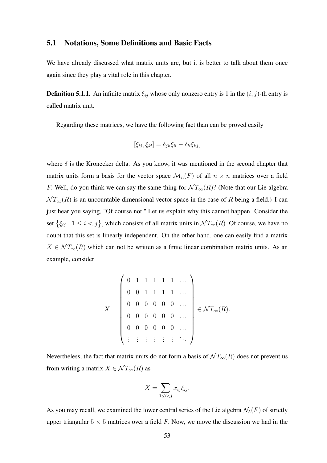#### 5.1 Notations, Some Definitions and Basic Facts

We have already discussed what matrix units are, but it is better to talk about them once again since they play a vital role in this chapter.

**Definition 5.1.1.** An infinite matrix  $\xi_{ij}$  whose only nonzero entry is 1 in the  $(i, j)$ -th entry is called matrix unit.

Regarding these matrices, we have the following fact than can be proved easily

$$
[\xi_{ij}, \xi_{kl}] = \delta_{jk}\xi_{il} - \delta_{li}\xi_{kj},
$$

where  $\delta$  is the Kronecker delta. As you know, it was mentioned in the second chapter that matrix units form a basis for the vector space  $\mathcal{M}_n(F)$  of all  $n \times n$  matrices over a field F. Well, do you think we can say the same thing for  $\mathcal{N} T_{\infty}(R)$ ? (Note that our Lie algebra  $\mathcal{N} T_{\infty}(R)$  is an uncountable dimensional vector space in the case of R being a field.) I can just hear you saying, "Of course not." Let us explain why this cannot happen. Consider the set  $\{\xi_{ij} \mid 1 \le i < j\}$ , which consists of all matrix units in  $\mathcal{N}T_{\infty}(R)$ . Of course, we have no doubt that this set is linearly independent. On the other hand, one can easily find a matrix  $X \in \mathcal{NT}_\infty(R)$  which can not be written as a finite linear combination matrix units. As an example, consider

$$
X = \left(\begin{array}{cccccc} 0 & 1 & 1 & 1 & 1 & 1 & \dots \\ 0 & 0 & 1 & 1 & 1 & 1 & \dots \\ 0 & 0 & 0 & 0 & 0 & 0 & \dots \\ 0 & 0 & 0 & 0 & 0 & 0 & \dots \\ 0 & 0 & 0 & 0 & 0 & 0 & \dots \\ \vdots & \vdots & \vdots & \vdots & \vdots & \vdots & \ddots \end{array}\right) \in \mathcal{NT}_{\infty}(R).
$$

Nevertheless, the fact that matrix units do not form a basis of  $\mathcal{N} T_{\infty}(R)$  does not prevent us from writing a matrix  $X \in \mathcal{NT}_\infty(R)$  as

$$
X = \sum_{1 \le i < j} x_{ij} \xi_{ij}.
$$

As you may recall, we examined the lower central series of the Lie algebra  $\mathcal{N}_5(F)$  of strictly upper triangular  $5 \times 5$  matrices over a field F. Now, we move the discussion we had in the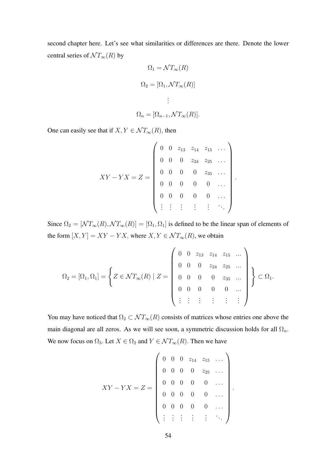second chapter here. Let's see what similarities or differences are there. Denote the lower central series of  $\mathcal{N} T_{\infty}(R)$  by

$$
\Omega_1 = \mathcal{N}T_{\infty}(R)
$$

$$
\Omega_2 = [\Omega_1, \mathcal{N}T_{\infty}(R)]
$$

$$
\vdots
$$

$$
\Omega_n = [\Omega_{n-1}, \mathcal{N}T_{\infty}(R)].
$$

One can easily see that if  $X, Y \in \mathcal{NT}_\infty(R)$ , then

$$
XY - YX = Z = \begin{pmatrix} 0 & 0 & z_{13} & z_{14} & z_{15} & \dots \\ 0 & 0 & 0 & z_{24} & z_{25} & \dots \\ 0 & 0 & 0 & 0 & z_{35} & \dots \\ 0 & 0 & 0 & 0 & 0 & \dots \\ 0 & 0 & 0 & 0 & 0 & \dots \\ \vdots & \vdots & \vdots & \vdots & \vdots & \ddots \end{pmatrix}
$$

.

Since  $\Omega_2 = [\mathcal{N} T_{\infty}(R), \mathcal{N} T_{\infty}(R)] = [\Omega_1, \Omega_1]$  is defined to be the linear span of elements of the form  $[X, Y] = XY - YX$ , where  $X, Y \in \mathcal{NT}_{\infty}(R)$ , we obtain

$$
\Omega_2 = [\Omega_1, \Omega_1] = \left\{ Z \in \mathcal{NT}_{\infty}(R) \mid Z = \left( \begin{array}{cccccc} 0 & 0 & z_{13} & z_{14} & z_{15} & \dots \\ 0 & 0 & 0 & z_{24} & z_{25} & \dots \\ 0 & 0 & 0 & 0 & z_{35} & \dots \\ 0 & 0 & 0 & 0 & 0 & \dots \\ \vdots & \vdots & \vdots & \vdots & \vdots & \vdots \end{array} \right) \right\} \subset \Omega_1.
$$

You may have noticed that  $\Omega_2 \subset \mathcal{NT}_\infty(R)$  consists of matrices whose entries one above the main diagonal are all zeros. As we will see soon, a symmetric discussion holds for all  $\Omega_n$ . We now focus on  $\Omega_3$ . Let  $X \in \Omega_2$  and  $Y \in \mathcal{NT}_\infty(R)$ . Then we have

$$
XY - YX = Z = \begin{pmatrix} 0 & 0 & 0 & z_{14} & z_{15} & \dots \\ 0 & 0 & 0 & 0 & z_{25} & \dots \\ 0 & 0 & 0 & 0 & 0 & \dots \\ 0 & 0 & 0 & 0 & 0 & \dots \\ 0 & 0 & 0 & 0 & 0 & \dots \\ \vdots & \vdots & \vdots & \vdots & \vdots & \ddots \end{pmatrix}.
$$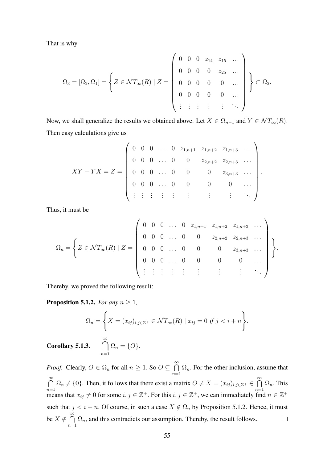That is why

$$
\Omega_3 = [\Omega_2, \Omega_1] = \left\{ Z \in \mathcal{NT}_{\infty}(R) \mid Z = \left( \begin{array}{cccccc} 0 & 0 & 0 & z_{14} & z_{15} & \dots \\ 0 & 0 & 0 & 0 & z_{25} & \dots \\ 0 & 0 & 0 & 0 & 0 & \dots \\ 0 & 0 & 0 & 0 & 0 & \dots \\ \vdots & \vdots & \vdots & \vdots & \vdots & \ddots \end{array} \right) \right\} \subset \Omega_2.
$$

Now, we shall generalize the results we obtained above. Let  $X \in \Omega_{n-1}$  and  $Y \in \mathcal{NT}_\infty(R)$ . Then easy calculations give us

$$
XY - YX = Z = \begin{pmatrix} 0 & 0 & 0 & \dots & 0 & z_{1,n+1} & z_{1,n+2} & z_{1,n+3} & \dots \\ 0 & 0 & 0 & \dots & 0 & 0 & z_{2,n+2} & z_{2,n+3} & \dots \\ 0 & 0 & 0 & \dots & 0 & 0 & 0 & z_{3,n+3} & \dots \\ 0 & 0 & 0 & \dots & 0 & 0 & 0 & 0 & \dots \\ \vdots & \vdots & \vdots & \vdots & \vdots & \vdots & \vdots & \vdots & \ddots \end{pmatrix}.
$$

Thus, it must be

$$
\Omega_n = \left\{ Z \in \mathcal{NT}_{\infty}(R) \mid Z = \left( \begin{array}{cccccc} 0 & 0 & 0 & \dots & 0 & z_{1,n+1} & z_{1,n+2} & z_{1,n+3} & \dots \\ 0 & 0 & 0 & \dots & 0 & 0 & z_{2,n+2} & z_{2,n+3} & \dots \\ 0 & 0 & 0 & \dots & 0 & 0 & 0 & z_{3,n+3} & \dots \\ 0 & 0 & 0 & \dots & 0 & 0 & 0 & \dots \\ \vdots & \vdots & \vdots & \vdots & \vdots & \vdots & \vdots & \ddots \end{array} \right) \right\}.
$$

Thereby, we proved the following result:

**Proposition 5.1.2.** *For any*  $n \geq 1$ *,* 

$$
\Omega_n = \left\{ X = (x_{ij})_{i,j \in \mathbb{Z}^+} \in \mathcal{NT}_{\infty}(R) \mid x_{ij} = 0 \text{ if } j < i + n \right\}.
$$
  
**Corollary 5.1.3.** 
$$
\bigcap_{n=1}^{\infty} \Omega_n = \{O\}.
$$

*Proof.* Clearly,  $O \in \Omega_n$  for all  $n \geq 1$ . So  $O \subseteq \bigcap_{n=1}^{\infty}$  $\Omega_n$ . For the other inclusion, assume that  $n=1$  $\bigcap^{\infty}$  $\Omega_n \neq \{0\}$ . Then, it follows that there exist a matrix  $O \neq X = (x_{ij})_{i,j \in \mathbb{Z}^+} \in \bigcap_{i=1}^{\infty} X_i$  $\Omega_n$ . This  $n=1$  $n=1$ means that  $x_{ij} \neq 0$  for some  $i, j \in \mathbb{Z}^+$ . For this  $i, j \in \mathbb{Z}^+$ , we can immediately find  $n \in \mathbb{Z}^+$ such that  $j < i + n$ . Of course, in such a case  $X \notin \Omega_n$  by Proposition 5.1.2. Hence, it must be  $X \notin \bigcap^{\infty}$  $\Omega_n$ , and this contradicts our assumption. Thereby, the result follows.  $\Box$  $n=1$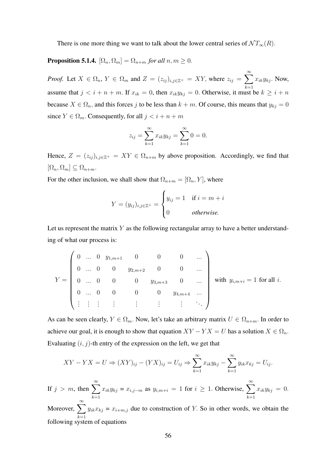There is one more thing we want to talk about the lower central series of  $\mathcal{N} T_{\infty}(R)$ .

**Proposition 5.1.4.**  $[\Omega_n, \Omega_m] = \Omega_{n+m}$  *for all*  $n, m \geq 0$ .

*Proof.* Let  $X \in \Omega_n$ ,  $Y \in \Omega_m$  and  $Z = (z_{ij})_{i,j \in \mathbb{Z}^+} = XY$ , where  $z_{ij} = \sum_{i=1}^{\infty}$  $k=1$  $x_{ik}y_{kj}$ . Now, assume that  $j \leq i + n + m$ . If  $x_{ik} = 0$ , then  $x_{ik}y_{kj} = 0$ . Otherwise, it must be  $k \geq i + n$ because  $X \in \Omega_n$ , and this forces j to be less than  $k + m$ . Of course, this means that  $y_{kj} = 0$ since  $Y \in \Omega_m$ . Consequently, for all  $j < i + n + m$ 

$$
z_{ij} = \sum_{k=1}^{\infty} x_{ik} y_{kj} = \sum_{k=1}^{\infty} 0 = 0.
$$

Hence,  $Z = (z_{ij})_{i,j \in \mathbb{Z}^+} = XY \in \Omega_{n+m}$  by above proposition. Accordingly, we find that  $[\Omega_n, \Omega_m] \subseteq \Omega_{n+m}.$ 

For the other inclusion, we shall show that  $\Omega_{n+m} = [\Omega_n, Y]$ , where

$$
Y = (y_{ij})_{i,j \in \mathbb{Z}^+} = \begin{cases} y_{ij} = 1 & \text{if } i = m+i \\ 0 & otherwise. \end{cases}
$$

Let us represent the matrix  $Y$  as the following rectangular array to have a better understanding of what our process is:

$$
Y = \begin{pmatrix} 0 & \dots & 0 & y_{1,m+1} & 0 & 0 & 0 & \dots \\ 0 & \dots & 0 & 0 & y_{2,m+2} & 0 & 0 & \dots \\ 0 & \dots & 0 & 0 & 0 & y_{3,m+3} & 0 & \dots \\ 0 & \dots & 0 & 0 & 0 & 0 & y_{4,m+4} & \dots \\ \vdots & \vdots & \vdots & \vdots & \vdots & \vdots & \vdots & \ddots \end{pmatrix} \text{ with } y_{i,m+i} = 1 \text{ for all } i.
$$

As can be seen clearly,  $Y \in \Omega_m$ . Now, let's take an arbitrary matrix  $U \in \Omega_{n+m}$ . In order to achieve our goal, it is enough to show that equation  $XY - YX = U$  has a solution  $X \in \Omega_n$ . Evaluating  $(i, j)$ -th entry of the expression on the left, we get that

$$
XY - YX = U \Rightarrow (XY)_{ij} - (YX)_{ij} = U_{ij} \Rightarrow \sum_{k=1}^{\infty} x_{ik}y_{kj} - \sum_{k=1}^{\infty} y_{ik}x_{kj} = U_{ij}.
$$
  
If  $j > m$ , then  $\sum_{k=1}^{\infty} x_{ik}y_{kj} = x_{i,j-m}$  as  $y_{i,m+i} = 1$  for  $i \ge 1$ . Otherwise,  $\sum_{k=1}^{\infty} x_{ik}y_{kj} = 0$ .  
Moreover,  $\sum_{k=1}^{\infty} y_{ik}x_{kj} = x_{i+m,j}$  due to construction of  $Y$ . So in other words, we obtain the

 $k=1$ <br>following system of equations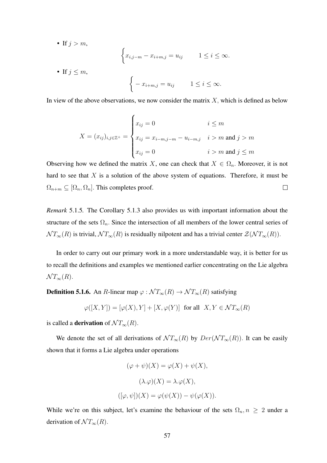• If  $j > m$ ,

$$
\begin{cases} x_{i,j-m} - x_{i+m,j} = u_{ij} & 1 \le i \le \infty. \end{cases}
$$

• If  $j \leq m$ ,

$$
\begin{cases}\n-x_{i+m,j} = u_{ij} & 1 \leq i \leq \infty.\n\end{cases}
$$

In view of the above observations, we now consider the matrix  $X$ , which is defined as below

$$
X = (x_{ij})_{i,j \in \mathbb{Z}^+} = \begin{cases} x_{ij} = 0 & i \leq m \\ x_{ij} = x_{i-m,j-m} - u_{i-m,j} & i > m \text{ and } j > m \\ x_{ij} = 0 & i > m \text{ and } j \leq m \end{cases}
$$

Observing how we defined the matrix X, one can check that  $X \in \Omega_n$ . Moreover, it is not hard to see that  $X$  is a solution of the above system of equations. Therefore, it must be  $\Omega_{n+m} \subseteq [\Omega_n, \Omega_n]$ . This completes proof.  $\Box$ 

*Remark* 5.1.5*.* The Corollary 5.1.3 also provides us with important information about the structure of the sets  $\Omega_n$ . Since the intersection of all members of the lower central series of  $NT_\infty(R)$  is trivial,  $NT_\infty(R)$  is residually nilpotent and has a trivial center  $\mathcal{Z}(\mathcal{N}T_\infty(R))$ .

In order to carry out our primary work in a more understandable way, it is better for us to recall the definitions and examples we mentioned earlier concentrating on the Lie algebra  $\mathcal{N} T_{\infty}(R)$ .

**Definition 5.1.6.** An R-linear map  $\varphi : \mathcal{N} T_{\infty}(R) \to \mathcal{N} T_{\infty}(R)$  satisfying

$$
\varphi([X,Y]) = [\varphi(X), Y] + [X, \varphi(Y)] \text{ for all } X, Y \in \mathcal{NT}_{\infty}(R)
$$

is called a **derivation** of  $\mathcal{N} T_{\infty}(R)$ .

We denote the set of all derivations of  $\mathcal{N} T_{\infty}(R)$  by  $Der(\mathcal{N} T_{\infty}(R))$ . It can be easily shown that it forms a Lie algebra under operations

$$
(\varphi + \psi)(X) = \varphi(X) + \psi(X),
$$

$$
(\lambda \cdot \varphi)(X) = \lambda \cdot \varphi(X),
$$

$$
([\varphi, \psi])(X) = \varphi(\psi(X)) - \psi(\varphi(X)).
$$

While we're on this subject, let's examine the behaviour of the sets  $\Omega_n, n \geq 2$  under a derivation of  $\mathcal{N} T_{\infty}(R)$ .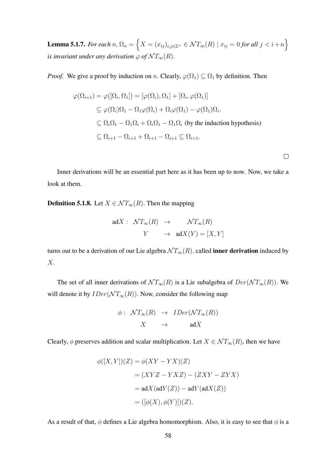Lemma 5.1.7. *For each*  $n, \Omega_n = \left\{X = (x_{ij})_{i,j\in\mathbb{Z}^+}\in{\mathcal{NT}_\infty(R)} \mid x_{ij}=0$  *for all*  $j < i+n\right\}$ *is invariant under any derivation*  $\varphi$  *of*  $\mathcal{N}T_{\infty}(R)$ .

*Proof.* We give a proof by induction on n. Clearly,  $\varphi(\Omega_1) \subseteq \Omega_1$  by definition. Then

$$
\varphi(\Omega_{i+1}) = \varphi([\Omega_i, \Omega_1]) = [\varphi(\Omega_i), \Omega_1] + [\Omega_i, \varphi(\Omega_1)]
$$
  
\n
$$
\subseteq \varphi(\Omega_i)\Omega_1 - \Omega_1\varphi(\Omega_i) + \Omega_i\varphi(\Omega_1) - \varphi(\Omega_1)\Omega_i.
$$
  
\n
$$
\subseteq \Omega_i\Omega_1 - \Omega_1\Omega_i + \Omega_i\Omega_1 - \Omega_1\Omega_i \text{ (by the induction hypothesis)}
$$
  
\n
$$
\subseteq \Omega_{i+1} - \Omega_{i+1} + \Omega_{i+1} - \Omega_{i+1} \subseteq \Omega_{i+1}.
$$

 $\Box$ 

Inner derivations will be an essential part here as it has been up to now. Now, we take a look at them.

**Definition 5.1.8.** Let  $X \in \mathcal{NT}_\infty(R)$ . Then the mapping

$$
adX: \quad \mathcal{N}T_{\infty}(R) \quad \to \qquad \mathcal{N}T_{\infty}(R)
$$

$$
Y \qquad \to \quad adX(Y) = [X, Y]
$$

turns out to be a derivation of our Lie algebra  $\mathcal{N} T_{\infty}(R)$ , called **inner derivation** induced by X.

The set of all inner derivations of  $\mathcal{N} T_{\infty}(R)$  is a Lie subalgebra of  $Der(\mathcal{N} T_{\infty}(R))$ . We will denote it by  $IDer(\mathcal{NT}_\infty(R))$ . Now, consider the following map

$$
\begin{array}{rcl}\n\phi: & \mathcal{N}T_{\infty}(R) & \rightarrow & IDer(\mathcal{N}T_{\infty}(R)) \\
X & \rightarrow & \text{ad}X\n\end{array}
$$

Clearly,  $\phi$  preserves addition and scalar multiplication. Let  $X \in \mathcal{NT}_{\infty}(R)$ , then we have

$$
\phi([X,Y])(Z) = \phi(XY - YX)(Z)
$$
  
=  $(XYZ - YXZ) - (ZXY - ZYX)$   
=  $\text{ad}X(\text{ad}Y(Z)) - \text{ad}Y(\text{ad}X(Z))$   
=  $([\phi(X), \phi(Y)])(Z).$ 

As a result of that,  $\phi$  defines a Lie algebra homomorphism. Also, it is easy to see that  $\phi$  is a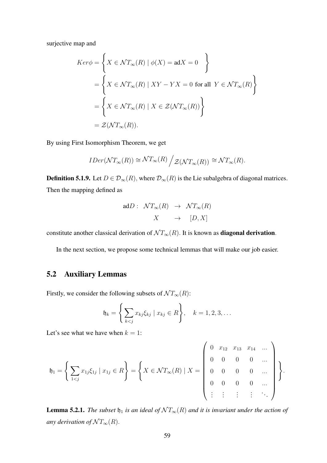surjective map and

$$
Ker\phi = \left\{ X \in \mathcal{NT}_{\infty}(R) \mid \phi(X) = \text{ad}X = 0 \right\}
$$

$$
= \left\{ X \in \mathcal{NT}_{\infty}(R) \mid XY - YX = 0 \text{ for all } Y \in \mathcal{NT}_{\infty}(R) \right\}
$$

$$
= \left\{ X \in \mathcal{NT}_{\infty}(R) \mid X \in \mathcal{Z}(\mathcal{NT}_{\infty}(R)) \right\}
$$

$$
= \mathcal{Z}(\mathcal{NT}_{\infty}(R)).
$$

By using First Isomorphism Theorem, we get

$$
IDer(\mathcal{NT}_{\infty}(R)) \cong \mathcal{NT}_{\infty}(R) / \mathcal{Z}(\mathcal{NT}_{\infty}(R)) \cong \mathcal{NT}_{\infty}(R).
$$

**Definition 5.1.9.** Let  $D \in \mathcal{D}_{\infty}(R)$ , where  $\mathcal{D}_{\infty}(R)$  is the Lie subalgebra of diagonal matrices. Then the mapping defined as

$$
\begin{array}{rcl} \text{ad}D: & \mathcal{N}T_{\infty}(R) & \rightarrow & \mathcal{N}T_{\infty}(R) \\ & & X & \rightarrow & [D, X] \end{array}
$$

constitute another classical derivation of  $\mathcal{N} T_{\infty}(R)$ . It is known as **diagonal derivation**.

In the next section, we propose some technical lemmas that will make our job easier.

## 5.2 Auxiliary Lemmas

Firstly, we consider the following subsets of  $\mathcal{N} T_{\infty}(R)$ :

$$
\mathfrak{h}_k = \left\{ \sum_{k < j} x_{kj} \xi_{kj} \mid x_{kj} \in R \right\}, \quad k = 1, 2, 3, \dots
$$

Let's see what we have when  $k = 1$ :

$$
\mathfrak{h}_1 = \left\{ \sum_{1 < j} x_{1j} \xi_{1j} \mid x_{1j} \in R \right\} = \left\{ X \in \mathcal{NT}_{\infty}(R) \mid X = \begin{pmatrix} 0 & x_{12} & x_{13} & x_{14} & \dots \\ 0 & 0 & 0 & 0 & \dots \\ 0 & 0 & 0 & 0 & \dots \\ \vdots & \vdots & \vdots & \vdots & \ddots \end{pmatrix} \right\}.
$$

**Lemma 5.2.1.** *The subset*  $\mathfrak{h}_1$  *is an ideal of*  $\mathcal{N}T_{\infty}(R)$  *and it is invariant under the action of any derivation of*  $\mathcal{N} T_{\infty}(R)$ *.*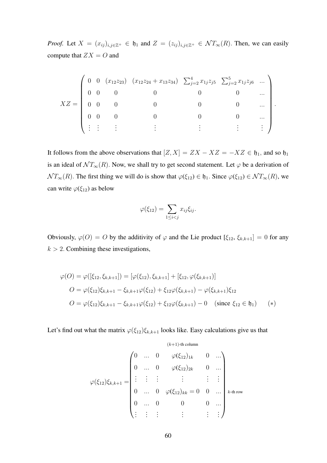*Proof.* Let  $X = (x_{ij})_{i,j \in \mathbb{Z}^+} \in \mathfrak{h}_1$  and  $Z = (z_{ij})_{i,j \in \mathbb{Z}^+} \in \mathcal{N}T_{\infty}(R)$ . Then, we can easily compute that  $ZX = O$  and

$$
XZ = \begin{pmatrix} 0 & 0 & (x_{12}z_{23}) & (x_{12}z_{24} + x_{13}z_{34}) & \sum_{j=2}^{4} x_{1j}z_{j5} & \sum_{j=2}^{5} x_{1j}z_{j6} & \cdots \\ 0 & 0 & 0 & 0 & 0 & \cdots \\ 0 & 0 & 0 & 0 & 0 & \cdots \\ 0 & 0 & 0 & 0 & 0 & \cdots \\ \vdots & \vdots & \vdots & \vdots & \vdots & \vdots & \vdots \end{pmatrix}.
$$

It follows from the above observations that  $[Z, X] = ZX - XZ = -XZ \in \mathfrak{h}_1$ , and so  $\mathfrak{h}_1$ is an ideal of  $\mathcal{N} T_{\infty}(R)$ . Now, we shall try to get second statement. Let  $\varphi$  be a derivation of  $\mathcal{N} T_{\infty}(R)$ . The first thing we will do is show that  $\varphi(\xi_{12}) \in \mathfrak{h}_1$ . Since  $\varphi(\xi_{12}) \in \mathcal{N} T_{\infty}(R)$ , we can write  $\varphi(\xi_{12})$  as below

$$
\varphi(\xi_{12}) = \sum_{1 \leq i < j} x_{ij} \xi_{ij}.
$$

Obviously,  $\varphi(0) = 0$  by the additivity of  $\varphi$  and the Lie product  $[\xi_{12}, \xi_{k,k+1}] = 0$  for any  $k > 2$ . Combining these investigations,

$$
\varphi(O) = \varphi([\xi_{12}, \xi_{k,k+1}]) = [\varphi(\xi_{12}), \xi_{k,k+1}] + [\xi_{12}, \varphi(\xi_{k,k+1})]
$$
  
\n
$$
O = \varphi(\xi_{12})\xi_{k,k+1} - \xi_{k,k+1}\varphi(\xi_{12}) + \xi_{12}\varphi(\xi_{k,k+1}) - \varphi(\xi_{k,k+1})\xi_{12}
$$
  
\n
$$
O = \varphi(\xi_{12})\xi_{k,k+1} - \xi_{k,k+1}\varphi(\xi_{12}) + \xi_{12}\varphi(\xi_{k,k+1}) - 0 \quad \text{(since } \xi_{12} \in \mathfrak{h}_1) \qquad (*)
$$

Let's find out what the matrix  $\varphi(\xi_{12})\xi_{k,k+1}$  looks like. Easy calculations give us that

$$
\varphi(\xi_{12})\xi_{k,k+1} = \begin{pmatrix}\n0 & \cdots & 0 & \varphi(\xi_{12})_{1k} & 0 & \cdots \\
0 & \cdots & 0 & \varphi(\xi_{12})_{2k} & 0 & \cdots \\
\vdots & \vdots & \vdots & & \vdots & \vdots \\
0 & \cdots & 0 & \varphi(\xi_{12})_{kk} = 0 & 0 & \cdots \\
0 & \cdots & 0 & 0 & 0 & \cdots \\
\vdots & \vdots & \vdots & & \vdots & \vdots\n\end{pmatrix} k \text{-th row}
$$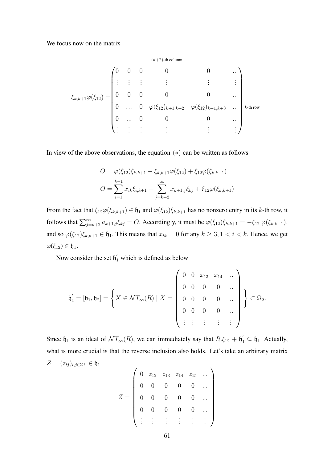We focus now on the matrix

$$
\xi_{k,k+1}\varphi(\xi_{12}) = \begin{pmatrix}\n0 & 0 & 0 & 0 & 0 & \cdots \\
\vdots & \vdots & \vdots & \vdots & \vdots & \vdots \\
0 & 0 & 0 & 0 & 0 & \cdots \\
\vdots & \vdots & \vdots & \vdots & \varphi(\xi_{12})_{k+1,k+2} & \varphi(\xi_{12})_{k+1,k+3} & \cdots \\
\vdots & \vdots & \vdots & \vdots & \vdots & \vdots\n\end{pmatrix} \text{ k-th row}
$$

In view of the above observations, the equation  $(*)$  can be written as follows

$$
O = \varphi(\xi_{12})\xi_{k,k+1} - \xi_{k,k+1}\varphi(\xi_{12}) + \xi_{12}\varphi(\xi_{k,k+1})
$$

$$
O = \sum_{i=1}^{k-1} x_{ik}\xi_{i,k+1} - \sum_{j=k+2}^{\infty} x_{k+1,j}\xi_{kj} + \xi_{12}\varphi(\xi_{k,k+1})
$$

From the fact that  $\xi_{12}\varphi(\xi_{k,k+1}) \in \mathfrak{h}_1$  and  $\varphi(\xi_{12})\xi_{k,k+1}$  has no nonzero entry in its k-th row, it follows that  $\sum_{j=k+2}^{\infty} a_{k+1,j} \xi_{kj} = O$ . Accordingly, it must be  $\varphi(\xi_{12}) \xi_{k,k+1} = -\xi_{12} \varphi(\xi_{k,k+1}),$ and so  $\varphi(\xi_{12})\xi_{k,k+1} \in \mathfrak{h}_1$ . This means that  $x_{ik} = 0$  for any  $k \geq 3, 1 < i < k$ . Hence, we get  $\varphi(\xi_{12}) \in \mathfrak{h}_1.$ 

Now consider the set  $\mathfrak{h}'_1$  which is defined as below

$$
\mathfrak{h}'_1 = [\mathfrak{h}_1, \mathfrak{h}_2] = \left\{ X \in \mathcal{NT}_{\infty}(R) \mid X = \left( \begin{array}{cccc} 0 & 0 & x_{13} & x_{14} & \dots \\ 0 & 0 & 0 & 0 & \dots \\ 0 & 0 & 0 & 0 & \dots \\ 0 & 0 & 0 & 0 & \dots \\ \vdots & \vdots & \vdots & \vdots & \vdots \end{array} \right) \right\} \subset \Omega_2.
$$

Since  $\mathfrak{h}_1$  is an ideal of  $\mathcal{N}T_{\infty}(R)$ , we can immediately say that  $R.\xi_{12} + \mathfrak{h}'_1 \subseteq \mathfrak{h}_1$ . Actually, what is more crucial is that the reverse inclusion also holds. Let's take an arbitrary matrix  $Z = (z_{ij})_{i,j\in\mathbb{Z}^+} \in \mathfrak{h}_1$  $\overline{1}$ 

$$
Z = \left(\begin{array}{cccccc} 0 & z_{12} & z_{13} & z_{14} & z_{15} & \dots \\ 0 & 0 & 0 & 0 & 0 & \dots \\ 0 & 0 & 0 & 0 & 0 & \dots \\ 0 & 0 & 0 & 0 & 0 & \dots \\ \vdots & \vdots & \vdots & \vdots & \vdots & \vdots \end{array}\right)
$$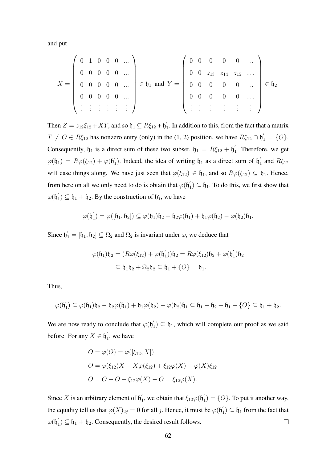and put

$$
X = \left(\begin{array}{cccccc} 0 & 1 & 0 & 0 & 0 & \dots \\ 0 & 0 & 0 & 0 & 0 & \dots \\ 0 & 0 & 0 & 0 & 0 & \dots \\ 0 & 0 & 0 & 0 & 0 & \dots \\ \vdots & \vdots & \vdots & \vdots & \vdots & \vdots \end{array}\right) \in \mathfrak{h}_1 \text{ and } Y = \left(\begin{array}{cccccc} 0 & 0 & 0 & 0 & 0 & \dots \\ 0 & 0 & z_{13} & z_{14} & z_{15} & \dots \\ 0 & 0 & 0 & 0 & 0 & \dots \\ 0 & 0 & 0 & 0 & 0 & \dots \\ \vdots & \vdots & \vdots & \vdots & \vdots & \vdots \end{array}\right) \in \mathfrak{h}_2.
$$

Then  $Z = z_{12}\xi_{12} + XY$ , and so  $\mathfrak{h}_1 \subseteq R\xi_{12} + \mathfrak{h}'_1$  $\int_1$ . In addition to this, from the fact that a matrix  $T \neq O \in R\xi_{12}$  has nonzero entry (only) in the (1, 2) position, we have  $R\xi_{12} \cap \mathfrak{h}'_1 = \{O\}$ . Consequently,  $\mathfrak{h}_1$  is a direct sum of these two subset,  $\mathfrak{h}_1 = R \xi_{12} + \mathfrak{h}'_1$  $i<sub>1</sub>$ . Therefore, we get  $\varphi(\mathfrak{h}_1) = R\varphi(\xi_{12}) + \varphi(\mathfrak{h}')$ 1). Indeed, the idea of writing  $\mathfrak{h}_1$  as a direct sum of  $\mathfrak{h}_1$  $\int_1$  and  $R\xi_{12}$ will ease things along. We have just seen that  $\varphi(\xi_{12}) \in \mathfrak{h}_1$ , and so  $R\varphi(\xi_{12}) \subseteq \mathfrak{h}_1$ . Hence, from here on all we only need to do is obtain that  $\varphi(\mathfrak{h})$  $\mathbf{I}_1$ )  $\subseteq \mathfrak{h}_1$ . To do this, we first show that  $\varphi(\mathfrak{h}^{\prime})$  $\mathbf{h}'_1$ )  $\subseteq \mathbf{h}_1 + \mathbf{h}_2$ . By the construction of  $\mathbf{h}'_1$ , we have

$$
\varphi(\mathfrak{h}_1')=\varphi([\mathfrak{h}_1,\mathfrak{h}_2])\subseteq \varphi(\mathfrak{h}_1)\mathfrak{h}_2-\mathfrak{h}_2\varphi(\mathfrak{h}_1)+\mathfrak{h}_1\varphi(\mathfrak{h}_2)-\varphi(\mathfrak{h}_2)\mathfrak{h}_1.
$$

Since  $\mathfrak{h}'_1 = [\mathfrak{h}_1, \mathfrak{h}_2] \subseteq \Omega_2$  and  $\Omega_2$  is invariant under  $\varphi$ , we deduce that

$$
\varphi(\mathfrak{h}_1)\mathfrak{h}_2 = (R\varphi(\xi_{12}) + \varphi(\mathfrak{h}'_1))\mathfrak{h}_2 = R\varphi(\xi_{12})\mathfrak{h}_2 + \varphi(\mathfrak{h}'_1)\mathfrak{h}_2
$$
  

$$
\subseteq \mathfrak{h}_1\mathfrak{h}_2 + \Omega_2\mathfrak{h}_2 \subseteq \mathfrak{h}_1 + \{O\} = \mathfrak{h}_1.
$$

Thus,

$$
\varphi(\mathfrak{h}_1') \subseteq \varphi(\mathfrak{h}_1)\mathfrak{h}_2 - \mathfrak{h}_2\varphi(\mathfrak{h}_1) + \mathfrak{h}_1\varphi(\mathfrak{h}_2) - \varphi(\mathfrak{h}_2)\mathfrak{h}_1 \subseteq \mathfrak{h}_1 - \mathfrak{h}_2 + \mathfrak{h}_1 - \{O\} \subseteq \mathfrak{h}_1 + \mathfrak{h}_2.
$$

We are now ready to conclude that  $\varphi(\mathfrak{h})$  $\mathbf{I}_1$ )  $\subseteq$   $\mathfrak{h}_1$ , which will complete our proof as we said before. For any  $X \in \mathfrak{h}^2$  $\sigma_1$ , we have

$$
O = \varphi(O) = \varphi([\xi_{12}, X])
$$
  
\n
$$
O = \varphi(\xi_{12})X - X\varphi(\xi_{12}) + \xi_{12}\varphi(X) - \varphi(X)\xi_{12}
$$
  
\n
$$
O = O - O + \xi_{12}\varphi(X) - O = \xi_{12}\varphi(X).
$$

Since X is an arbitrary element of  $\mathfrak{h}'$  $\zeta_1'$ , we obtain that  $\xi_{12}\varphi(\mathfrak{h})$  $I_1$ ) =  $\{O\}$ . To put it another way, the equality tell us that  $\varphi(X)_{2j} = 0$  for all j. Hence, it must be  $\varphi(\mathfrak{h})$  $\mathbf{I}_1$ )  $\subseteq \mathfrak{h}_1$  from the fact that  $\varphi(\mathfrak{h}^{\prime})$  $\mathbf{1}_1 \subseteq \mathbf{h}_1 + \mathbf{h}_2$ . Consequently, the desired result follows.  $\Box$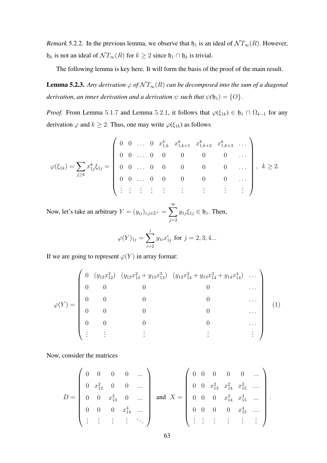*Remark* 5.2.2. In the previous lemma, we observe that  $\mathfrak{h}_1$  is an ideal of  $\mathcal{N} T_{\infty}(R)$ . However,  $\mathfrak{h}_k$  is not an ideal of  $\mathcal{N} T_{\infty}(R)$  for  $k \geq 2$  since  $\mathfrak{h}_1 \cap \mathfrak{h}_k$  is trivial.

The following lemma is key here. It will form the basis of the proof of the main result.

**Lemma 5.2.3.** Any derivation  $\varphi$  of  $\mathcal{NT}_\infty(R)$  can be decomposed into the sum of a diagonal *derivation, an inner derivation and a derivation*  $\psi$  *such that*  $\psi(\mathfrak{h}_1) = \{O\}$ .

*Proof.* From Lemma 5.1.7 and Lemma 5.2.1, it follows that  $\varphi(\xi_{1k}) \in \mathfrak{h}_1 \cap \Omega_{k-1}$  for any derivation  $\varphi$  and  $k \ge 2$ . Thus, one may write  $\varphi(\xi_{1k})$  as follows

$$
\varphi(\xi_{1k}) = \sum_{j\geq k} x_{1j}^k \xi_{1j} = \begin{pmatrix} 0 & 0 & \dots & 0 & x_{1,k}^k & x_{1,k+1}^k & x_{1,k+2}^k & x_{1,k+3}^k & \dots \\ 0 & 0 & \dots & 0 & 0 & 0 & 0 & 0 & \dots \\ 0 & 0 & \dots & 0 & 0 & 0 & 0 & 0 & \dots \\ 0 & 0 & \dots & 0 & 0 & 0 & 0 & 0 & \dots \\ \vdots & \vdots & \vdots & \vdots & \vdots & \vdots & \vdots & \vdots & \vdots \end{pmatrix}, k \geq 2.
$$

Now, let's take an arbitrary  $Y = (y_{ij})_{i,j \in \mathbb{Z}^+} = \sum_{i=1}^{\infty}$  $j=2$  $y_{1j}\xi_{1j} \in \mathfrak{h}_1$ . Then,

$$
\varphi(Y)_{1j} = \sum_{i=2}^{j} y_{1i} x_{1j}^{i} \text{ for } j = 2, 3, 4...
$$

If we are going to represent  $\varphi(Y)$  in array format:

$$
\varphi(Y) = \begin{pmatrix} 0 & (y_{12}x_{12}^2) & (y_{12}x_{13}^2 + y_{13}x_{13}^3) & (y_{12}x_{14}^2 + y_{13}x_{14}^3 + y_{14}x_{14}^4) & \dots \\ 0 & 0 & 0 & 0 & \dots \\ 0 & 0 & 0 & 0 & \dots \\ 0 & 0 & 0 & 0 & \dots \\ 0 & 0 & 0 & 0 & \dots \\ \vdots & \vdots & \vdots & \vdots & \vdots & \vdots \end{pmatrix} (1)
$$

Now, consider the matrices

$$
D = \begin{pmatrix} 0 & 0 & 0 & 0 & \dots \\ 0 & x_{12}^2 & 0 & 0 & \dots \\ 0 & 0 & x_{13}^3 & 0 & \dots \\ 0 & 0 & 0 & x_{14}^4 & \dots \\ \vdots & \vdots & \vdots & \vdots & \ddots \end{pmatrix} \text{ and } X = \begin{pmatrix} 0 & 0 & 0 & 0 & 0 & \dots \\ 0 & 0 & x_{13}^2 & x_{14}^2 & x_{15}^2 & \dots \\ 0 & 0 & 0 & x_{14}^3 & x_{15}^3 & \dots \\ 0 & 0 & 0 & 0 & x_{15}^4 & \dots \\ \vdots & \vdots & \vdots & \vdots & \vdots & \vdots \end{pmatrix}.
$$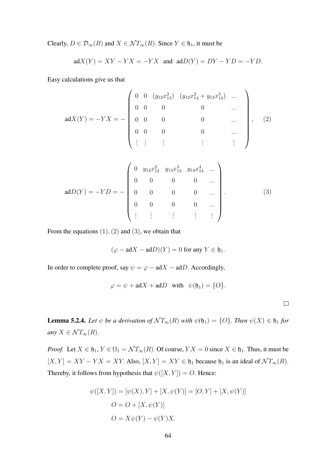Clearly,  $D \in \mathcal{D}_{\infty}(R)$  and  $X \in \mathcal{NT}_{\infty}(R)$ . Since  $Y \in \mathfrak{h}_1$ , it must be

$$
adX(Y) = XY - YX = -YX
$$
 and 
$$
adD(Y) = DY - YD = -YD.
$$

Easy calculations give us that

$$
adX(Y) = -YX = -\begin{pmatrix} 0 & 0 & (y_{12}x_{13}^2) & (y_{12}x_{14}^2 + y_{13}x_{14}^3) & \dots \\ 0 & 0 & 0 & 0 & \dots \\ 0 & 0 & 0 & 0 & \dots \\ 0 & 0 & 0 & 0 & \dots \\ \vdots & \vdots & \vdots & \vdots & \vdots \end{pmatrix}, \quad (2)
$$

$$
adD(Y) = -YD = -\begin{pmatrix} 0 & y_{12}x_{12}^2 & y_{13}x_{13}^3 & y_{14}x_{14}^4 & \dots \\ 0 & 0 & 0 & 0 & \dots \\ 0 & 0 & 0 & 0 & \dots \\ 0 & 0 & 0 & 0 & \dots \\ \vdots & \vdots & \vdots & \vdots & \vdots \end{pmatrix} .
$$
 (3)

From the equations  $(1), (2)$  and  $(3)$ , we obtain that

$$
(\varphi - adX - adD)(Y) = 0 \text{ for any } Y \in \mathfrak{h}_1.
$$

In order to complete proof, say  $\psi = \varphi - adX - adD$ . Accordingly,

$$
\varphi = \psi + \mathrm{ad}X + \mathrm{ad}D \quad \text{with} \quad \psi(\mathfrak{h}_1) = \{O\}.
$$

 $\Box$ 

**Lemma 5.2.4.** *Let*  $\psi$  *be a derivation of*  $\mathcal{N}T_{\infty}(R)$  *with*  $\psi(\mathfrak{h}_1) = \{O\}$ *. Then*  $\psi(X) \in \mathfrak{h}_1$  *for any*  $X \in \mathcal{N}T_{\infty}(R)$ .

*Proof.* Let  $X \in \mathfrak{h}_1, Y \in \Omega_1 = \mathcal{N}T_{\infty}(R)$ . Of course,  $YX = 0$  since  $X \in \mathfrak{h}_1$ . Thus, it must be  $[X, Y] = XY - YX = XY$ . Also,  $[X, Y] = XY \in \mathfrak{h}_1$  because  $\mathfrak{h}_1$  is an ideal of  $\mathcal{N}T_{\infty}(R)$ . Thereby, it follows from hypothesis that  $\psi([X, Y]) = O$ . Hence:

$$
\psi([X, Y]) = [\psi(X), Y] + [X, \psi(Y)] = [O, Y] + [X, \psi(Y)]
$$

$$
O = O + [X, \psi(Y)]
$$

$$
O = X\psi(Y) - \psi(Y)X.
$$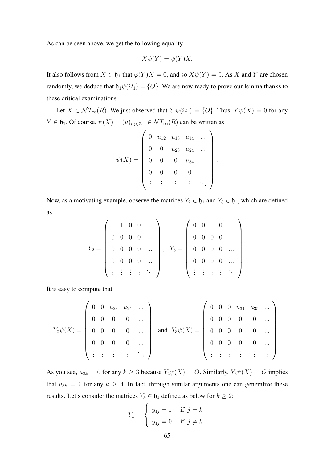As can be seen above, we get the following equality

$$
X\psi(Y) = \psi(Y)X.
$$

It also follows from  $X \in \mathfrak{h}_1$  that  $\varphi(Y)X = 0$ , and so  $X\psi(Y) = 0$ . As X and Y are chosen randomly, we deduce that  $\mathfrak{h}_1\psi(\Omega_1) = \{O\}$ . We are now ready to prove our lemma thanks to these critical examinations.

Let  $X \in \mathcal{NT}_{\infty}(R)$ . We just observed that  $\mathfrak{h}_1\psi(\Omega_1) = \{O\}$ . Thus,  $Y\psi(X) = 0$  for any  $Y \in \mathfrak{h}_1$ . Of course,  $\psi(X) = (u)_{i,j \in \mathbb{Z}^+} \in \mathcal{N}T_{\infty}(R)$  can be written as

$$
\psi(X) = \begin{pmatrix} 0 & u_{12} & u_{13} & u_{14} & \dots \\ 0 & 0 & u_{23} & u_{24} & \dots \\ 0 & 0 & 0 & u_{34} & \dots \\ 0 & 0 & 0 & 0 & \dots \\ \vdots & \vdots & \vdots & \vdots & \ddots \end{pmatrix}.
$$

Now, as a motivating example, observe the matrices  $Y_2 \in \mathfrak{h}_1$  and  $Y_3 \in \mathfrak{h}_1$ , which are defined as

$$
Y_2 = \left(\begin{array}{cccc} 0 & 1 & 0 & 0 & \dots \\ 0 & 0 & 0 & 0 & \dots \\ 0 & 0 & 0 & 0 & \dots \\ 0 & 0 & 0 & 0 & \dots \\ \vdots & \vdots & \vdots & \vdots & \ddots \end{array}\right), \quad Y_3 = \left(\begin{array}{cccc} 0 & 0 & 1 & 0 & \dots \\ 0 & 0 & 0 & 0 & \dots \\ 0 & 0 & 0 & 0 & \dots \\ 0 & 0 & 0 & 0 & \dots \\ \vdots & \vdots & \vdots & \vdots & \ddots \end{array}\right).
$$

It is easy to compute that

$$
Y_2\psi(X) = \begin{pmatrix} 0 & 0 & u_{23} & u_{24} & \dots \\ 0 & 0 & 0 & 0 & \dots \\ 0 & 0 & 0 & 0 & \dots \\ 0 & 0 & 0 & 0 & \dots \\ \vdots & \vdots & \vdots & \vdots & \ddots \end{pmatrix} \text{ and } Y_3\psi(X) = \begin{pmatrix} 0 & 0 & 0 & u_{34} & u_{35} & \dots \\ 0 & 0 & 0 & 0 & 0 & \dots \\ 0 & 0 & 0 & 0 & 0 & \dots \\ 0 & 0 & 0 & 0 & 0 & \dots \\ \vdots & \vdots & \vdots & \vdots & \vdots & \vdots \end{pmatrix}.
$$

As you see,  $u_{2k} = 0$  for any  $k \geq 3$  because  $Y_2\psi(X) = O$ . Similarly,  $Y_3\psi(X) = O$  implies that  $u_{3k} = 0$  for any  $k \ge 4$ . In fact, through similar arguments one can generalize these results. Let's consider the matrices  $Y_k \in \mathfrak{h}_1$  defined as below for  $k \geq 2$ :

$$
Y_k = \begin{cases} y_{1j} = 1 & \text{if } j = k \\ y_{1j} = 0 & \text{if } j \neq k \end{cases}
$$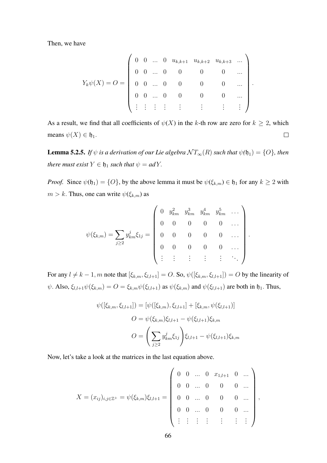Then, we have

$$
Y_k \psi(X) = O = \begin{pmatrix} 0 & 0 & \dots & 0 & u_{k,k+1} & u_{k,k+2} & u_{k,k+3} & \dots \\ 0 & 0 & \dots & 0 & 0 & 0 & 0 & \dots \\ 0 & 0 & \dots & 0 & 0 & 0 & 0 & \dots \\ 0 & 0 & \dots & 0 & 0 & 0 & 0 & \dots \\ \vdots & \vdots & \vdots & \vdots & \vdots & \vdots & \vdots & \vdots \end{pmatrix}
$$

.

.

As a result, we find that all coefficients of  $\psi(X)$  in the k-th row are zero for  $k \geq 2$ , which means  $\psi(X) \in \mathfrak{h}_1$ .  $\Box$ 

**Lemma 5.2.5.** *If*  $\psi$  *is a derivation of our Lie algebra*  $\mathcal{N}T_{\infty}(R)$  *such that*  $\psi(\mathfrak{h}_1) = \{O\}$ *, then there must exist*  $Y \in \mathfrak{h}_1$  *such that*  $\psi = adY$ .

*Proof.* Since  $\psi(\mathfrak{h}_1) = \{O\}$ , by the above lemma it must be  $\psi(\xi_{k,m}) \in \mathfrak{h}_1$  for any  $k \geq 2$  with  $m > k$ . Thus, one can write  $\psi(\xi_{k,m})$  as

$$
\psi(\xi_{k,m}) = \sum_{j\geq 2} y_{km}^j \xi_{1j} = \begin{pmatrix} 0 & y_{km}^2 & y_{km}^3 & y_{km}^4 & \cdots \\ 0 & 0 & 0 & 0 & 0 & \cdots \\ 0 & 0 & 0 & 0 & 0 & \cdots \\ 0 & 0 & 0 & 0 & 0 & \cdots \\ \vdots & \vdots & \vdots & \vdots & \vdots & \ddots \end{pmatrix}
$$

For any  $l \neq k - 1$ , m note that  $[\xi_{k,m}, \xi_{l,l+1}] = O$ . So,  $\psi([\xi_{k,m}, \xi_{l,l+1}]) = O$  by the linearity of  $\psi$ . Also,  $\xi_{l,l+1}\psi(\xi_{k,m}) = O = \xi_{k,m}\psi(\xi_{l,l+1})$  as  $\psi(\xi_{k,m})$  and  $\psi(\xi_{l,l+1})$  are both in  $\mathfrak{h}_1$ . Thus,

$$
\psi([\xi_{k,m}, \xi_{l,l+1}]) = [\psi([\xi_{k,m}), \xi_{l,l+1}] + [\xi_{k,m}, \psi(\xi_{l,l+1})]
$$

$$
O = \psi(\xi_{k,m})\xi_{l,l+1} - \psi(\xi_{l,l+1})\xi_{k,m}
$$

$$
O = \left(\sum_{j\geq 2} y_{km}^j \xi_{1j}\right) \xi_{l,l+1} - \psi(\xi_{l,l+1})\xi_{k,m}
$$

Now, let's take a look at the matrices in the last equation above.

$$
X = (x_{ij})_{i,j \in \mathbb{Z}^+} = \psi(\xi_{k,m})\xi_{l,l+1} = \begin{pmatrix} 0 & 0 & \dots & 0 & x_{1,l+1} & 0 & \dots \\ 0 & 0 & \dots & 0 & 0 & 0 & \dots \\ 0 & 0 & \dots & 0 & 0 & 0 & \dots \\ 0 & 0 & \dots & 0 & 0 & 0 & \dots \\ \vdots & \vdots & \vdots & \vdots & \vdots & \vdots & \vdots \end{pmatrix},
$$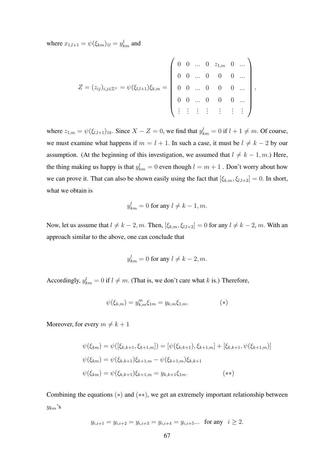where  $x_{1,l+1} = \psi(\xi_{km})_{1l} = y_{km}^l$  and

$$
Z = (z_{ij})_{i,j \in \mathbb{Z}^+} = \psi(\xi_{l,l+1})\xi_{k,m} = \begin{pmatrix} 0 & 0 & \dots & 0 & z_{1,m} & 0 & \dots \\ 0 & 0 & \dots & 0 & 0 & 0 & \dots \\ 0 & 0 & \dots & 0 & 0 & 0 & \dots \\ \vdots & \vdots & \vdots & \vdots & \vdots & \vdots & \vdots \end{pmatrix},
$$

where  $z_{1,m} = \psi(\xi_{l,l+1})_{1k}$ . Since  $X - Z = 0$ , we find that  $y_{km}^l = 0$  if  $l+1 \neq m$ . Of course, we must examine what happens if  $m = l + 1$ . In such a case, it must be  $l \neq k - 2$  by our assumption. (At the beginning of this investigation, we assumed that  $l \neq k - 1, m$ .) Here, the thing making us happy is that  $y_{km}^l = 0$  even though  $l = m + 1$  . Don't worry about how we can prove it. That can also be shown easily using the fact that  $[\xi_{k,m}, \xi_{l,l+2}] = 0$ . In short, what we obtain is

$$
y_{km}^l = 0 \text{ for any } l \neq k-1, m.
$$

Now, let us assume that  $l \neq k - 2, m$ . Then,  $[\xi_{k,m}, \xi_{l,l+2}] = 0$  for any  $l \neq k - 2, m$ . With an approach similar to the above, one can conclude that

$$
y_{km}^l = 0 \text{ for any } l \neq k-2, m.
$$

Accordingly,  $y_{km}^l = 0$  if  $l \neq m$ . (That is, we don't care what k is.) Therefore,

$$
\psi(\xi_{k,m}) = y_{k,m}^m \xi_{1m} = y_{k,m} \xi_{1,m}.
$$
\n<sup>(\*)</sup>

Moreover, for every  $m \neq k + 1$ 

$$
\psi(\xi_{km}) = \psi([\xi_{k,k+1}, \xi_{k+1,m}]) = [\psi(\xi_{k,k+1}), \xi_{k+1,m}] + [\xi_{k,k+1}, \psi(\xi_{k+1,m})]
$$
  

$$
\psi(\xi_{km}) = \psi(\xi_{k,k+1})\xi_{k+1,m} - \psi(\xi_{k+1,m})\xi_{k,k+1}
$$
  

$$
\psi(\xi_{km}) = \psi(\xi_{k,k+1})\xi_{k+1,m} = y_{k,k+1}\xi_{1m}.
$$
 (\*\*)

Combining the equations  $(*)$  and  $(**)$ , we get an extremely important relationship between  $y_{km}$ 's

$$
y_{i,i+1} = y_{i,i+2} = y_{i,i+3} = y_{i,i+4} = y_{i,i+5}...
$$
 for any  $i \ge 2$ .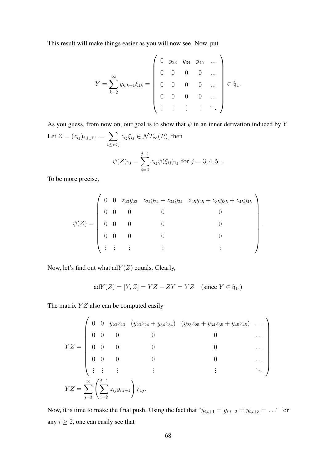This result will make things easier as you will now see. Now, put

$$
Y = \sum_{k=2}^{\infty} y_{k,k+1} \xi_{1k} = \begin{pmatrix} 0 & y_{23} & y_{34} & y_{45} & \dots \\ 0 & 0 & 0 & 0 & \dots \\ 0 & 0 & 0 & 0 & \dots \\ 0 & 0 & 0 & 0 & \dots \\ \vdots & \vdots & \vdots & \vdots & \ddots \end{pmatrix} \in \mathfrak{h}_1.
$$

As you guess, from now on, our goal is to show that  $\psi$  in an inner derivation induced by Y. Let  $Z = (z_{ij})_{i,j \in \mathbb{Z}^+} = \sum$  $1\leq i < j$  $z_{ij}\xi_{ij} \in \mathcal{N}T_{\infty}(R)$ , then  $\psi(Z)_{1j} = \sum$  $j-1$  $i=2$  $z_{ij}\psi(\xi_{ij})_{1j}$  for  $j=3,4,5...$ 

To be more precise,

$$
\psi(Z) = \begin{pmatrix} 0 & 0 & z_{23}y_{23} & z_{24}y_{24} + z_{34}y_{34} & z_{25}y_{25} + z_{35}y_{35} + z_{45}y_{45} \\ 0 & 0 & 0 & 0 & 0 \\ 0 & 0 & 0 & 0 & 0 \\ 0 & 0 & 0 & 0 & 0 \\ \vdots & \vdots & \vdots & \vdots & \vdots & \vdots \end{pmatrix}
$$

.

Now, let's find out what  $\text{ad}Y(Z)$  equals. Clearly,

$$
adY(Z) = [Y, Z] = YZ - ZY = YZ \quad \text{(since } Y \in \mathfrak{h}_1.)
$$

The matrix  $YZ$  also can be computed easily

$$
YZ = \begin{pmatrix} 0 & 0 & y_{23}z_{23} & (y_{23}z_{24} + y_{34}z_{34}) & (y_{23}z_{25} + y_{34}z_{35} + y_{45}z_{45}) & \dots \\ 0 & 0 & 0 & 0 & 0 & \dots \\ 0 & 0 & 0 & 0 & 0 & \dots \\ 0 & 0 & 0 & 0 & 0 & \dots \\ \vdots & \vdots & \vdots & \vdots & \vdots & \ddots \end{pmatrix}
$$

$$
YZ = \sum_{j=3}^{\infty} \left( \sum_{i=2}^{j-1} z_{ij} y_{i,i+1} \right) \xi_{1j}.
$$

Now, it is time to make the final push. Using the fact that " $y_{i,i+1} = y_{i,i+2} = y_{i,i+3} = \ldots$ " for any  $i \geq 2$ , one can easily see that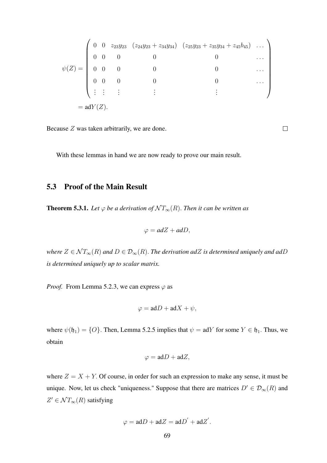$$
\psi(Z) = \begin{pmatrix}\n0 & 0 & z_{23}y_{23} & (z_{24}y_{23} + z_{34}y_{34}) & (z_{25}y_{23} + z_{35}y_{34} + z_{45}b_{45}) & \dots \\
0 & 0 & 0 & 0 & 0 & \dots \\
0 & 0 & 0 & 0 & 0 & \dots \\
0 & 0 & 0 & 0 & 0 & \dots \\
\vdots & \vdots & \vdots & \vdots & \vdots & \vdots\n\end{pmatrix}
$$
\n
$$
= adY(Z).
$$

Because Z was taken arbitrarily, we are done.

With these lemmas in hand we are now ready to prove our main result.

## 5.3 Proof of the Main Result

**Theorem 5.3.1.** *Let*  $\varphi$  *be a derivation of*  $\mathcal{N}T_{\infty}(R)$ *. Then it can be written as* 

$$
\varphi = adZ + adD,
$$

*where*  $Z \in \mathcal{NT}_\infty(R)$  *and*  $D \in \mathcal{D}_\infty(R)$ . *The derivation adZ is determined uniquely and adD is determined uniquely up to scalar matrix.*

*Proof.* From Lemma 5.2.3, we can express  $\varphi$  as

$$
\varphi = \mathrm{ad}D + \mathrm{ad}X + \psi,
$$

where  $\psi(\mathfrak{h}_1) = \{O\}$ . Then, Lemma 5.2.5 implies that  $\psi = \text{ad}Y$  for some  $Y \in \mathfrak{h}_1$ . Thus, we obtain

$$
\varphi = \mathrm{ad}D + \mathrm{ad}Z,
$$

where  $Z = X + Y$ . Of course, in order for such an expression to make any sense, it must be unique. Now, let us check "uniqueness." Suppose that there are matrices  $D' \in \mathcal{D}_{\infty}(R)$  and  $Z' \in \mathcal{N}T_{\infty}(R)$  satisfying

$$
\varphi = \mathrm{ad}D + \mathrm{ad}Z = \mathrm{ad}D' + \mathrm{ad}Z'.
$$

 $\Box$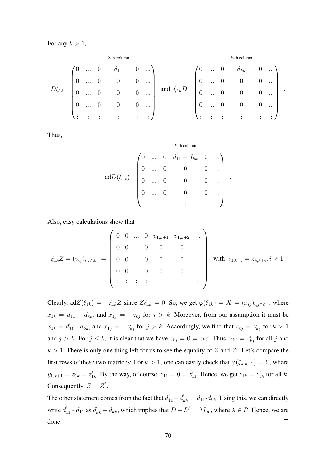For any  $k > 1$ ,

$$
D\xi_{1k} = \begin{pmatrix} 0 & \dots & 0 & d_{11} & 0 & \dots \\ 0 & \dots & 0 & 0 & 0 & \dots \\ 0 & \dots & 0 & 0 & 0 & \dots \\ 0 & \dots & 0 & 0 & 0 & \dots \\ \vdots & \vdots & \vdots & \vdots & \vdots & \vdots \end{pmatrix} \text{ and } \xi_{1k}D = \begin{pmatrix} 0 & \dots & 0 & d_{kk} & 0 & \dots \\ 0 & \dots & 0 & 0 & 0 & \dots \\ 0 & \dots & 0 & 0 & 0 & \dots \\ 0 & \dots & 0 & 0 & 0 & \dots \\ \vdots & \vdots & \vdots & \vdots & \vdots & \vdots \end{pmatrix}.
$$

Thus,

$$
adD(\xi_{1k}) = \begin{pmatrix} 0 & \dots & 0 & d_{11} - d_{kk} & 0 & \dots \\ 0 & \dots & 0 & 0 & 0 & \dots \\ 0 & \dots & 0 & 0 & 0 & \dots \\ 0 & \dots & 0 & 0 & 0 & \dots \\ \vdots & \vdots & \vdots & \vdots & \vdots & \vdots \end{pmatrix}.
$$

Also, easy calculations show that

$$
\xi_{1k}Z = (v_{ij})_{i,j \in \mathbb{Z}^+} = \begin{pmatrix} 0 & 0 & \dots & 0 & v_{1,k+1} & v_{1,k+2} & \dots \\ 0 & 0 & \dots & 0 & 0 & 0 & \dots \\ 0 & 0 & \dots & 0 & 0 & 0 & \dots \\ 0 & 0 & \dots & 0 & 0 & 0 & \dots \\ \vdots & \vdots & \vdots & \vdots & \vdots & \vdots & \vdots & \vdots \end{pmatrix} \text{ with } v_{1,k+i} = z_{k,k+i}, i \ge 1.
$$

Clearly,  $adZ(\xi_{1k}) = -\xi_{1k}Z$  since  $Z\xi_{1k} = 0$ . So, we get  $\varphi(\xi_{1k}) = X = (x_{ij})_{i,j \in \mathbb{Z}^+}$ , where  $x_{1k} = d_{11} - d_{kk}$ , and  $x_{1j} = -z_{kj}$  for  $j > k$ . Moreover, from our assumption it must be  $x_{1k} = d'_{11} \cdot d'_{kk}$ , and  $x_{1j} = -z'_{kj}$  for  $j > k$ . Accordingly, we find that  $z_{kj} = z'_{kj}$  for  $k > 1$ and  $j > k$ . For  $j \le k$ , it is clear that we have  $z_{kj} = 0 = z_{kj}'$ . Thus,  $z_{kj} = z'_{kj}$  for all j and  $k > 1$ . There is only one thing left for us to see the equality of Z and Z'. Let's compare the first rows of these two matrices: For  $k > 1$ , one can easily check that  $\varphi(\xi_{k,k+1}) = Y$ , where  $y_{1,k+1} = z_{1k} = z'_{1k}$ . By the way, of course,  $z_{11} = 0 = z'_{11}$ . Hence, we get  $z_{1k} = z'_{1k}$  for all k. Consequently,  $Z = Z'$ .

The other statement comes from the fact that  $d'_{11} - d'_{kk} = d_{11} - d_{kk}$ . Using this, we can directly write  $d'_{11}$  -  $d_{11}$  as  $d'_{kk} - d_{kk}$ , which implies that  $D - D' = \lambda I_{\infty}$ , where  $\lambda \in R$ . Hence, we are done.  $\Box$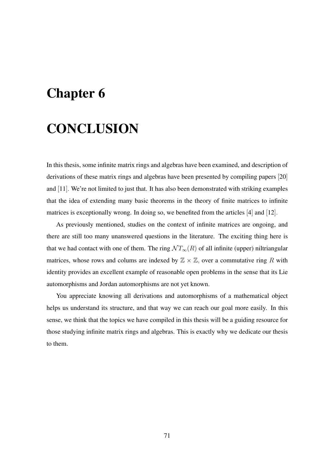## Chapter 6

## **CONCLUSION**

In this thesis, some infinite matrix rings and algebras have been examined, and description of derivations of these matrix rings and algebras have been presented by compiling papers [20] and [11]. We're not limited to just that. It has also been demonstrated with striking examples that the idea of extending many basic theorems in the theory of finite matrices to infinite matrices is exceptionally wrong. In doing so, we benefited from the articles [4] and [12].

As previously mentioned, studies on the context of infinite matrices are ongoing, and there are still too many unanswered questions in the literature. The exciting thing here is that we had contact with one of them. The ring  $\mathcal{N} T_{\infty}(R)$  of all infinite (upper) niltriangular matrices, whose rows and colums are indexed by  $\mathbb{Z} \times \mathbb{Z}$ , over a commutative ring R with identity provides an excellent example of reasonable open problems in the sense that its Lie automorphisms and Jordan automorphisms are not yet known.

You appreciate knowing all derivations and automorphisms of a mathematical object helps us understand its structure, and that way we can reach our goal more easily. In this sense, we think that the topics we have compiled in this thesis will be a guiding resource for those studying infinite matrix rings and algebras. This is exactly why we dedicate our thesis to them.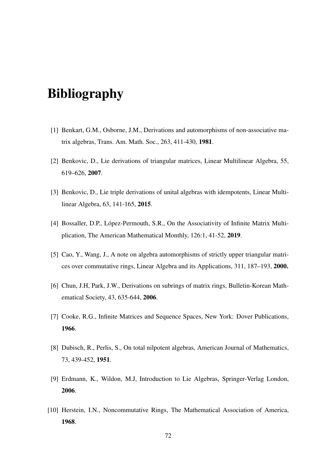## Bibliography

- [1] Benkart, G.M., Osborne, J.M., Derivations and automorphisms of non-associative matrix algebras, Trans. Am. Math. Soc., 263, 411-430, 1981.
- [2] Benkovic, D., Lie derivations of triangular matrices, Linear Multilinear Algebra, 55, 619–626, 2007.
- [3] Benkovic, D., Lie triple derivations of unital algebras with idempotents, Linear Multilinear Algebra, 63, 141-165, 2015.
- [4] Bossaller, D.P., López-Permouth, S.R., On the Associativity of Infinite Matrix Multiplication, The American Mathematical Monthly, 126:1, 41-52, 2019.
- [5] Cao, Y., Wang, J., A note on algebra automorphisms of strictly upper triangular matrices over commutative rings, Linear Algebra and its Applications, 311, 187–193, 2000.
- [6] Chun, J.H, Park, J.W., Derivations on subrings of matrix rings, Bulletin-Korean Mathematical Society, 43, 635-644, 2006.
- [7] Cooke, R.G., Infinite Matrices and Sequence Spaces, New York: Dover Publications, 1966.
- [8] Dubisch, R., Perlis, S., On total nilpotent algebras, American Journal of Mathematics, 73, 439-452, 1951.
- [9] Erdmann, K., Wildon, M.J, Introduction to Lie Algebras, Springer-Verlag London, 2006.
- [10] Herstein, I.N., Noncommutative Rings, The Mathematical Association of America, 1968.